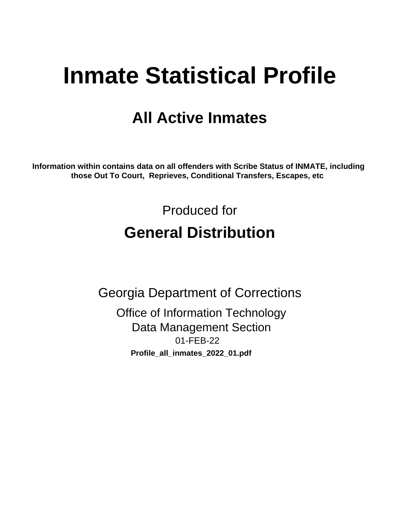# **Inmate Statistical Profile**

# **All Active Inmates**

Information within contains data on all offenders with Scribe Status of INMATE, including those Out To Court, Reprieves, Conditional Transfers, Escapes, etc

> Produced for **General Distribution**

**Georgia Department of Corrections Office of Information Technology Data Management Section** 01-FEB-22 Profile\_all\_inmates\_2022\_01.pdf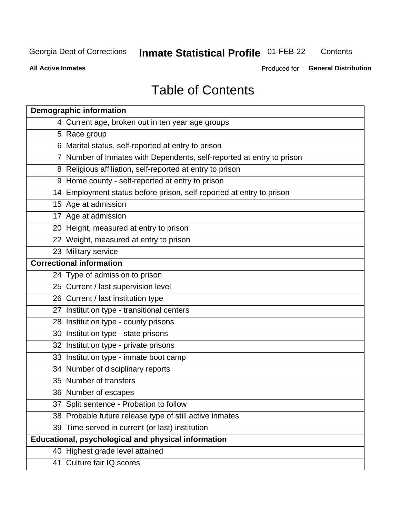## **Inmate Statistical Profile 01-FEB-22**

Contents

**All Active Inmates** 

Produced for General Distribution

# **Table of Contents**

| <b>Demographic information</b>                                        |
|-----------------------------------------------------------------------|
| 4 Current age, broken out in ten year age groups                      |
| 5 Race group                                                          |
| 6 Marital status, self-reported at entry to prison                    |
| 7 Number of Inmates with Dependents, self-reported at entry to prison |
| 8 Religious affiliation, self-reported at entry to prison             |
| 9 Home county - self-reported at entry to prison                      |
| 14 Employment status before prison, self-reported at entry to prison  |
| 15 Age at admission                                                   |
| 17 Age at admission                                                   |
| 20 Height, measured at entry to prison                                |
| 22 Weight, measured at entry to prison                                |
| 23 Military service                                                   |
| <b>Correctional information</b>                                       |
| 24 Type of admission to prison                                        |
| 25 Current / last supervision level                                   |
| 26 Current / last institution type                                    |
| 27 Institution type - transitional centers                            |
| 28 Institution type - county prisons                                  |
| 30 Institution type - state prisons                                   |
| 32 Institution type - private prisons                                 |
| 33 Institution type - inmate boot camp                                |
| 34 Number of disciplinary reports                                     |
| 35 Number of transfers                                                |
| 36 Number of escapes                                                  |
| 37 Split sentence - Probation to follow                               |
| 38 Probable future release type of still active inmates               |
| 39 Time served in current (or last) institution                       |
| Educational, psychological and physical information                   |
| 40 Highest grade level attained                                       |
| 41 Culture fair IQ scores                                             |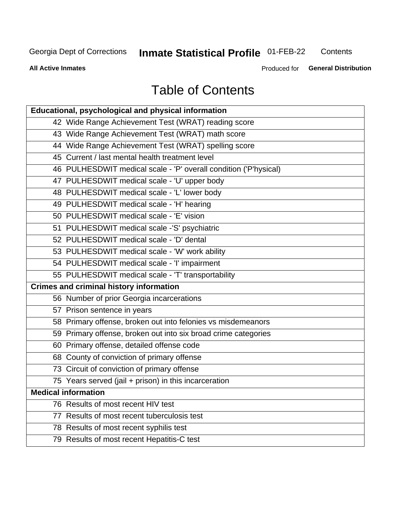# **Inmate Statistical Profile 01-FEB-22**

Contents

**All Active Inmates** 

Produced for General Distribution

# **Table of Contents**

| Educational, psychological and physical information              |
|------------------------------------------------------------------|
| 42 Wide Range Achievement Test (WRAT) reading score              |
| 43 Wide Range Achievement Test (WRAT) math score                 |
| 44 Wide Range Achievement Test (WRAT) spelling score             |
| 45 Current / last mental health treatment level                  |
| 46 PULHESDWIT medical scale - 'P' overall condition ('P'hysical) |
| 47 PULHESDWIT medical scale - 'U' upper body                     |
| 48 PULHESDWIT medical scale - 'L' lower body                     |
| 49 PULHESDWIT medical scale - 'H' hearing                        |
| 50 PULHESDWIT medical scale - 'E' vision                         |
| 51 PULHESDWIT medical scale -'S' psychiatric                     |
| 52 PULHESDWIT medical scale - 'D' dental                         |
| 53 PULHESDWIT medical scale - 'W' work ability                   |
| 54 PULHESDWIT medical scale - 'I' impairment                     |
| 55 PULHESDWIT medical scale - 'T' transportability               |
| <b>Crimes and criminal history information</b>                   |
| 56 Number of prior Georgia incarcerations                        |
| 57 Prison sentence in years                                      |
| 58 Primary offense, broken out into felonies vs misdemeanors     |
| 59 Primary offense, broken out into six broad crime categories   |
| 60 Primary offense, detailed offense code                        |
| 68 County of conviction of primary offense                       |
| 73 Circuit of conviction of primary offense                      |
| 75 Years served (jail + prison) in this incarceration            |
| <b>Medical information</b>                                       |
| 76 Results of most recent HIV test                               |
| 77 Results of most recent tuberculosis test                      |
| 78 Results of most recent syphilis test                          |
| 79 Results of most recent Hepatitis-C test                       |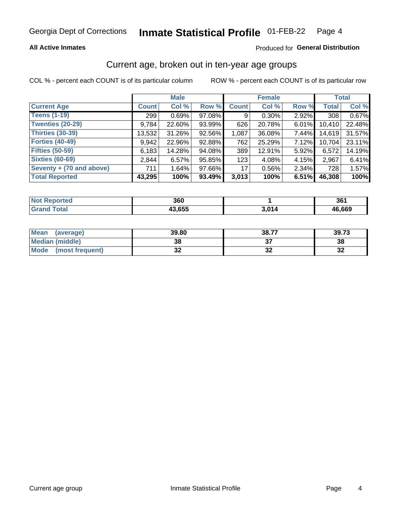#### **All Active Inmates**

#### Produced for General Distribution

### Current age, broken out in ten-year age groups

COL % - percent each COUNT is of its particular column

|                          | <b>Male</b>  |        |        | <b>Female</b> |          |          | <b>Total</b> |        |
|--------------------------|--------------|--------|--------|---------------|----------|----------|--------------|--------|
| <b>Current Age</b>       | <b>Count</b> | Col %  | Row %  | <b>Count</b>  | Col %    | Row %    | <b>Total</b> | Col %  |
| <b>Teens (1-19)</b>      | 299          | 0.69%  | 97.08% | 9             | $0.30\%$ | 2.92%    | 308          | 0.67%  |
| <b>Twenties (20-29)</b>  | 9,784        | 22.60% | 93.99% | 626           | 20.78%   | 6.01%    | 10,410       | 22.48% |
| Thirties (30-39)         | 13,532       | 31.26% | 92.56% | 1,087         | 36.08%   | $7.44\%$ | 14,619       | 31.57% |
| <b>Forties (40-49)</b>   | 9,942        | 22.96% | 92.88% | 762           | 25.29%   | 7.12%    | 10,704       | 23.11% |
| <b>Fifties (50-59)</b>   | 6,183        | 14.28% | 94.08% | 389           | 12.91%   | 5.92%    | 6,572        | 14.19% |
| <b>Sixties (60-69)</b>   | 2.844        | 6.57%  | 95.85% | 123           | 4.08%    | 4.15%    | 2.967        | 6.41%  |
| Seventy + (70 and above) | 711          | 1.64%  | 97.66% | 17            | 0.56%    | $2.34\%$ | 728          | 1.57%  |
| <b>Total Reported</b>    | 43,295       | 100%   | 93.49% | 3,013         | 100%     | 6.51%    | 46,308       | 100%   |

| <b>Not</b><br><b>ported</b> | 360    |               | 2C<br>ີບບ⊥ |
|-----------------------------|--------|---------------|------------|
| <b>Total</b>                | 43,655 | <i>ו</i> ומ כ | 46,669     |

| <b>Mean</b><br>(average) | 39.80    | 38.77 | 39.73    |
|--------------------------|----------|-------|----------|
| Median (middle)          | 38       |       | 38       |
| Mode<br>(most frequent)  | n,<br>◡▴ | ◡▵    | 50<br>⊾ت |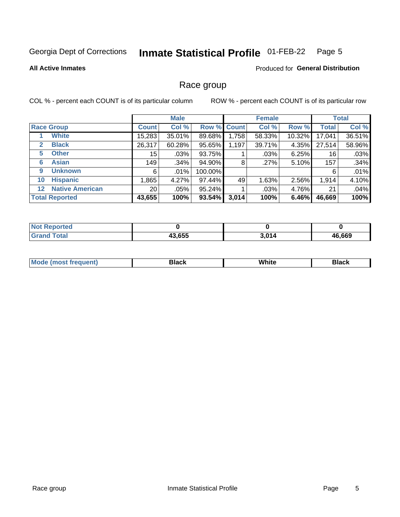#### Inmate Statistical Profile 01-FEB-22 Page 5

**All Active Inmates** 

#### **Produced for General Distribution**

### Race group

COL % - percent each COUNT is of its particular column

|                   |                        |                 | <b>Male</b> |         |             | <b>Female</b> |        |              | <b>Total</b> |  |
|-------------------|------------------------|-----------------|-------------|---------|-------------|---------------|--------|--------------|--------------|--|
| <b>Race Group</b> |                        | <b>Count</b>    | Col %       |         | Row % Count | Col %         | Row %  | <b>Total</b> | Col %        |  |
|                   | <b>White</b>           | 15,283          | 35.01%      | 89.68%  | .758        | 58.33%        | 10.32% | 17,041       | 36.51%       |  |
| $\mathbf{2}$      | <b>Black</b>           | 26,317          | 60.28%      | 95.65%  | 1,197       | 39.71%        | 4.35%  | 27,514       | 58.96%       |  |
| 5                 | <b>Other</b>           | 15 <sub>1</sub> | .03%        | 93.75%  |             | $.03\%$       | 6.25%  | 16           | .03%         |  |
| 6                 | <b>Asian</b>           | 149             | .34%        | 94.90%  | 8           | .27%          | 5.10%  | 157          | .34%         |  |
| 9                 | <b>Unknown</b>         | 6               | .01%        | 100.00% |             |               |        | 6            | .01%         |  |
| 10                | <b>Hispanic</b>        | .865            | 4.27%       | 97.44%  | 49          | 1.63%         | 2.56%  | 1,914        | 4.10%        |  |
| $12 \,$           | <b>Native American</b> | 20 <sub>1</sub> | .05%        | 95.24%  |             | $.03\%$       | 4.76%  | 21           | .04%         |  |
|                   | <b>Total Reported</b>  | 43,655          | 100%        | 93.54%  | 3,014       | 100%          | 6.46%  | 46,669       | 100%         |  |

| orted<br>NO.           |        |       |              |
|------------------------|--------|-------|--------------|
| <b>Total</b><br>'Grano | 43,655 | 3,014 | 16,669<br>46 |

| IМ | - - -- |  |
|----|--------|--|
|    |        |  |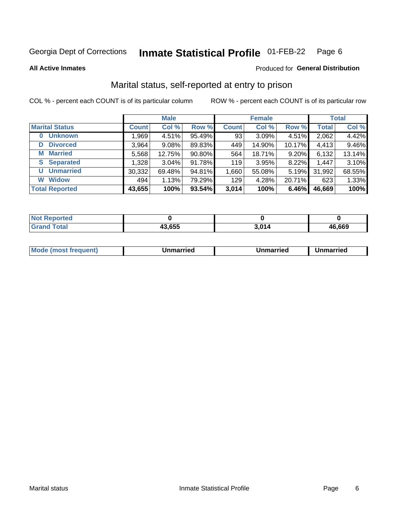#### Inmate Statistical Profile 01-FEB-22 Page 6

**All Active Inmates** 

#### **Produced for General Distribution**

### Marital status, self-reported at entry to prison

COL % - percent each COUNT is of its particular column

|                        | <b>Male</b>  |        |        |              | <b>Female</b> | <b>Total</b> |              |        |
|------------------------|--------------|--------|--------|--------------|---------------|--------------|--------------|--------|
| <b>Marital Status</b>  | <b>Count</b> | Col %  | Row %  | <b>Count</b> | Col %         | Row %        | <b>Total</b> | Col %  |
| <b>Unknown</b><br>0    | 1,969        | 4.51%  | 95.49% | 93           | 3.09%         | 4.51%        | 2,062        | 4.42%  |
| <b>Divorced</b><br>D   | 3,964        | 9.08%  | 89.83% | 449          | 14.90%        | 10.17%       | 4,413        | 9.46%  |
| <b>Married</b><br>M    | 5,568        | 12.75% | 90.80% | 564          | 18.71%        | 9.20%        | 6,132        | 13.14% |
| <b>Separated</b><br>S. | 1,328        | 3.04%  | 91.78% | 119          | 3.95%         | 8.22%        | 1,447        | 3.10%  |
| <b>Unmarried</b><br>U  | 30,332       | 69.48% | 94.81% | 1,660        | 55.08%        | 5.19%        | 31,992       | 68.55% |
| <b>Widow</b><br>W      | 494          | 1.13%  | 79.29% | 129          | 4.28%         | 20.71%       | 623          | 1.33%  |
| <b>Total Reported</b>  | 43,655       | 100%   | 93.54% | 3,014        | 100%          | 6.46%        | 46,669       | 100%   |

| тес.<br><b>NO</b> |        |      |        |
|-------------------|--------|------|--------|
| $int^{\bullet}$   | 43,655 | 201/ | 46.669 |

|--|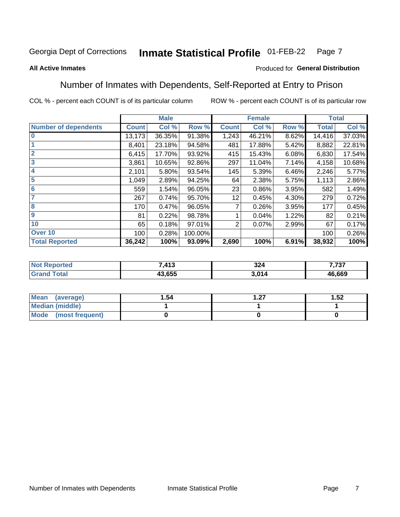#### **Inmate Statistical Profile 01-FEB-22** Page 7

#### **All Active Inmates**

#### Produced for General Distribution

### Number of Inmates with Dependents, Self-Reported at Entry to Prison

COL % - percent each COUNT is of its particular column

|                             |              | <b>Male</b> |         |              | <b>Female</b> |       |              | <b>Total</b> |
|-----------------------------|--------------|-------------|---------|--------------|---------------|-------|--------------|--------------|
| <b>Number of dependents</b> | <b>Count</b> | Col %       | Row %   | <b>Count</b> | Col %         | Row % | <b>Total</b> | Col %        |
| l 0                         | 13,173       | 36.35%      | 91.38%  | 1,243        | 46.21%        | 8.62% | 14,416       | 37.03%       |
|                             | 8,401        | 23.18%      | 94.58%  | 481          | 17.88%        | 5.42% | 8,882        | 22.81%       |
| $\overline{2}$              | 6,415        | 17.70%      | 93.92%  | 415          | 15.43%        | 6.08% | 6,830        | 17.54%       |
| $\overline{3}$              | 3,861        | 10.65%      | 92.86%  | 297          | 11.04%        | 7.14% | 4,158        | 10.68%       |
| 4                           | 2,101        | 5.80%       | 93.54%  | 145          | 5.39%         | 6.46% | 2,246        | 5.77%        |
| 5                           | 1,049        | 2.89%       | 94.25%  | 64           | 2.38%         | 5.75% | 1,113        | 2.86%        |
| 6                           | 559          | 1.54%       | 96.05%  | 23           | 0.86%         | 3.95% | 582          | 1.49%        |
| 7                           | 267          | 0.74%       | 95.70%  | 12           | 0.45%         | 4.30% | 279          | 0.72%        |
| 8                           | 170          | 0.47%       | 96.05%  |              | 0.26%         | 3.95% | 177          | 0.45%        |
| 9                           | 81           | 0.22%       | 98.78%  |              | 0.04%         | 1.22% | 82           | 0.21%        |
| 10                          | 65           | 0.18%       | 97.01%  | 2            | 0.07%         | 2.99% | 67           | 0.17%        |
| Over 10                     | 100          | 0.28%       | 100.00% |              |               |       | 100          | 0.26%        |
| <b>Total Reported</b>       | 36,242       | 100%        | 93.09%  | 2,690        | 100%          | 6.91% | 38,932       | 100%         |

|      | 7112<br>1 I J | つつん<br>JZ-     | ・フヘフ<br>1 J I |
|------|---------------|----------------|---------------|
| υιαι | 13.655        | . 64 A<br>' 14 | 46,669        |

| Mean (average)          | 1.54 | דר | 1.52 |
|-------------------------|------|----|------|
| Median (middle)         |      |    |      |
| Mode<br>(most frequent) |      |    |      |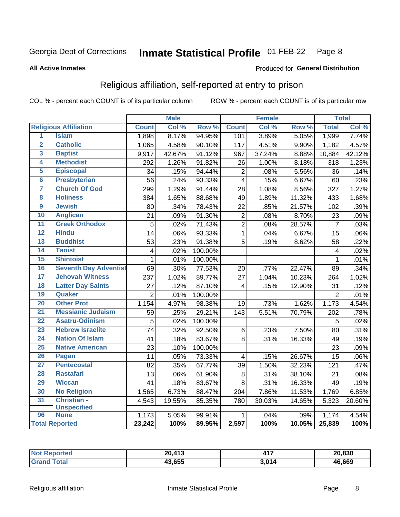#### Inmate Statistical Profile 01-FEB-22 Page 8

#### **All Active Inmates**

#### Produced for General Distribution

### Religious affiliation, self-reported at entry to prison

COL % - percent each COUNT is of its particular column

|                         |                              |                 | <b>Male</b> |         |                   | <b>Female</b> |                  |                | <b>Total</b> |
|-------------------------|------------------------------|-----------------|-------------|---------|-------------------|---------------|------------------|----------------|--------------|
|                         | <b>Religious Affiliation</b> | <b>Count</b>    | Col %       | Row %   | <b>Count</b>      | Col %         | Row <sup>%</sup> | <b>Total</b>   | Col %        |
| 1                       | <b>Islam</b>                 | 1,898           | 8.17%       | 94.95%  | 101               | 3.89%         | 5.05%            | 1,999          | 7.74%        |
| $\overline{\mathbf{2}}$ | <b>Catholic</b>              | 1,065           | 4.58%       | 90.10%  | 117               | 4.51%         | 9.90%            | 1,182          | 4.57%        |
| 3                       | <b>Baptist</b>               | 9,917           | 42.67%      | 91.12%  | 967               | 37.24%        | 8.88%            | 10,884         | 42.12%       |
| 4                       | <b>Methodist</b>             | 292             | 1.26%       | 91.82%  | 26                | 1.00%         | 8.18%            | 318            | 1.23%        |
| 5                       | <b>Episcopal</b>             | 34              | .15%        | 94.44%  | $\overline{2}$    | .08%          | 5.56%            | 36             | .14%         |
| $\overline{6}$          | <b>Presbyterian</b>          | 56              | .24%        | 93.33%  | $\overline{4}$    | .15%          | 6.67%            | 60             | .23%         |
| 7                       | <b>Church Of God</b>         | 299             | 1.29%       | 91.44%  | 28                | 1.08%         | 8.56%            | 327            | 1.27%        |
| 8                       | <b>Holiness</b>              | 384             | 1.65%       | 88.68%  | 49                | 1.89%         | 11.32%           | 433            | 1.68%        |
| $\overline{9}$          | <b>Jewish</b>                | 80              | .34%        | 78.43%  | 22                | .85%          | 21.57%           | 102            | .39%         |
| 10                      | <b>Anglican</b>              | 21              | .09%        | 91.30%  | $\mathbf 2$       | .08%          | 8.70%            | 23             | .09%         |
| 11                      | <b>Greek Orthodox</b>        | 5               | .02%        | 71.43%  | $\overline{2}$    | .08%          | 28.57%           | $\overline{7}$ | .03%         |
| 12                      | <b>Hindu</b>                 | $\overline{14}$ | .06%        | 93.33%  | $\mathbf{1}$      | .04%          | 6.67%            | 15             | .06%         |
| 13                      | <b>Buddhist</b>              | 53              | .23%        | 91.38%  | 5                 | .19%          | 8.62%            | 58             | .22%         |
| $\overline{14}$         | <b>Taoist</b>                | $\overline{4}$  | .02%        | 100.00% |                   |               |                  | 4              | .02%         |
| 15                      | <b>Shintoist</b>             | $\mathbf{1}$    | .01%        | 100.00% |                   |               |                  | 1              | .01%         |
| 16                      | <b>Seventh Day Adventist</b> | 69              | .30%        | 77.53%  | 20                | .77%          | 22.47%           | 89             | .34%         |
| 17                      | <b>Jehovah Witness</b>       | 237             | 1.02%       | 89.77%  | 27                | 1.04%         | 10.23%           | 264            | 1.02%        |
| 18                      | <b>Latter Day Saints</b>     | 27              | .12%        | 87.10%  | 4                 | .15%          | 12.90%           | 31             | .12%         |
| 19                      | Quaker                       | $\overline{2}$  | .01%        | 100.00% |                   |               |                  | $\overline{2}$ | .01%         |
| 20                      | <b>Other Prot</b>            | 1,154           | 4.97%       | 98.38%  | 19                | .73%          | 1.62%            | 1,173          | 4.54%        |
| 21                      | <b>Messianic Judaism</b>     | 59              | .25%        | 29.21%  | $\overline{1}$ 43 | 5.51%         | 70.79%           | 202            | .78%         |
| 22                      | <b>Asatru-Odinism</b>        | 5               | .02%        | 100.00% |                   |               |                  | 5              | .02%         |
| 23                      | <b>Hebrew Israelite</b>      | 74              | .32%        | 92.50%  | 6                 | .23%          | 7.50%            | 80             | .31%         |
| 24                      | <b>Nation Of Islam</b>       | 41              | .18%        | 83.67%  | 8                 | .31%          | 16.33%           | 49             | .19%         |
| 25                      | <b>Native American</b>       | 23              | .10%        | 100.00% |                   |               |                  | 23             | .09%         |
| 26                      | Pagan                        | 11              | .05%        | 73.33%  | 4                 | .15%          | 26.67%           | 15             | .06%         |
| 27                      | <b>Pentecostal</b>           | 82              | .35%        | 67.77%  | 39                | 1.50%         | 32.23%           | 121            | .47%         |
| 28                      | <b>Rastafari</b>             | 13              | .06%        | 61.90%  | 8                 | .31%          | 38.10%           | 21             | .08%         |
| 29                      | <b>Wiccan</b>                | 41              | .18%        | 83.67%  | 8                 | .31%          | 16.33%           | 49             | .19%         |
| 30                      | <b>No Religion</b>           | 1,565           | 6.73%       | 88.47%  | 204               | 7.86%         | 11.53%           | 1,769          | 6.85%        |
| 31                      | Christian -                  | 4,543           | 19.55%      | 85.35%  | 780               | 30.03%        | 14.65%           | 5,323          | 20.60%       |
|                         | <b>Unspecified</b>           |                 |             |         |                   |               |                  |                |              |
| 96                      | <b>None</b>                  | 1,173           | 5.05%       | 99.91%  | 1                 | .04%          | .09%             | 1,174          | 4.54%        |
|                         | <b>Total Reported</b>        | 23,242          | 100%        | 89.95%  | 2,597             | 100%          | 10.05%           | 25,839         | 100%         |

| тес. | .117<br>20<br>່ເປ | $44-$ | 20,830 |
|------|-------------------|-------|--------|
|      | 43,655            | 3,014 | 46.669 |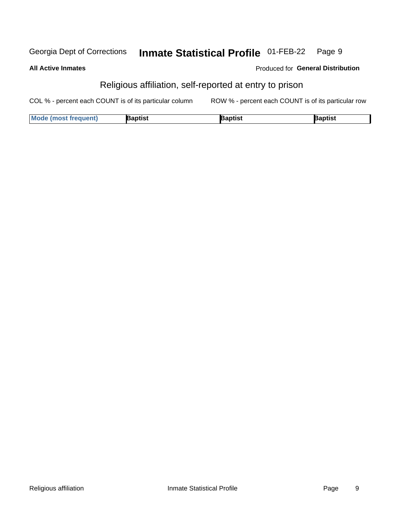#### Inmate Statistical Profile 01-FEB-22 Georgia Dept of Corrections Page 9

#### **All Active Inmates**

#### Produced for General Distribution

### Religious affiliation, self-reported at entry to prison

COL % - percent each COUNT is of its particular column ROW % - percent each COUNT is of its particular row

| <b>Mode (most frequent)</b> | Baptist | រaptist | <b>Baptist</b> |
|-----------------------------|---------|---------|----------------|
|-----------------------------|---------|---------|----------------|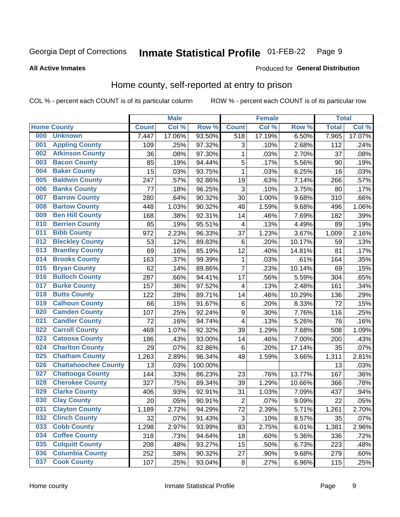#### Inmate Statistical Profile 01-FEB-22 Page 9

#### **All Active Inmates**

#### Produced for General Distribution

### Home county, self-reported at entry to prison

COL % - percent each COUNT is of its particular column

|     |                             |              | <b>Male</b> |                  |                  | <b>Female</b> |        | <b>Total</b> |        |
|-----|-----------------------------|--------------|-------------|------------------|------------------|---------------|--------|--------------|--------|
|     | <b>Home County</b>          | <b>Count</b> | Col %       | Row <sup>%</sup> | <b>Count</b>     | Col %         | Row %  | <b>Total</b> | Col %  |
| 000 | <b>Unknown</b>              | 7,447        | 17.06%      | 93.50%           | 518              | 17.19%        | 6.50%  | 7,965        | 17.07% |
| 001 | <b>Appling County</b>       | 109          | .25%        | 97.32%           | 3                | .10%          | 2.68%  | 112          | .24%   |
| 002 | <b>Atkinson County</b>      | 36           | .08%        | 97.30%           | 1                | .03%          | 2.70%  | 37           | .08%   |
| 003 | <b>Bacon County</b>         | 85           | .19%        | 94.44%           | 5                | .17%          | 5.56%  | 90           | .19%   |
| 004 | <b>Baker County</b>         | 15           | .03%        | 93.75%           | $\mathbf{1}$     | .03%          | 6.25%  | 16           | .03%   |
| 005 | <b>Baldwin County</b>       | 247          | .57%        | 92.86%           | 19               | .63%          | 7.14%  | 266          | .57%   |
| 006 | <b>Banks County</b>         | 77           | .18%        | 96.25%           | $\mathbf{3}$     | .10%          | 3.75%  | 80           | .17%   |
| 007 | <b>Barrow County</b>        | 280          | .64%        | 90.32%           | 30               | 1.00%         | 9.68%  | 310          | .66%   |
| 008 | <b>Bartow County</b>        | 448          | 1.03%       | 90.32%           | 48               | 1.59%         | 9.68%  | 496          | 1.06%  |
| 009 | <b>Ben Hill County</b>      | 168          | .38%        | 92.31%           | 14               | .46%          | 7.69%  | 182          | .39%   |
| 010 | <b>Berrien County</b>       | 85           | .19%        | 95.51%           | 4                | .13%          | 4.49%  | 89           | .19%   |
| 011 | <b>Bibb County</b>          | 972          | 2.23%       | 96.33%           | 37               | 1.23%         | 3.67%  | 1,009        | 2.16%  |
| 012 | <b>Bleckley County</b>      | 53           | .12%        | 89.83%           | $\,6$            | .20%          | 10.17% | 59           | .13%   |
| 013 | <b>Brantley County</b>      | 69           | .16%        | 85.19%           | 12               | .40%          | 14.81% | 81           | .17%   |
| 014 | <b>Brooks County</b>        | 163          | .37%        | 99.39%           | $\mathbf{1}$     | .03%          | .61%   | 164          | .35%   |
| 015 | <b>Bryan County</b>         | 62           | .14%        | 89.86%           | 7                | .23%          | 10.14% | 69           | .15%   |
| 016 | <b>Bulloch County</b>       | 287          | .66%        | 94.41%           | 17               | .56%          | 5.59%  | 304          | .65%   |
| 017 | <b>Burke County</b>         | 157          | .36%        | 97.52%           | 4                | .13%          | 2.48%  | 161          | .34%   |
| 018 | <b>Butts County</b>         | 122          | .28%        | 89.71%           | 14               | .46%          | 10.29% | 136          | .29%   |
| 019 | <b>Calhoun County</b>       | 66           | .15%        | 91.67%           | $\,6$            | .20%          | 8.33%  | 72           | .15%   |
| 020 | <b>Camden County</b>        | 107          | .25%        | 92.24%           | $\boldsymbol{9}$ | .30%          | 7.76%  | 116          | .25%   |
| 021 | <b>Candler County</b>       | 72           | .16%        | 94.74%           | 4                | .13%          | 5.26%  | 76           | .16%   |
| 022 | <b>Carroll County</b>       | 469          | 1.07%       | 92.32%           | 39               | 1.29%         | 7.68%  | 508          | 1.09%  |
| 023 | <b>Catoosa County</b>       | 186          | .43%        | 93.00%           | 14               | .46%          | 7.00%  | 200          | .43%   |
| 024 | <b>Charlton County</b>      | 29           | .07%        | 82.86%           | $\,6$            | .20%          | 17.14% | 35           | .07%   |
| 025 | <b>Chatham County</b>       | 1,263        | 2.89%       | 96.34%           | 48               | 1.59%         | 3.66%  | 1,311        | 2.81%  |
| 026 | <b>Chattahoochee County</b> | 13           | .03%        | 100.00%          |                  |               |        | 13           | .03%   |
| 027 | <b>Chattooga County</b>     | 144          | .33%        | 86.23%           | 23               | .76%          | 13.77% | 167          | .36%   |
| 028 | <b>Cherokee County</b>      | 327          | .75%        | 89.34%           | 39               | 1.29%         | 10.66% | 366          | .78%   |
| 029 | <b>Clarke County</b>        | 406          | .93%        | 92.91%           | 31               | 1.03%         | 7.09%  | 437          | .94%   |
| 030 | <b>Clay County</b>          | 20           | .05%        | 90.91%           | $\overline{2}$   | .07%          | 9.09%  | 22           | .05%   |
| 031 | <b>Clayton County</b>       | 1,189        | 2.72%       | 94.29%           | 72               | 2.39%         | 5.71%  | 1,261        | 2.70%  |
| 032 | <b>Clinch County</b>        | 32           | .07%        | 91.43%           | 3                | .10%          | 8.57%  | 35           | .07%   |
| 033 | <b>Cobb County</b>          | 1,298        | 2.97%       | 93.99%           | 83               | 2.75%         | 6.01%  | 1,381        | 2.96%  |
| 034 | <b>Coffee County</b>        | 318          | .73%        | 94.64%           | 18               | .60%          | 5.36%  | 336          | .72%   |
| 035 | <b>Colquitt County</b>      | 208          | .48%        | 93.27%           | 15               | .50%          | 6.73%  | 223          | .48%   |
| 036 | <b>Columbia County</b>      | 252          | .58%        | 90.32%           | 27               | .90%          | 9.68%  | 279          | .60%   |
| 037 | <b>Cook County</b>          | 107          | .25%        | 93.04%           | $\bf 8$          | .27%          | 6.96%  | 115          | .25%   |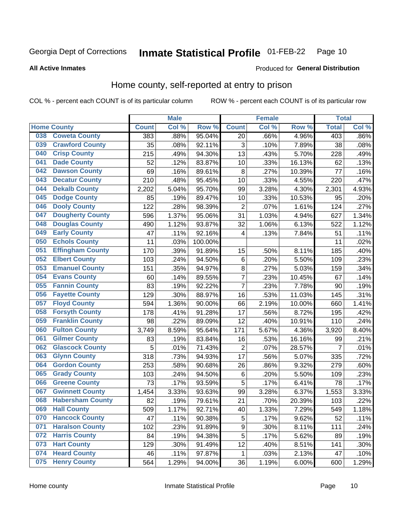#### **Inmate Statistical Profile 01-FEB-22** Page 10

**All Active Inmates** 

#### **Produced for General Distribution**

### Home county, self-reported at entry to prison

COL % - percent each COUNT is of its particular column

|     |                         |              | <b>Male</b> |         |                | <b>Female</b> |        | <b>Total</b>   |       |
|-----|-------------------------|--------------|-------------|---------|----------------|---------------|--------|----------------|-------|
|     | <b>Home County</b>      | <b>Count</b> | Col %       | Row %   | <b>Count</b>   | Col %         | Row %  | <b>Total</b>   | Col % |
| 038 | <b>Coweta County</b>    | 383          | .88%        | 95.04%  | 20             | .66%          | 4.96%  | 403            | .86%  |
| 039 | <b>Crawford County</b>  | 35           | .08%        | 92.11%  | 3              | .10%          | 7.89%  | 38             | .08%  |
| 040 | <b>Crisp County</b>     | 215          | .49%        | 94.30%  | 13             | .43%          | 5.70%  | 228            | .49%  |
| 041 | <b>Dade County</b>      | 52           | .12%        | 83.87%  | 10             | .33%          | 16.13% | 62             | .13%  |
| 042 | <b>Dawson County</b>    | 69           | .16%        | 89.61%  | 8              | .27%          | 10.39% | 77             | .16%  |
| 043 | <b>Decatur County</b>   | 210          | .48%        | 95.45%  | 10             | .33%          | 4.55%  | 220            | .47%  |
| 044 | <b>Dekalb County</b>    | 2,202        | 5.04%       | 95.70%  | 99             | 3.28%         | 4.30%  | 2,301          | 4.93% |
| 045 | <b>Dodge County</b>     | 85           | .19%        | 89.47%  | 10             | .33%          | 10.53% | 95             | .20%  |
| 046 | <b>Dooly County</b>     | 122          | .28%        | 98.39%  | $\overline{2}$ | .07%          | 1.61%  | 124            | .27%  |
| 047 | <b>Dougherty County</b> | 596          | 1.37%       | 95.06%  | 31             | 1.03%         | 4.94%  | 627            | 1.34% |
| 048 | <b>Douglas County</b>   | 490          | 1.12%       | 93.87%  | 32             | 1.06%         | 6.13%  | 522            | 1.12% |
| 049 | <b>Early County</b>     | 47           | .11%        | 92.16%  | 4              | .13%          | 7.84%  | 51             | .11%  |
| 050 | <b>Echols County</b>    | 11           | .03%        | 100.00% |                |               |        | 11             | .02%  |
| 051 | <b>Effingham County</b> | 170          | .39%        | 91.89%  | 15             | .50%          | 8.11%  | 185            | .40%  |
| 052 | <b>Elbert County</b>    | 103          | .24%        | 94.50%  | $\,6$          | .20%          | 5.50%  | 109            | .23%  |
| 053 | <b>Emanuel County</b>   | 151          | .35%        | 94.97%  | 8              | .27%          | 5.03%  | 159            | .34%  |
| 054 | <b>Evans County</b>     | 60           | .14%        | 89.55%  | 7              | .23%          | 10.45% | 67             | .14%  |
| 055 | <b>Fannin County</b>    | 83           | .19%        | 92.22%  | $\overline{7}$ | .23%          | 7.78%  | 90             | .19%  |
| 056 | <b>Fayette County</b>   | 129          | .30%        | 88.97%  | 16             | .53%          | 11.03% | 145            | .31%  |
| 057 | <b>Floyd County</b>     | 594          | 1.36%       | 90.00%  | 66             | 2.19%         | 10.00% | 660            | 1.41% |
| 058 | <b>Forsyth County</b>   | 178          | .41%        | 91.28%  | 17             | .56%          | 8.72%  | 195            | .42%  |
| 059 | <b>Franklin County</b>  | 98           | .22%        | 89.09%  | 12             | .40%          | 10.91% | 110            | .24%  |
| 060 | <b>Fulton County</b>    | 3,749        | 8.59%       | 95.64%  | 171            | 5.67%         | 4.36%  | 3,920          | 8.40% |
| 061 | <b>Gilmer County</b>    | 83           | .19%        | 83.84%  | 16             | .53%          | 16.16% | 99             | .21%  |
| 062 | <b>Glascock County</b>  | 5            | .01%        | 71.43%  | $\overline{2}$ | .07%          | 28.57% | $\overline{7}$ | .01%  |
| 063 | <b>Glynn County</b>     | 318          | .73%        | 94.93%  | 17             | .56%          | 5.07%  | 335            | .72%  |
| 064 | <b>Gordon County</b>    | 253          | .58%        | 90.68%  | 26             | .86%          | 9.32%  | 279            | .60%  |
| 065 | <b>Grady County</b>     | 103          | .24%        | 94.50%  | $\,6$          | .20%          | 5.50%  | 109            | .23%  |
| 066 | <b>Greene County</b>    | 73           | .17%        | 93.59%  | 5              | .17%          | 6.41%  | 78             | .17%  |
| 067 | <b>Gwinnett County</b>  | 1,454        | 3.33%       | 93.63%  | 99             | 3.28%         | 6.37%  | 1,553          | 3.33% |
| 068 | <b>Habersham County</b> | 82           | .19%        | 79.61%  | 21             | .70%          | 20.39% | 103            | .22%  |
| 069 | <b>Hall County</b>      | 509          | 1.17%       | 92.71%  | 40             | 1.33%         | 7.29%  | 549            | 1.18% |
| 070 | <b>Hancock County</b>   | 47           | .11%        | 90.38%  | 5              | .17%          | 9.62%  | 52             | .11%  |
| 071 | <b>Haralson County</b>  | 102          | .23%        | 91.89%  | 9              | .30%          | 8.11%  | 111            | .24%  |
| 072 | <b>Harris County</b>    | 84           | .19%        | 94.38%  | 5              | .17%          | 5.62%  | 89             | .19%  |
| 073 | <b>Hart County</b>      | 129          | .30%        | 91.49%  | 12             | .40%          | 8.51%  | 141            | .30%  |
| 074 | <b>Heard County</b>     | 46           | .11%        | 97.87%  | 1              | .03%          | 2.13%  | 47             | .10%  |
| 075 | <b>Henry County</b>     | 564          | 1.29%       | 94.00%  | 36             | 1.19%         | 6.00%  | 600            | 1.29% |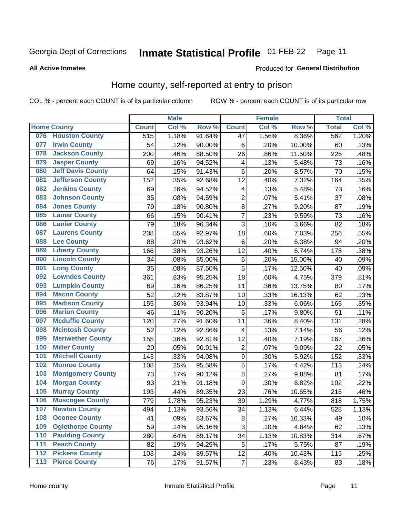#### **Inmate Statistical Profile 01-FEB-22** Page 11

#### **All Active Inmates**

### Produced for General Distribution

### Home county, self-reported at entry to prison

COL % - percent each COUNT is of its particular column

|       |                          |                  | <b>Male</b> |                  |                           | <b>Female</b> |        | <b>Total</b> |       |
|-------|--------------------------|------------------|-------------|------------------|---------------------------|---------------|--------|--------------|-------|
|       | <b>Home County</b>       | <b>Count</b>     | Col %       | Row <sup>%</sup> | <b>Count</b>              | Col %         | Row %  | <b>Total</b> | Col % |
| 076   | <b>Houston County</b>    | $\overline{515}$ | 1.18%       | 91.64%           | 47                        | 1.56%         | 8.36%  | 562          | 1.20% |
| 077   | <b>Irwin County</b>      | 54               | .12%        | 90.00%           | 6                         | .20%          | 10.00% | 60           | .13%  |
| 078   | <b>Jackson County</b>    | 200              | .46%        | 88.50%           | 26                        | .86%          | 11.50% | 226          | .48%  |
| 079   | <b>Jasper County</b>     | 69               | .16%        | 94.52%           | 4                         | .13%          | 5.48%  | 73           | .16%  |
| 080   | <b>Jeff Davis County</b> | 64               | .15%        | 91.43%           | 6                         | .20%          | 8.57%  | 70           | .15%  |
| 081   | <b>Jefferson County</b>  | 152              | .35%        | 92.68%           | 12                        | .40%          | 7.32%  | 164          | .35%  |
| 082   | <b>Jenkins County</b>    | 69               | .16%        | 94.52%           | $\overline{\mathbf{4}}$   | .13%          | 5.48%  | 73           | .16%  |
| 083   | <b>Johnson County</b>    | 35               | .08%        | 94.59%           | $\overline{2}$            | .07%          | 5.41%  | 37           | .08%  |
| 084   | <b>Jones County</b>      | 79               | .18%        | 90.80%           | 8                         | .27%          | 9.20%  | 87           | .19%  |
| 085   | <b>Lamar County</b>      | 66               | .15%        | 90.41%           | $\overline{7}$            | .23%          | 9.59%  | 73           | .16%  |
| 086   | <b>Lanier County</b>     | 79               | .18%        | 96.34%           | $\overline{3}$            | .10%          | 3.66%  | 82           | .18%  |
| 087   | <b>Laurens County</b>    | 238              | .55%        | 92.97%           | 18                        | .60%          | 7.03%  | 256          | .55%  |
| 088   | <b>Lee County</b>        | 88               | .20%        | 93.62%           | 6                         | .20%          | 6.38%  | 94           | .20%  |
| 089   | <b>Liberty County</b>    | 166              | .38%        | 93.26%           | 12                        | .40%          | 6.74%  | 178          | .38%  |
| 090   | <b>Lincoln County</b>    | 34               | .08%        | 85.00%           | $\,6$                     | .20%          | 15.00% | 40           | .09%  |
| 091   | <b>Long County</b>       | 35               | .08%        | 87.50%           | 5                         | .17%          | 12.50% | 40           | .09%  |
| 092   | <b>Lowndes County</b>    | 361              | .83%        | 95.25%           | 18                        | .60%          | 4.75%  | 379          | .81%  |
| 093   | <b>Lumpkin County</b>    | 69               | .16%        | 86.25%           | 11                        | .36%          | 13.75% | 80           | .17%  |
| 094   | <b>Macon County</b>      | 52               | .12%        | 83.87%           | 10                        | .33%          | 16.13% | 62           | .13%  |
| 095   | <b>Madison County</b>    | 155              | .36%        | 93.94%           | 10                        | .33%          | 6.06%  | 165          | .35%  |
| 096   | <b>Marion County</b>     | 46               | .11%        | 90.20%           | 5                         | .17%          | 9.80%  | 51           | .11%  |
| 097   | <b>Mcduffie County</b>   | 120              | .27%        | 91.60%           | 11                        | .36%          | 8.40%  | 131          | .28%  |
| 098   | <b>Mcintosh County</b>   | 52               | .12%        | 92.86%           | $\overline{\mathbf{4}}$   | .13%          | 7.14%  | 56           | .12%  |
| 099   | <b>Meriwether County</b> | 155              | .36%        | 92.81%           | 12                        | .40%          | 7.19%  | 167          | .36%  |
| 100   | <b>Miller County</b>     | 20               | .05%        | 90.91%           | $\mathbf 2$               | .07%          | 9.09%  | 22           | .05%  |
| 101   | <b>Mitchell County</b>   | 143              | .33%        | 94.08%           | $\boldsymbol{9}$          | .30%          | 5.92%  | 152          | .33%  |
| 102   | <b>Monroe County</b>     | 108              | .25%        | 95.58%           | $\overline{5}$            | .17%          | 4.42%  | 113          | .24%  |
| 103   | <b>Montgomery County</b> | 73               | .17%        | 90.12%           | 8                         | .27%          | 9.88%  | 81           | .17%  |
| 104   | <b>Morgan County</b>     | 93               | .21%        | 91.18%           | 9                         | .30%          | 8.82%  | 102          | .22%  |
| 105   | <b>Murray County</b>     | 193              | .44%        | 89.35%           | 23                        | .76%          | 10.65% | 216          | .46%  |
| 106   | <b>Muscogee County</b>   | 779              | 1.78%       | 95.23%           | 39                        | 1.29%         | 4.77%  | 818          | 1.75% |
| 107   | <b>Newton County</b>     | 494              | 1.13%       | 93.56%           | 34                        | 1.13%         | 6.44%  | 528          | 1.13% |
| 108   | <b>Oconee County</b>     | 41               | .09%        | 83.67%           | 8                         | .27%          | 16.33% | 49           | .10%  |
| 109   | <b>Oglethorpe County</b> | 59               | .14%        | 95.16%           | $\ensuremath{\mathsf{3}}$ | .10%          | 4.84%  | 62           | .13%  |
| 110   | <b>Paulding County</b>   | 280              | .64%        | 89.17%           | 34                        | 1.13%         | 10.83% | 314          | .67%  |
| 111   | <b>Peach County</b>      | 82               | .19%        | 94.25%           | 5                         | .17%          | 5.75%  | 87           | .19%  |
| 112   | <b>Pickens County</b>    | 103              | .24%        | 89.57%           | 12                        | .40%          | 10.43% | 115          | .25%  |
| $113$ | <b>Pierce County</b>     | 76               | .17%        | 91.57%           | $\overline{7}$            | .23%          | 8.43%  | 83           | .18%  |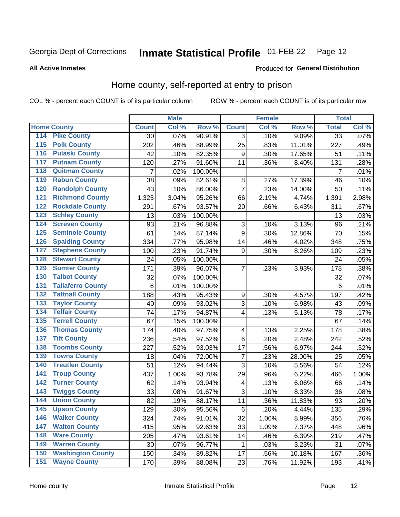#### **Inmate Statistical Profile 01-FEB-22** Page 12

**All Active Inmates** 

#### Produced for General Distribution

### Home county, self-reported at entry to prison

COL % - percent each COUNT is of its particular column

|                  |                          |                    | <b>Male</b> |                  |                         | <b>Female</b> |        | <b>Total</b>    |       |
|------------------|--------------------------|--------------------|-------------|------------------|-------------------------|---------------|--------|-----------------|-------|
|                  | <b>Home County</b>       | <b>Count</b>       | Col %       | Row <sup>%</sup> | <b>Count</b>            | Col %         | Row %  | <b>Total</b>    | Col % |
| 114              | <b>Pike County</b>       | 30                 | .07%        | 90.91%           | 3                       | .10%          | 9.09%  | $\overline{33}$ | .07%  |
| $\overline{115}$ | <b>Polk County</b>       | 202                | .46%        | 88.99%           | 25                      | .83%          | 11.01% | 227             | .49%  |
| 116              | <b>Pulaski County</b>    | 42                 | .10%        | 82.35%           | $\boldsymbol{9}$        | .30%          | 17.65% | 51              | .11%  |
| 117              | <b>Putnam County</b>     | 120                | .27%        | 91.60%           | 11                      | .36%          | 8.40%  | 131             | .28%  |
| 118              | <b>Quitman County</b>    | $\overline{7}$     | .02%        | 100.00%          |                         |               |        | $\overline{7}$  | .01%  |
| 119              | <b>Rabun County</b>      | 38                 | .09%        | 82.61%           | 8                       | .27%          | 17.39% | 46              | .10%  |
| 120              | <b>Randolph County</b>   | 43                 | .10%        | 86.00%           | $\overline{7}$          | .23%          | 14.00% | 50              | .11%  |
| 121              | <b>Richmond County</b>   | $\overline{1,}325$ | 3.04%       | 95.26%           | 66                      | 2.19%         | 4.74%  | 1,391           | 2.98% |
| 122              | <b>Rockdale County</b>   | 291                | .67%        | 93.57%           | 20                      | .66%          | 6.43%  | 311             | .67%  |
| 123              | <b>Schley County</b>     | 13                 | .03%        | 100.00%          |                         |               |        | 13              | .03%  |
| 124              | <b>Screven County</b>    | 93                 | .21%        | 96.88%           | $\sqrt{3}$              | .10%          | 3.13%  | 96              | .21%  |
| 125              | <b>Seminole County</b>   | 61                 | .14%        | 87.14%           | $\boldsymbol{9}$        | .30%          | 12.86% | 70              | .15%  |
| 126              | <b>Spalding County</b>   | 334                | .77%        | 95.98%           | 14                      | .46%          | 4.02%  | 348             | .75%  |
| 127              | <b>Stephens County</b>   | 100                | .23%        | 91.74%           | 9                       | .30%          | 8.26%  | 109             | .23%  |
| 128              | <b>Stewart County</b>    | 24                 | .05%        | 100.00%          |                         |               |        | 24              | .05%  |
| 129              | <b>Sumter County</b>     | 171                | .39%        | 96.07%           | $\overline{7}$          | .23%          | 3.93%  | 178             | .38%  |
| 130              | <b>Talbot County</b>     | 32                 | .07%        | 100.00%          |                         |               |        | 32              | .07%  |
| 131              | <b>Taliaferro County</b> | 6                  | .01%        | 100.00%          |                         |               |        | 6               | .01%  |
| 132              | <b>Tattnall County</b>   | 188                | .43%        | 95.43%           | $\boldsymbol{9}$        | .30%          | 4.57%  | 197             | .42%  |
| 133              | <b>Taylor County</b>     | 40                 | .09%        | 93.02%           | 3                       | .10%          | 6.98%  | 43              | .09%  |
| 134              | <b>Telfair County</b>    | 74                 | .17%        | 94.87%           | $\overline{\mathbf{4}}$ | .13%          | 5.13%  | 78              | .17%  |
| 135              | <b>Terrell County</b>    | 67                 | .15%        | 100.00%          |                         |               |        | 67              | .14%  |
| 136              | <b>Thomas County</b>     | 174                | .40%        | 97.75%           | $\overline{\mathbf{4}}$ | .13%          | 2.25%  | 178             | .38%  |
| 137              | <b>Tift County</b>       | 236                | .54%        | 97.52%           | $\,6$                   | .20%          | 2.48%  | 242             | .52%  |
| 138              | <b>Toombs County</b>     | 227                | .52%        | 93.03%           | 17                      | .56%          | 6.97%  | 244             | .52%  |
| 139              | <b>Towns County</b>      | 18                 | .04%        | 72.00%           | 7                       | .23%          | 28.00% | 25              | .05%  |
| 140              | <b>Treutlen County</b>   | 51                 | .12%        | 94.44%           | $\overline{3}$          | .10%          | 5.56%  | 54              | .12%  |
| 141              | <b>Troup County</b>      | 437                | 1.00%       | 93.78%           | 29                      | .96%          | 6.22%  | 466             | 1.00% |
| $\overline{142}$ | <b>Turner County</b>     | 62                 | .14%        | 93.94%           | $\overline{\mathbf{4}}$ | .13%          | 6.06%  | 66              | .14%  |
| 143              | <b>Twiggs County</b>     | 33                 | .08%        | 91.67%           | $\overline{3}$          | .10%          | 8.33%  | 36              | .08%  |
| 144              | <b>Union County</b>      | 82                 | .19%        | 88.17%           | 11                      | .36%          | 11.83% | 93              | .20%  |
| 145              | <b>Upson County</b>      | 129                | .30%        | 95.56%           | $\,6$                   | .20%          | 4.44%  | 135             | .29%  |
| 146              | <b>Walker County</b>     | 324                | .74%        | 91.01%           | 32                      | 1.06%         | 8.99%  | 356             | .76%  |
| 147              | <b>Walton County</b>     | 415                | .95%        | 92.63%           | 33                      | 1.09%         | 7.37%  | 448             | .96%  |
| 148              | <b>Ware County</b>       | 205                | .47%        | 93.61%           | 14                      | .46%          | 6.39%  | 219             | .47%  |
| 149              | <b>Warren County</b>     | 30                 | .07%        | 96.77%           | 1                       | .03%          | 3.23%  | 31              | .07%  |
| 150              | <b>Washington County</b> | 150                | .34%        | 89.82%           | 17                      | .56%          | 10.18% | 167             | .36%  |
| 151              | <b>Wayne County</b>      | 170                | .39%        | 88.08%           | 23                      | .76%          | 11.92% | 193             | .41%  |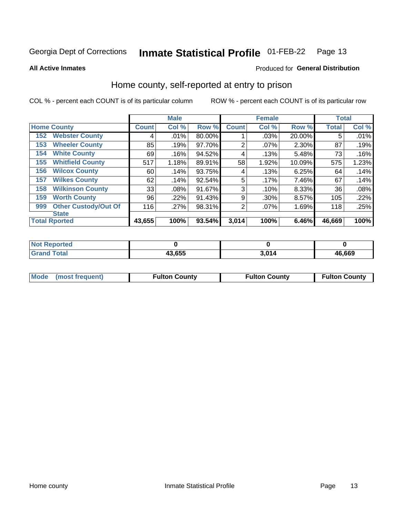#### Inmate Statistical Profile 01-FEB-22 Page 13

**All Active Inmates** 

#### Produced for General Distribution

### Home county, self-reported at entry to prison

COL % - percent each COUNT is of its particular column

|     |                             |              | <b>Male</b> |        |              | <b>Female</b> |        | <b>Total</b> |       |
|-----|-----------------------------|--------------|-------------|--------|--------------|---------------|--------|--------------|-------|
|     | <b>Home County</b>          | <b>Count</b> | Col %       | Row %  | <b>Count</b> | Col %         | Row %  | <b>Total</b> | Col % |
| 152 | <b>Webster County</b>       | 4            | .01%        | 80.00% |              | .03%          | 20.00% | 5            | .01%  |
| 153 | <b>Wheeler County</b>       | 85           | .19%        | 97.70% | 2            | .07%          | 2.30%  | 87           | .19%  |
| 154 | <b>White County</b>         | 69           | .16%        | 94.52% | 4            | .13%          | 5.48%  | 73           | .16%  |
| 155 | <b>Whitfield County</b>     | 517          | 1.18%       | 89.91% | 58           | 1.92%         | 10.09% | 575          | 1.23% |
| 156 | <b>Wilcox County</b>        | 60           | .14%        | 93.75% | 4            | .13%          | 6.25%  | 64           | .14%  |
| 157 | <b>Wilkes County</b>        | 62           | .14%        | 92.54% | 5            | .17%          | 7.46%  | 67           | .14%  |
| 158 | <b>Wilkinson County</b>     | 33           | $.08\%$     | 91.67% | 3            | .10%          | 8.33%  | 36           | .08%  |
| 159 | <b>Worth County</b>         | 96           | .22%        | 91.43% | 9            | .30%          | 8.57%  | 105          | .22%  |
| 999 | <b>Other Custody/Out Of</b> | 116          | .27%        | 98.31% | 2            | .07%          | 1.69%  | 118          | .25%  |
|     | <b>State</b>                |              |             |        |              |               |        |              |       |
|     | <b>Total Rported</b>        | 43,655       | 100%        | 93.54% | 3,014        | 100%          | 6.46%  | 46,669       | 100%  |

| Reported<br>NOT |        |           |        |
|-----------------|--------|-----------|--------|
| <b>Total</b>    | 43,655 | <b>04</b> | 46,669 |

|  | Mode (most frequent) | <b>Fulton County</b> | <b>Fulton County</b> | <b>Fulton County</b> |
|--|----------------------|----------------------|----------------------|----------------------|
|--|----------------------|----------------------|----------------------|----------------------|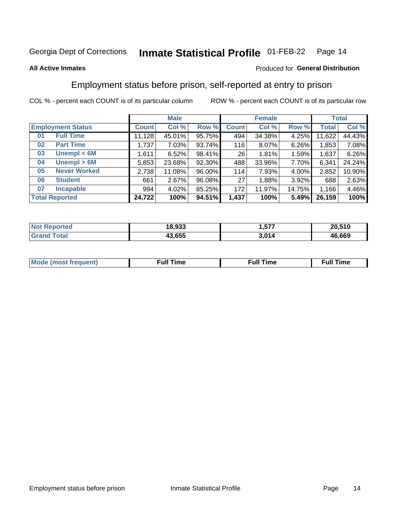#### Inmate Statistical Profile 01-FEB-22 Page 14

#### **All Active Inmates**

#### Produced for General Distribution

### Employment status before prison, self-reported at entry to prison

COL % - percent each COUNT is of its particular column

|                           |              | <b>Male</b> |        |              | <b>Female</b> |          |              | <b>Total</b> |
|---------------------------|--------------|-------------|--------|--------------|---------------|----------|--------------|--------------|
| <b>Employment Status</b>  | <b>Count</b> | Col %       | Row %  | <b>Count</b> | Col %         | Row %    | <b>Total</b> | Col %        |
| <b>Full Time</b><br>01    | 11,128       | 45.01%      | 95.75% | 494          | 34.38%        | $4.25\%$ | 11,622       | 44.43%       |
| <b>Part Time</b><br>02    | 1,737        | 7.03%       | 93.74% | 116          | 8.07%         | 6.26%    | 1,853        | 7.08%        |
| Unempl $<$ 6M<br>03       | 1,611        | 6.52%       | 98.41% | 26           | 1.81%         | 1.59%    | 1,637        | 6.26%        |
| Unempl > 6M<br>04         | 5,853        | 23.68%      | 92.30% | 488          | 33.96%        | 7.70%    | 6,341        | 24.24%       |
| <b>Never Worked</b><br>05 | 2,738        | 11.08%      | 96.00% | 114          | 7.93%         | 4.00%    | 2,852        | 10.90%       |
| <b>Student</b><br>06      | 661          | 2.67%       | 96.08% | 27           | 1.88%         | 3.92%    | 688          | 2.63%        |
| <b>Incapable</b><br>07    | 994          | 4.02%       | 85.25% | 172          | 11.97%        | 14.75%   | 1,166        | 4.46%        |
| <b>Total Reported</b>     | 24,722       | 100%        | 94.51% | 1,437        | 100%          | 5.49%    | 26,159       | 100%         |

| orteo<br>NO | 18.933 | ---<br>∽ | 20,510 |
|-------------|--------|----------|--------|
| $\sim$      | 43.655 | 3.014    | 46,669 |

| Mc | ∙u∥<br>----<br>ıme | ίuΙ<br>Πmε |
|----|--------------------|------------|
|    |                    |            |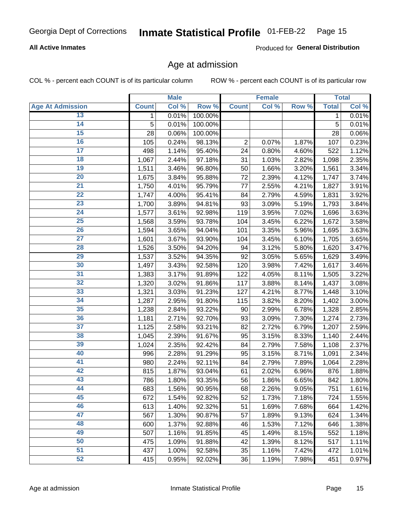#### **All Active Inmates**

Produced for General Distribution

### Age at admission

COL % - percent each COUNT is of its particular column

|                         |              | <b>Male</b> |         |                | <b>Female</b> |       |              | <b>Total</b> |
|-------------------------|--------------|-------------|---------|----------------|---------------|-------|--------------|--------------|
| <b>Age At Admission</b> | <b>Count</b> | Col %       | Row %   | <b>Count</b>   | Col %         | Row % | <b>Total</b> | Col %        |
| 13                      | 1            | 0.01%       | 100.00% |                |               |       | 1            | 0.01%        |
| $\overline{14}$         | 5            | 0.01%       | 100.00% |                |               |       | 5            | 0.01%        |
| 15                      | 28           | 0.06%       | 100.00% |                |               |       | 28           | 0.06%        |
| 16                      | 105          | 0.24%       | 98.13%  | $\overline{2}$ | 0.07%         | 1.87% | 107          | 0.23%        |
| $\overline{17}$         | 498          | 1.14%       | 95.40%  | 24             | 0.80%         | 4.60% | 522          | 1.12%        |
| 18                      | 1,067        | 2.44%       | 97.18%  | 31             | 1.03%         | 2.82% | 1,098        | 2.35%        |
| 19                      | 1,511        | 3.46%       | 96.80%  | 50             | 1.66%         | 3.20% | 1,561        | 3.34%        |
| 20                      | 1,675        | 3.84%       | 95.88%  | 72             | 2.39%         | 4.12% | 1,747        | 3.74%        |
| $\overline{21}$         | 1,750        | 4.01%       | 95.79%  | 77             | 2.55%         | 4.21% | 1,827        | 3.91%        |
| $\overline{22}$         | 1,747        | 4.00%       | 95.41%  | 84             | 2.79%         | 4.59% | 1,831        | 3.92%        |
| 23                      | 1,700        | 3.89%       | 94.81%  | 93             | 3.09%         | 5.19% | 1,793        | 3.84%        |
| 24                      | 1,577        | 3.61%       | 92.98%  | 119            | 3.95%         | 7.02% | 1,696        | 3.63%        |
| $\overline{25}$         | 1,568        | 3.59%       | 93.78%  | 104            | 3.45%         | 6.22% | 1,672        | 3.58%        |
| 26                      | 1,594        | 3.65%       | 94.04%  | 101            | 3.35%         | 5.96% | 1,695        | 3.63%        |
| 27                      | 1,601        | 3.67%       | 93.90%  | 104            | 3.45%         | 6.10% | 1,705        | 3.65%        |
| 28                      | 1,526        | 3.50%       | 94.20%  | 94             | 3.12%         | 5.80% | 1,620        | 3.47%        |
| 29                      | 1,537        | 3.52%       | 94.35%  | 92             | 3.05%         | 5.65% | 1,629        | 3.49%        |
| 30                      | 1,497        | 3.43%       | 92.58%  | 120            | 3.98%         | 7.42% | 1,617        | 3.46%        |
| 31                      | 1,383        | 3.17%       | 91.89%  | 122            | 4.05%         | 8.11% | 1,505        | 3.22%        |
| 32                      | 1,320        | 3.02%       | 91.86%  | 117            | 3.88%         | 8.14% | 1,437        | 3.08%        |
| 33                      | 1,321        | 3.03%       | 91.23%  | 127            | 4.21%         | 8.77% | 1,448        | 3.10%        |
| 34                      | 1,287        | 2.95%       | 91.80%  | 115            | 3.82%         | 8.20% | 1,402        | 3.00%        |
| 35                      | 1,238        | 2.84%       | 93.22%  | 90             | 2.99%         | 6.78% | 1,328        | 2.85%        |
| 36                      | 1,181        | 2.71%       | 92.70%  | 93             | 3.09%         | 7.30% | 1,274        | 2.73%        |
| $\overline{37}$         | 1,125        | 2.58%       | 93.21%  | 82             | 2.72%         | 6.79% | 1,207        | 2.59%        |
| 38                      | 1,045        | 2.39%       | 91.67%  | 95             | 3.15%         | 8.33% | 1,140        | 2.44%        |
| 39                      | 1,024        | 2.35%       | 92.42%  | 84             | 2.79%         | 7.58% | 1,108        | 2.37%        |
| 40                      | 996          | 2.28%       | 91.29%  | 95             | 3.15%         | 8.71% | 1,091        | 2.34%        |
| 41                      | 980          | 2.24%       | 92.11%  | 84             | 2.79%         | 7.89% | 1,064        | 2.28%        |
| 42                      | 815          | 1.87%       | 93.04%  | 61             | 2.02%         | 6.96% | 876          | 1.88%        |
| 43                      | 786          | 1.80%       | 93.35%  | 56             | 1.86%         | 6.65% | 842          | 1.80%        |
| 44                      | 683          | 1.56%       | 90.95%  | 68             | 2.26%         | 9.05% | 751          | 1.61%        |
| 45                      | 672          | 1.54%       | 92.82%  | 52             | 1.73%         | 7.18% | 724          | 1.55%        |
| 46                      | 613          | 1.40%       | 92.32%  | 51             | 1.69%         | 7.68% | 664          | 1.42%        |
| 47                      | 567          | 1.30%       | 90.87%  | 57             | 1.89%         | 9.13% | 624          | 1.34%        |
| 48                      | 600          | 1.37%       | 92.88%  | 46             | 1.53%         | 7.12% | 646          | 1.38%        |
| 49                      | 507          | 1.16%       | 91.85%  | 45             | 1.49%         | 8.15% | 552          | 1.18%        |
| 50                      | 475          | 1.09%       | 91.88%  | 42             | 1.39%         | 8.12% | 517          | 1.11%        |
| 51                      | 437          | 1.00%       | 92.58%  | 35             | 1.16%         | 7.42% | 472          | 1.01%        |
| 52                      | 415          | 0.95%       | 92.02%  | 36             | 1.19%         | 7.98% | 451          | 0.97%        |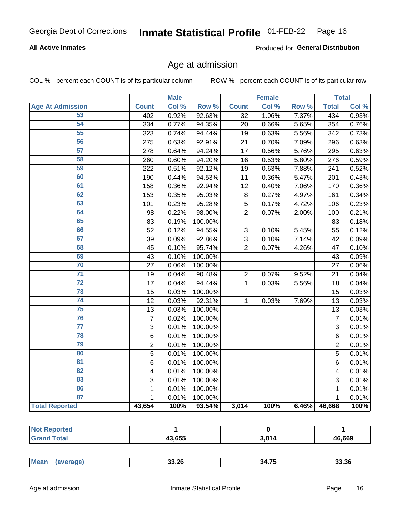#### **All Active Inmates**

Produced for General Distribution

### Age at admission

COL % - percent each COUNT is of its particular column

|                         |                | <b>Male</b> |         |                 | <b>Female</b> |       |                | <b>Total</b> |
|-------------------------|----------------|-------------|---------|-----------------|---------------|-------|----------------|--------------|
| <b>Age At Admission</b> | <b>Count</b>   | Col %       | Row %   | <b>Count</b>    | Col %         | Row % | <b>Total</b>   | Col %        |
| 53                      | 402            | 0.92%       | 92.63%  | $\overline{32}$ | 1.06%         | 7.37% | 434            | 0.93%        |
| 54                      | 334            | 0.77%       | 94.35%  | 20              | 0.66%         | 5.65% | 354            | 0.76%        |
| 55                      | 323            | 0.74%       | 94.44%  | 19              | 0.63%         | 5.56% | 342            | 0.73%        |
| 56                      | 275            | 0.63%       | 92.91%  | 21              | 0.70%         | 7.09% | 296            | 0.63%        |
| $\overline{57}$         | 278            | 0.64%       | 94.24%  | 17              | 0.56%         | 5.76% | 295            | 0.63%        |
| 58                      | 260            | 0.60%       | 94.20%  | 16              | 0.53%         | 5.80% | 276            | 0.59%        |
| 59                      | 222            | 0.51%       | 92.12%  | 19              | 0.63%         | 7.88% | 241            | 0.52%        |
| 60                      | 190            | 0.44%       | 94.53%  | 11              | 0.36%         | 5.47% | 201            | 0.43%        |
| 61                      | 158            | 0.36%       | 92.94%  | 12              | 0.40%         | 7.06% | 170            | 0.36%        |
| 62                      | 153            | 0.35%       | 95.03%  | 8               | 0.27%         | 4.97% | 161            | 0.34%        |
| 63                      | 101            | 0.23%       | 95.28%  | 5               | 0.17%         | 4.72% | 106            | 0.23%        |
| 64                      | 98             | 0.22%       | 98.00%  | $\overline{2}$  | 0.07%         | 2.00% | 100            | 0.21%        |
| 65                      | 83             | 0.19%       | 100.00% |                 |               |       | 83             | 0.18%        |
| 66                      | 52             | 0.12%       | 94.55%  | $\mathbf{3}$    | 0.10%         | 5.45% | 55             | 0.12%        |
| 67                      | 39             | 0.09%       | 92.86%  | 3               | 0.10%         | 7.14% | 42             | 0.09%        |
| 68                      | 45             | 0.10%       | 95.74%  | $\overline{2}$  | 0.07%         | 4.26% | 47             | 0.10%        |
| 69                      | 43             | 0.10%       | 100.00% |                 |               |       | 43             | 0.09%        |
| 70                      | 27             | 0.06%       | 100.00% |                 |               |       | 27             | 0.06%        |
| $\overline{71}$         | 19             | 0.04%       | 90.48%  | $\overline{2}$  | 0.07%         | 9.52% | 21             | 0.04%        |
| $\overline{72}$         | 17             | 0.04%       | 94.44%  | $\mathbf 1$     | 0.03%         | 5.56% | 18             | 0.04%        |
| $\overline{73}$         | 15             | 0.03%       | 100.00% |                 |               |       | 15             | 0.03%        |
| $\overline{74}$         | 12             | 0.03%       | 92.31%  | $\mathbf{1}$    | 0.03%         | 7.69% | 13             | 0.03%        |
| 75                      | 13             | 0.03%       | 100.00% |                 |               |       | 13             | 0.03%        |
| 76                      | $\overline{7}$ | 0.02%       | 100.00% |                 |               |       | $\overline{7}$ | 0.01%        |
| $\overline{77}$         | $\overline{3}$ | 0.01%       | 100.00% |                 |               |       | $\overline{3}$ | 0.01%        |
| 78                      | $\overline{6}$ | 0.01%       | 100.00% |                 |               |       | $\,6$          | 0.01%        |
| 79                      | $\overline{2}$ | 0.01%       | 100.00% |                 |               |       | $\overline{2}$ | 0.01%        |
| 80                      | $\overline{5}$ | 0.01%       | 100.00% |                 |               |       | $\overline{5}$ | 0.01%        |
| 81                      | 6              | 0.01%       | 100.00% |                 |               |       | 6              | 0.01%        |
| $\overline{82}$         | 4              | 0.01%       | 100.00% |                 |               |       | 4              | 0.01%        |
| 83                      | 3              | 0.01%       | 100.00% |                 |               |       | 3              | 0.01%        |
| 86                      | 1              | 0.01%       | 100.00% |                 |               |       | 1              | 0.01%        |
| 87                      | $\mathbf{1}$   | 0.01%       | 100.00% |                 |               |       | $\mathbf{1}$   | 0.01%        |
| <b>Total Reported</b>   | 43,654         | 100%        | 93.54%  | 3,014           | 100%          | 6.46% | 46,668         | 100%         |

| orteal<br>$\sim$ |        |       |        |
|------------------|--------|-------|--------|
| Total            | 43,655 | 3.014 | 46,669 |

| Mear<br>33.26<br>34<br>33.30<br>чин.<br>י יד<br>$\cdots$ |
|----------------------------------------------------------|
|----------------------------------------------------------|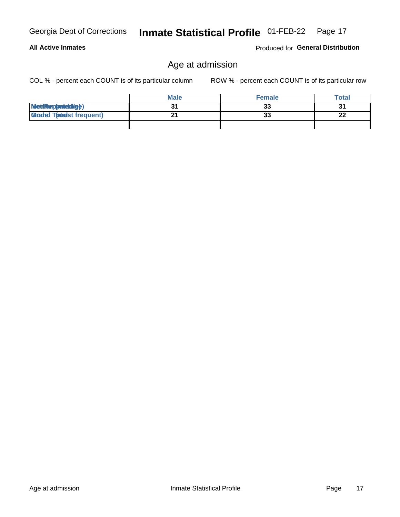#### **All Active Inmates**

Produced for General Distribution

### Age at admission

COL % - percent each COUNT is of its particular column

|                                  | <b>Male</b> | <b>Female</b> | <b>Total</b> |
|----------------------------------|-------------|---------------|--------------|
| MetiRep(aniektig)                |             | 33            | 21           |
| <b>Gloaded Tomadst frequent)</b> |             | 33            | າາ<br>LL     |
|                                  |             |               |              |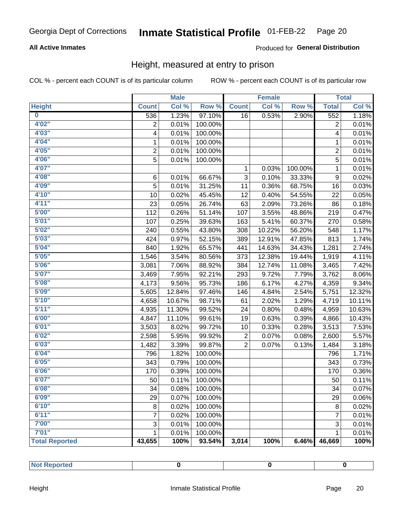#### **All Active Inmates**

#### Produced for General Distribution

### Height, measured at entry to prison

COL % - percent each COUNT is of its particular column

|                       |                | <b>Male</b> |         |                | <b>Female</b>             |         |                           | <b>Total</b> |
|-----------------------|----------------|-------------|---------|----------------|---------------------------|---------|---------------------------|--------------|
| <b>Height</b>         | <b>Count</b>   | Col %       | Row %   | <b>Count</b>   | $\overline{\text{Col 9}}$ | Row %   | <b>Total</b>              | Col %        |
| $\bf{0}$              | 536            | 1.23%       | 97.10%  | 16             | 0.53%                     | 2.90%   | 552                       | 1.18%        |
| 4'02"                 | $\overline{2}$ | 0.01%       | 100.00% |                |                           |         | 2                         | 0.01%        |
| 4'03''                | 4              | 0.01%       | 100.00% |                |                           |         | 4                         | 0.01%        |
| 4'04"                 | 1              | 0.01%       | 100.00% |                |                           |         | 1                         | 0.01%        |
| 4'05"                 | $\overline{2}$ | 0.01%       | 100.00% |                |                           |         | $\overline{2}$            | 0.01%        |
| 4'06"                 | 5              | 0.01%       | 100.00% |                |                           |         | 5                         | 0.01%        |
| 4'07"                 |                |             |         | 1              | 0.03%                     | 100.00% | 1                         | 0.01%        |
| 4'08"                 | 6              | 0.01%       | 66.67%  | 3              | 0.10%                     | 33.33%  | $\boldsymbol{9}$          | 0.02%        |
| 4'09"                 | 5              | 0.01%       | 31.25%  | 11             | 0.36%                     | 68.75%  | 16                        | 0.03%        |
| 4'10"                 | 10             | 0.02%       | 45.45%  | 12             | 0.40%                     | 54.55%  | 22                        | 0.05%        |
| 4'11''                | 23             | 0.05%       | 26.74%  | 63             | 2.09%                     | 73.26%  | 86                        | 0.18%        |
| 5'00''                | 112            | 0.26%       | 51.14%  | 107            | 3.55%                     | 48.86%  | 219                       | 0.47%        |
| 5'01"                 | 107            | 0.25%       | 39.63%  | 163            | 5.41%                     | 60.37%  | 270                       | 0.58%        |
| 5'02"                 | 240            | 0.55%       | 43.80%  | 308            | 10.22%                    | 56.20%  | 548                       | 1.17%        |
| 5'03''                | 424            | 0.97%       | 52.15%  | 389            | 12.91%                    | 47.85%  | 813                       | 1.74%        |
| 5'04"                 | 840            | 1.92%       | 65.57%  | 441            | 14.63%                    | 34.43%  | 1,281                     | 2.74%        |
| 5'05"                 | 1,546          | 3.54%       | 80.56%  | 373            | 12.38%                    | 19.44%  | 1,919                     | 4.11%        |
| 5'06''                | 3,081          | 7.06%       | 88.92%  | 384            | 12.74%                    | 11.08%  | 3,465                     | 7.42%        |
| 5'07"                 | 3,469          | 7.95%       | 92.21%  | 293            | 9.72%                     | 7.79%   | 3,762                     | 8.06%        |
| 5'08''                | 4,173          | 9.56%       | 95.73%  | 186            | 6.17%                     | 4.27%   | 4,359                     | 9.34%        |
| 5'09''                | 5,605          | 12.84%      | 97.46%  | 146            | 4.84%                     | 2.54%   | 5,751                     | 12.32%       |
| 5'10''                | 4,658          | 10.67%      | 98.71%  | 61             | 2.02%                     | 1.29%   | 4,719                     | 10.11%       |
| 5'11''                | 4,935          | 11.30%      | 99.52%  | 24             | 0.80%                     | 0.48%   | 4,959                     | 10.63%       |
| 6'00''                | 4,847          | 11.10%      | 99.61%  | 19             | 0.63%                     | 0.39%   | 4,866                     | 10.43%       |
| 6'01''                | 3,503          | 8.02%       | 99.72%  | 10             | 0.33%                     | 0.28%   | 3,513                     | 7.53%        |
| 6'02"                 | 2,598          | 5.95%       | 99.92%  | 2              | 0.07%                     | 0.08%   | 2,600                     | 5.57%        |
| 6'03''                | 1,482          | 3.39%       | 99.87%  | $\overline{2}$ | 0.07%                     | 0.13%   | 1,484                     | 3.18%        |
| 6'04"                 | 796            | 1.82%       | 100.00% |                |                           |         | 796                       | 1.71%        |
| 6'05"                 | 343            | 0.79%       | 100.00% |                |                           |         | 343                       | 0.73%        |
| 6'06''                | 170            | 0.39%       | 100.00% |                |                           |         | 170                       | 0.36%        |
| 6'07''                | 50             | 0.11%       | 100.00% |                |                           |         | 50                        | 0.11%        |
| 6'08"                 | 34             | 0.08%       | 100.00% |                |                           |         | 34                        | 0.07%        |
| 6'09''                | 29             | 0.07%       | 100.00% |                |                           |         | 29                        | 0.06%        |
| 6'10''                | 8              | 0.02%       | 100.00% |                |                           |         | $\bf 8$                   | 0.02%        |
| 6'11''                | 7              | 0.02%       | 100.00% |                |                           |         | $\overline{7}$            | 0.01%        |
| 7'00"                 | 3              | 0.01%       | 100.00% |                |                           |         | $\ensuremath{\mathsf{3}}$ | 0.01%        |
| 7'01''                | 1              | 0.01%       | 100.00% |                |                           |         | 1                         | 0.01%        |
| <b>Total Reported</b> | 43,655         | 100%        | 93.54%  | 3,014          | 100%                      | 6.46%   | 46,669                    | 100%         |

| mer<br>$- - -$ |  |  |
|----------------|--|--|
|                |  |  |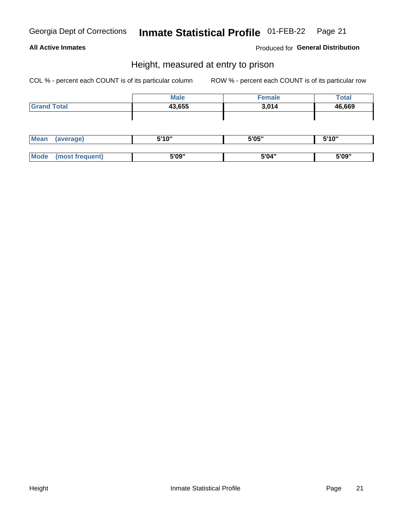#### **All Active Inmates**

Produced for General Distribution

### Height, measured at entry to prison

COL % - percent each COUNT is of its particular column

| <b>Total</b> |
|--------------|
| 46,669       |
|              |
|              |

| <b>Mean</b> | average)           | <b>EIA AIL</b><br>טוי | 5'05" | 5'10" |
|-------------|--------------------|-----------------------|-------|-------|
|             |                    |                       |       |       |
| <b>Mo</b>   | freauent)<br>.net. | 5'09"                 | 5'04" | 5'09" |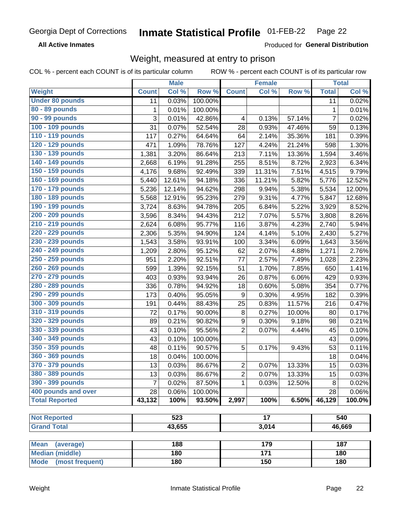**All Active Inmates** 

Produced for General Distribution

### Weight, measured at entry to prison

COL % - percent each COUNT is of its particular column

|                          |                | <b>Male</b> |         |                  | <b>Female</b>   |        |                 | <b>Total</b> |  |
|--------------------------|----------------|-------------|---------|------------------|-----------------|--------|-----------------|--------------|--|
| <b>Weight</b>            | <b>Count</b>   | Col %       | Row %   | <b>Count</b>     | Col %           | Row %  | <b>Total</b>    | Col %        |  |
| <b>Under 80 pounds</b>   | 11             | 0.03%       | 100.00% |                  |                 |        | $\overline{11}$ | 0.02%        |  |
| 80 - 89 pounds           | 1              | 0.01%       | 100.00% |                  |                 |        | 1               | 0.01%        |  |
| 90 - 99 pounds           | 3              | 0.01%       | 42.86%  | 4                | 0.13%           | 57.14% | $\overline{7}$  | 0.02%        |  |
| 100 - 109 pounds         | 31             | 0.07%       | 52.54%  | 28               | 0.93%           | 47.46% | 59              | 0.13%        |  |
| 110 - 119 pounds         | 117            | 0.27%       | 64.64%  | 64               | 2.14%           | 35.36% | 181             | 0.39%        |  |
| 120 - 129 pounds         | 471            | 1.09%       | 78.76%  | 127              | 4.24%           | 21.24% | 598             | 1.30%        |  |
| 130 - 139 pounds         | 1,381          | 3.20%       | 86.64%  | 213              | 7.11%           | 13.36% | 1,594           | 3.46%        |  |
| 140 - 149 pounds         | 2,668          | 6.19%       | 91.28%  | 255              | 8.51%           | 8.72%  | 2,923           | 6.34%        |  |
| 150 - 159 pounds         | 4,176          | 9.68%       | 92.49%  | 339              | 11.31%          | 7.51%  | 4,515           | 9.79%        |  |
| 160 - 169 pounds         | 5,440          | 12.61%      | 94.18%  | 336              | 11.21%          | 5.82%  | 5,776           | 12.52%       |  |
| 170 - 179 pounds         | 5,236          | 12.14%      | 94.62%  | 298              | 9.94%           | 5.38%  | 5,534           | 12.00%       |  |
| 180 - 189 pounds         | 5,568          | 12.91%      | 95.23%  | 279              | 9.31%           | 4.77%  | 5,847           | 12.68%       |  |
| 190 - 199 pounds         | 3,724          | 8.63%       | 94.78%  | 205              | 6.84%           | 5.22%  | 3,929           | 8.52%        |  |
| 200 - 209 pounds         | 3,596          | 8.34%       | 94.43%  | 212              | 7.07%           | 5.57%  | 3,808           | 8.26%        |  |
| 210 - 219 pounds         | 2,624          | 6.08%       | 95.77%  | 116              | 3.87%           | 4.23%  | 2,740           | 5.94%        |  |
| 220 - 229 pounds         | 2,306          | 5.35%       | 94.90%  | 124              | 4.14%           | 5.10%  | 2,430           | 5.27%        |  |
| 230 - 239 pounds         | 1,543          | 3.58%       | 93.91%  | 100              | 3.34%           | 6.09%  | 1,643           | 3.56%        |  |
| 240 - 249 pounds         | 1,209          | 2.80%       | 95.12%  | 62               | 2.07%           | 4.88%  | 1,271           | 2.76%        |  |
| 250 - 259 pounds         | 951            | 2.20%       | 92.51%  | 77               | 2.57%           | 7.49%  | 1,028           | 2.23%        |  |
| 260 - 269 pounds         | 599            | 1.39%       | 92.15%  | 51               | 1.70%           | 7.85%  | 650             | 1.41%        |  |
| 270 - 279 pounds         | 403            | 0.93%       | 93.94%  | 26               | 0.87%           | 6.06%  | 429             | 0.93%        |  |
| 280 - 289 pounds         | 336            | 0.78%       | 94.92%  | 18               | 0.60%           | 5.08%  | 354             | 0.77%        |  |
| 290 - 299 pounds         | 173            | 0.40%       | 95.05%  | $\boldsymbol{9}$ | 0.30%           | 4.95%  | 182             | 0.39%        |  |
| 300 - 309 pounds         | 191            | 0.44%       | 88.43%  | 25               | 0.83%           | 11.57% | 216             | 0.47%        |  |
| 310 - 319 pounds         | 72             | 0.17%       | 90.00%  | 8                | 0.27%           | 10.00% | 80              | 0.17%        |  |
| 320 - 329 pounds         | 89             | 0.21%       | 90.82%  | $\boldsymbol{9}$ | 0.30%           | 9.18%  | 98              | 0.21%        |  |
| 330 - 339 pounds         | 43             | 0.10%       | 95.56%  | $\overline{c}$   | 0.07%           | 4.44%  | 45              | 0.10%        |  |
| 340 - 349 pounds         | 43             | 0.10%       | 100.00% |                  |                 |        | 43              | 0.09%        |  |
| 350 - 359 pounds         | 48             | 0.11%       | 90.57%  | 5                | 0.17%           | 9.43%  | 53              | 0.11%        |  |
| 360 - 369 pounds         | 18             | 0.04%       | 100.00% |                  |                 |        | 18              | 0.04%        |  |
| 370 - 379 pounds         | 13             | 0.03%       | 86.67%  | $\overline{2}$   | 0.07%           | 13.33% | 15              | 0.03%        |  |
| 380 - 389 pounds         | 13             | 0.03%       | 86.67%  | $\overline{2}$   | 0.07%           | 13.33% | 15              | 0.03%        |  |
| 390 - 399 pounds         | $\overline{7}$ | 0.02%       | 87.50%  | 1                | 0.03%           | 12.50% | 8               | 0.02%        |  |
| 400 pounds and over      | 28             | $0.06\%$    | 100.00% |                  |                 |        | 28              | 0.06%        |  |
| <b>Total Reported</b>    | 43,132         | 100%        | 93.50%  | 2,997            | 100%            | 6.50%  | 46,129          | 100.0%       |  |
|                          |                |             |         |                  |                 |        |                 |              |  |
| <b>Not Reported</b>      |                | 523         |         |                  | $\overline{17}$ |        |                 | 540          |  |
| <b>Grand Total</b>       |                | 43,655      |         | 3,014            |                 |        |                 | 46,669       |  |
| <b>Mean</b><br>(average) |                | 188         |         |                  | 179             |        |                 | 187          |  |
| <b>Median (middle)</b>   |                | 180         |         |                  | $\frac{1}{171}$ |        |                 | 180          |  |
| Mode (most frequent)     |                | 180         |         | 150              |                 |        | 180             |              |  |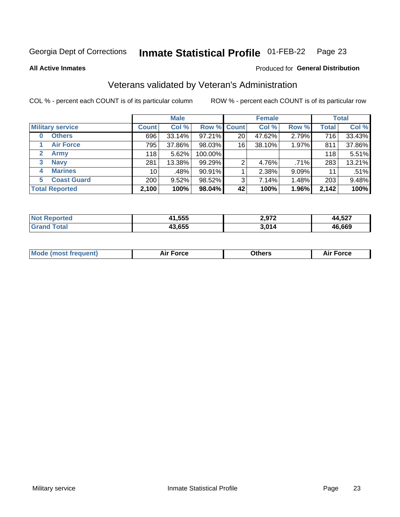#### Inmate Statistical Profile 01-FEB-22 Page 23

**All Active Inmates** 

#### Produced for General Distribution

### Veterans validated by Veteran's Administration

COL % - percent each COUNT is of its particular column

|                             |                 | <b>Male</b> |             |    | <b>Female</b> |       |              | <b>Total</b> |
|-----------------------------|-----------------|-------------|-------------|----|---------------|-------|--------------|--------------|
| <b>Military service</b>     | <b>Count</b>    | Col %       | Row % Count |    | Col %         | Row % | <b>Total</b> | Col %        |
| <b>Others</b><br>0          | 696             | 33.14%      | 97.21%      | 20 | 47.62%        | 2.79% | 716          | 33.43%       |
| <b>Air Force</b>            | 795             | 37.86%      | 98.03%      | 16 | 38.10%        | 1.97% | 811          | 37.86%       |
| <b>Army</b><br>$\mathbf{2}$ | 118             | 5.62%       | 100.00%     |    |               |       | 118          | 5.51%        |
| <b>Navy</b><br>3            | 281             | 13.38%      | 99.29%      | 2  | 4.76%         | .71%  | 283          | 13.21%       |
| <b>Marines</b><br>4         | 10 <sup>1</sup> | .48%        | $90.91\%$   |    | 2.38%         | 9.09% | 11           | .51%         |
| <b>Coast Guard</b><br>5     | 200             | 9.52%       | 98.52%      | 3  | 7.14%         | 1.48% | 203          | 9.48%        |
| <b>Total Reported</b>       | 2,100           | 100%        | 98.04%      | 42 | 100%          | 1.96% | 2,142        | 100%         |

| orted<br>N | 1,555<br>44 | 2 Q72<br>.<br>__ | A E27<br>л л<br>14.JZ<br>--- |
|------------|-------------|------------------|------------------------------|
|            | 43,655      | $\sim$ 011       | 46,669                       |

| <b>Mode (most frequent)</b> | Force | )thers | orce |
|-----------------------------|-------|--------|------|
|                             |       |        |      |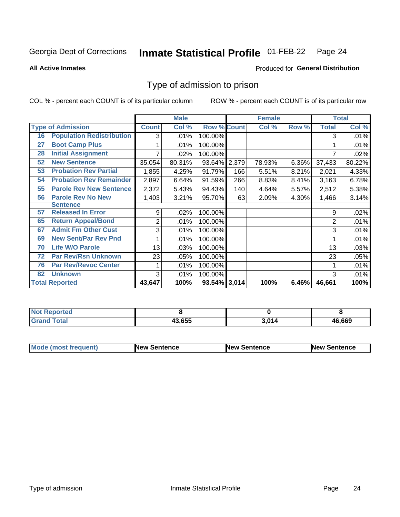#### Inmate Statistical Profile 01-FEB-22 Page 24

**All Active Inmates** 

#### Produced for General Distribution

### Type of admission to prison

COL % - percent each COUNT is of its particular column

|    |                                  |              | <b>Male</b> |                    |       | <b>Female</b> |       |              | <b>Total</b> |
|----|----------------------------------|--------------|-------------|--------------------|-------|---------------|-------|--------------|--------------|
|    | <b>Type of Admission</b>         | <b>Count</b> | Col %       | <b>Row % Count</b> |       | Col %         | Row % | <b>Total</b> | Col %        |
| 16 | <b>Population Redistribution</b> | 3            | .01%        | 100.00%            |       |               |       | 3            | .01%         |
| 27 | <b>Boot Camp Plus</b>            |              | .01%        | 100.00%            |       |               |       |              | .01%         |
| 28 | <b>Initial Assignment</b>        |              | .02%        | 100.00%            |       |               |       |              | .02%         |
| 52 | <b>New Sentence</b>              | 35,054       | 80.31%      | 93.64%             | 2,379 | 78.93%        | 6.36% | 37,433       | 80.22%       |
| 53 | <b>Probation Rev Partial</b>     | 1,855        | 4.25%       | 91.79%             | 166   | 5.51%         | 8.21% | 2,021        | 4.33%        |
| 54 | <b>Probation Rev Remainder</b>   | 2,897        | 6.64%       | 91.59%             | 266   | 8.83%         | 8.41% | 3,163        | 6.78%        |
| 55 | <b>Parole Rev New Sentence</b>   | 2,372        | 5.43%       | 94.43%             | 140   | 4.64%         | 5.57% | 2,512        | 5.38%        |
| 56 | <b>Parole Rev No New</b>         | 1,403        | 3.21%       | 95.70%             | 63    | 2.09%         | 4.30% | 1,466        | 3.14%        |
|    | <b>Sentence</b>                  |              |             |                    |       |               |       |              |              |
| 57 | <b>Released In Error</b>         | 9            | .02%        | 100.00%            |       |               |       | 9            | .02%         |
| 65 | <b>Return Appeal/Bond</b>        | 2            | .01%        | 100.00%            |       |               |       | 2            | .01%         |
| 67 | <b>Admit Fm Other Cust</b>       | 3            | .01%        | 100.00%            |       |               |       | 3            | .01%         |
| 69 | <b>New Sent/Par Rev Pnd</b>      | 1            | .01%        | 100.00%            |       |               |       |              | .01%         |
| 70 | <b>Life W/O Parole</b>           | 13           | .03%        | 100.00%            |       |               |       | 13           | .03%         |
| 72 | <b>Par Rev/Rsn Unknown</b>       | 23           | .05%        | 100.00%            |       |               |       | 23           | .05%         |
| 76 | <b>Par Rev/Revoc Center</b>      | 1            | .01%        | 100.00%            |       |               |       |              | .01%         |
| 82 | <b>Unknown</b>                   | 3            | .01%        | 100.00%            |       |               |       | 3            | .01%         |
|    | <b>Total Reported</b>            | 43,647       | 100%        | 93.54% 3,014       |       | 100%          | 6.46% | 46,661       | 100%         |

| <b>Reported</b><br>`N∩. |        |               |        |
|-------------------------|--------|---------------|--------|
| ™otar<br>Gr:            | 43.655 | $3,01^\prime$ | 46,669 |

| <b>Mode (most frequent)</b> | <b>New Sentence</b> | <b>New Sentence</b> | <b>New Sentence</b> |
|-----------------------------|---------------------|---------------------|---------------------|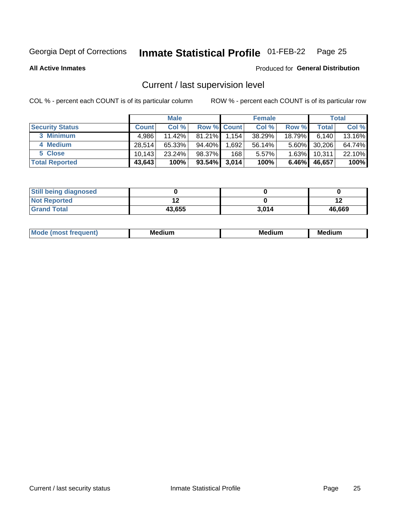#### Inmate Statistical Profile 01-FEB-22 Page 25

**All Active Inmates** 

#### Produced for General Distribution

### Current / last supervision level

COL % - percent each COUNT is of its particular column

|                        |              | <b>Male</b> |                    |       | <b>Female</b> |          |        | <b>Total</b> |
|------------------------|--------------|-------------|--------------------|-------|---------------|----------|--------|--------------|
| <b>Security Status</b> | <b>Count</b> | Col %       | <b>Row % Count</b> |       | Col %         | Row %    | Total  | Col %        |
| 3 Minimum              | 4.986        | $11.42\%$   | $81.21\%$          | 1,154 | 38.29%        | 18.79%   | 6.140  | 13.16%       |
| 4 Medium               | 28.514       | 65.33%      | 94.40%             | .692  | 56.14%        | $5.60\%$ | 30,206 | 64.74%       |
| 5 Close                | 10.143       | 23.24%      | 98.37%             | 168   | 5.57%         | $1.63\%$ | 10,311 | 22.10%       |
| <b>Total Reported</b>  | 43,643       | 100%        | 93.54%             | 3,014 | 100%          | $6.46\%$ | 46,657 | 100%         |

| <b>Still being diagnosed</b> |        |       |        |
|------------------------------|--------|-------|--------|
| <b>Not Reported</b>          |        |       |        |
| <b>Grand Total</b>           | 43,655 | 3.014 | 46,669 |

| M | M | . . |
|---|---|-----|
|   |   |     |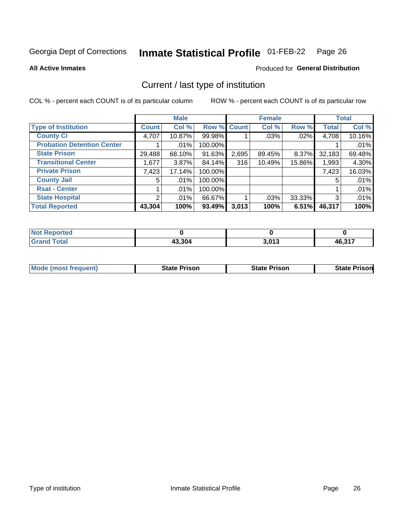#### Inmate Statistical Profile 01-FEB-22 Page 26

**All Active Inmates** 

#### Produced for General Distribution

### Current / last type of institution

COL % - percent each COUNT is of its particular column

|                                   |                | <b>Male</b> |             |       | <b>Female</b> |        |              | <b>Total</b> |
|-----------------------------------|----------------|-------------|-------------|-------|---------------|--------|--------------|--------------|
| <b>Type of Institution</b>        | <b>Count</b>   | Col %       | Row % Count |       | Col %         | Row %  | <b>Total</b> | Col %        |
| <b>County Ci</b>                  | 4,707          | 10.87%      | 99.98%      |       | .03%          | .02%   | 4,708        | 10.16%       |
| <b>Probation Detention Center</b> |                | .01%        | 100.00%     |       |               |        |              | .01%         |
| <b>State Prison</b>               | 29,488         | 68.10%      | 91.63%      | 2,695 | 89.45%        | 8.37%  | 32,183       | 69.48%       |
| <b>Transitional Center</b>        | 1,677          | $3.87\%$    | 84.14%      | 316   | 10.49%        | 15.86% | 1,993        | 4.30%        |
| <b>Private Prison</b>             | 7,423          | 17.14%      | 100.00%     |       |               |        | 7,423        | 16.03%       |
| <b>County Jail</b>                | 5              | .01%        | 100.00%     |       |               |        | 5            | .01%         |
| <b>Rsat - Center</b>              |                | $.01\%$     | 100.00%     |       |               |        |              | .01%         |
| <b>State Hospital</b>             | $\overline{2}$ | $.01\%$     | 66.67%      |       | .03%          | 33.33% | 3            | .01%         |
| <b>Total Reported</b>             | 43,304         | 100%        | 93.49%      | 3,013 | 100%          | 6.51%  | 46,317       | 100%         |

| $Not$<br>Reported  |        |       |        |
|--------------------|--------|-------|--------|
| <b>Grand Total</b> | 43,304 | 3,013 | 46,317 |

| <b>Mode (most frequent)</b> | <b>State Prison</b> | <b>State Prison</b> | <b>State Prisonl</b> |
|-----------------------------|---------------------|---------------------|----------------------|
|                             |                     |                     |                      |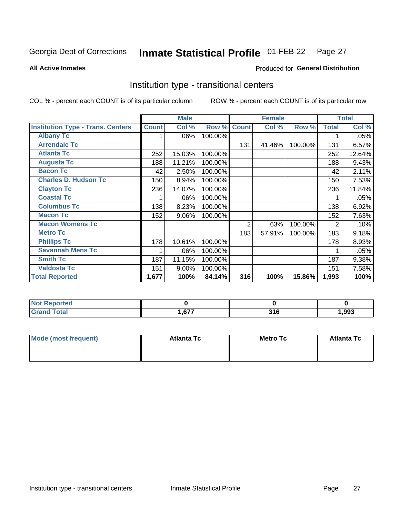#### Inmate Statistical Profile 01-FEB-22 Page 27

Produced for General Distribution

#### **All Active Inmates**

### Institution type - transitional centers

COL % - percent each COUNT is of its particular column

|                                          |              | <b>Male</b> |         |              | <b>Female</b> |         |                | <b>Total</b> |
|------------------------------------------|--------------|-------------|---------|--------------|---------------|---------|----------------|--------------|
| <b>Institution Type - Trans. Centers</b> | <b>Count</b> | Col %       | Row %   | <b>Count</b> | Col %         | Row %   | <b>Total</b>   | Col %        |
| <b>Albany Tc</b>                         |              | $.06\%$     | 100.00% |              |               |         |                | .05%         |
| <b>Arrendale Tc</b>                      |              |             |         | 131          | 41.46%        | 100.00% | 131            | 6.57%        |
| <b>Atlanta Tc</b>                        | 252          | 15.03%      | 100.00% |              |               |         | 252            | 12.64%       |
| <b>Augusta Tc</b>                        | 188          | 11.21%      | 100.00% |              |               |         | 188            | 9.43%        |
| <b>Bacon Tc</b>                          | 42           | 2.50%       | 100.00% |              |               |         | 42             | 2.11%        |
| <b>Charles D. Hudson Tc</b>              | 150          | 8.94%       | 100.00% |              |               |         | 150            | 7.53%        |
| <b>Clayton Tc</b>                        | 236          | 14.07%      | 100.00% |              |               |         | 236            | 11.84%       |
| <b>Coastal Tc</b>                        |              | .06%        | 100.00% |              |               |         |                | .05%         |
| <b>Columbus Tc</b>                       | 138          | 8.23%       | 100.00% |              |               |         | 138            | 6.92%        |
| <b>Macon Tc</b>                          | 152          | 9.06%       | 100.00% |              |               |         | 152            | 7.63%        |
| <b>Macon Womens Tc</b>                   |              |             |         | 2            | .63%          | 100.00% | $\overline{2}$ | .10%         |
| <b>Metro Tc</b>                          |              |             |         | 183          | 57.91%        | 100.00% | 183            | 9.18%        |
| <b>Phillips Tc</b>                       | 178          | 10.61%      | 100.00% |              |               |         | 178            | 8.93%        |
| <b>Savannah Mens Tc</b>                  | 1            | .06%        | 100.00% |              |               |         |                | .05%         |
| <b>Smith Tc</b>                          | 187          | 11.15%      | 100.00% |              |               |         | 187            | 9.38%        |
| <b>Valdosta Tc</b>                       | 151          | 9.00%       | 100.00% |              |               |         | 151            | 7.58%        |
| <b>Total Reported</b>                    | 1,677        | 100%        | 84.14%  | 316          | 100%          | 15.86%  | 1,993          | 100%         |

| <b>Reported</b> |             |              |      |
|-----------------|-------------|--------------|------|
| <b>c</b> otal   | $\sim$<br>. | πи.<br>, , v | ,993 |

| Mode (most frequent) | <b>Atlanta Tc</b> | <b>Metro Tc</b> | <b>Atlanta Tc</b> |
|----------------------|-------------------|-----------------|-------------------|
|                      |                   |                 |                   |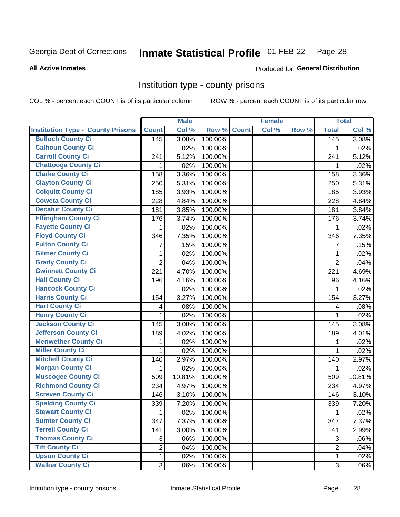#### **Inmate Statistical Profile 01-FEB-22** Page 28

Produced for General Distribution

#### **All Active Inmates**

### Institution type - county prisons

COL % - percent each COUNT is of its particular column

|                                          |                | <b>Male</b> |         |              | <b>Female</b> |       |                | <b>Total</b> |
|------------------------------------------|----------------|-------------|---------|--------------|---------------|-------|----------------|--------------|
| <b>Institution Type - County Prisons</b> | <b>Count</b>   | Col %       | Row %   | <b>Count</b> | Col %         | Row % | <b>Total</b>   | Col %        |
| <b>Bulloch County Ci</b>                 | 145            | 3.08%       | 100.00% |              |               |       | 145            | 3.08%        |
| <b>Calhoun County Ci</b>                 | 1              | .02%        | 100.00% |              |               |       | 1              | .02%         |
| <b>Carroll County Ci</b>                 | 241            | 5.12%       | 100.00% |              |               |       | 241            | 5.12%        |
| <b>Chattooga County Ci</b>               | 1              | .02%        | 100.00% |              |               |       | 1              | .02%         |
| <b>Clarke County Ci</b>                  | 158            | 3.36%       | 100.00% |              |               |       | 158            | 3.36%        |
| <b>Clayton County Ci</b>                 | 250            | 5.31%       | 100.00% |              |               |       | 250            | 5.31%        |
| <b>Colquitt County Ci</b>                | 185            | 3.93%       | 100.00% |              |               |       | 185            | 3.93%        |
| <b>Coweta County Ci</b>                  | 228            | 4.84%       | 100.00% |              |               |       | 228            | 4.84%        |
| <b>Decatur County Ci</b>                 | 181            | 3.85%       | 100.00% |              |               |       | 181            | 3.84%        |
| <b>Effingham County Ci</b>               | 176            | 3.74%       | 100.00% |              |               |       | 176            | 3.74%        |
| <b>Fayette County Ci</b>                 | 1              | .02%        | 100.00% |              |               |       | 1              | .02%         |
| <b>Floyd County Ci</b>                   | 346            | 7.35%       | 100.00% |              |               |       | 346            | 7.35%        |
| <b>Fulton County Ci</b>                  | 7              | .15%        | 100.00% |              |               |       | 7              | .15%         |
| <b>Gilmer County Ci</b>                  | $\mathbf 1$    | .02%        | 100.00% |              |               |       | 1              | .02%         |
| <b>Grady County Ci</b>                   | $\overline{2}$ | .04%        | 100.00% |              |               |       | $\overline{2}$ | .04%         |
| <b>Gwinnett County Ci</b>                | 221            | 4.70%       | 100.00% |              |               |       | 221            | 4.69%        |
| <b>Hall County Ci</b>                    | 196            | 4.16%       | 100.00% |              |               |       | 196            | 4.16%        |
| <b>Hancock County Ci</b>                 | 1              | .02%        | 100.00% |              |               |       | 1              | .02%         |
| <b>Harris County Ci</b>                  | 154            | 3.27%       | 100.00% |              |               |       | 154            | 3.27%        |
| <b>Hart County Ci</b>                    | 4              | .08%        | 100.00% |              |               |       | 4              | .08%         |
| <b>Henry County Ci</b>                   | 1              | .02%        | 100.00% |              |               |       | 1              | .02%         |
| <b>Jackson County Ci</b>                 | 145            | 3.08%       | 100.00% |              |               |       | 145            | 3.08%        |
| <b>Jefferson County Ci</b>               | 189            | 4.02%       | 100.00% |              |               |       | 189            | 4.01%        |
| <b>Meriwether County Ci</b>              | 1              | .02%        | 100.00% |              |               |       | 1              | .02%         |
| <b>Miller County Ci</b>                  | 1              | .02%        | 100.00% |              |               |       | 1              | .02%         |
| <b>Mitchell County Ci</b>                | 140            | 2.97%       | 100.00% |              |               |       | 140            | 2.97%        |
| <b>Morgan County Ci</b>                  | 1              | .02%        | 100.00% |              |               |       | 1              | .02%         |
| <b>Muscogee County Ci</b>                | 509            | 10.81%      | 100.00% |              |               |       | 509            | 10.81%       |
| <b>Richmond County Ci</b>                | 234            | 4.97%       | 100.00% |              |               |       | 234            | 4.97%        |
| <b>Screven County Ci</b>                 | 146            | 3.10%       | 100.00% |              |               |       | 146            | 3.10%        |
| <b>Spalding County Ci</b>                | 339            | 7.20%       | 100.00% |              |               |       | 339            | 7.20%        |
| <b>Stewart County Ci</b>                 | 1              | .02%        | 100.00% |              |               |       | $\mathbf 1$    | .02%         |
| <b>Sumter County Ci</b>                  | 347            | 7.37%       | 100.00% |              |               |       | 347            | 7.37%        |
| <b>Terrell County Ci</b>                 | 141            | 3.00%       | 100.00% |              |               |       | 141            | 2.99%        |
| <b>Thomas County Ci</b>                  | 3              | .06%        | 100.00% |              |               |       | 3              | .06%         |
| <b>Tift County Ci</b>                    | $\overline{2}$ | .04%        | 100.00% |              |               |       | $\overline{2}$ | .04%         |
| <b>Upson County Ci</b>                   | 1              | .02%        | 100.00% |              |               |       | $\mathbf 1$    | .02%         |
| <b>Walker County Ci</b>                  | 3              | .06%        | 100.00% |              |               |       | 3              | .06%         |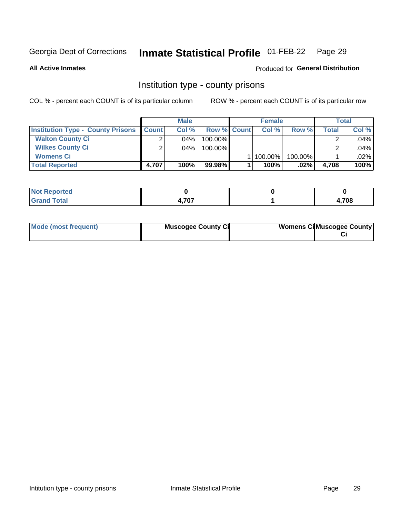#### **Inmate Statistical Profile 01-FEB-22** Page 29

#### **All Active Inmates**

### Produced for General Distribution

#### Institution type - county prisons

COL % - percent each COUNT is of its particular column

|                                          |              | <b>Male</b> |                    | <b>Female</b> |         |       | <b>Total</b> |
|------------------------------------------|--------------|-------------|--------------------|---------------|---------|-------|--------------|
| <b>Institution Type - County Prisons</b> | <b>Count</b> | Col%        | <b>Row % Count</b> | Col%          | Row %   | Total | Col %        |
| <b>Walton County Ci</b>                  | ⌒            | $.04\%$     | 100.00%            |               |         |       | .04%         |
| <b>Wilkes County Ci</b>                  |              | $.04\%$     | 100.00%            |               |         |       | .04%         |
| <b>Womens Ci</b>                         |              |             |                    | 100.00%       | 100.00% |       | .02%         |
| <b>Total Reported</b>                    | 4.707        | 100%        | 99.98%             | 100%          | $.02\%$ | 4,708 | 100%         |

| ortea<br>. |              |      |
|------------|--------------|------|
| .          | 707<br>, , , | ,708 |

| Mode (most frequent) | <b>Muscogee County Ci</b> | <b>Womens CilMuscogee County</b> |
|----------------------|---------------------------|----------------------------------|
|                      |                           |                                  |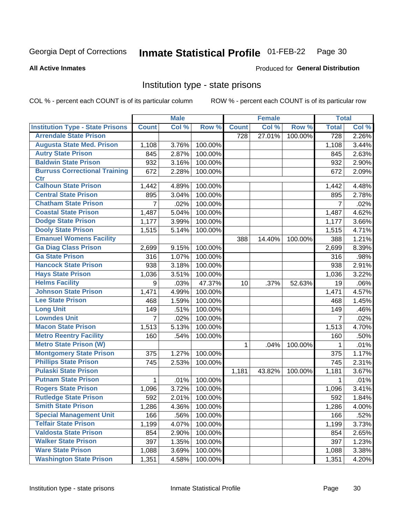#### Inmate Statistical Profile 01-FEB-22 Page 30

**All Active Inmates** 

#### **Produced for General Distribution**

#### Institution type - state prisons

COL % - percent each COUNT is of its particular column

|                                         |                | <b>Male</b> |         |              | <b>Female</b> |         | <b>Total</b>     |       |
|-----------------------------------------|----------------|-------------|---------|--------------|---------------|---------|------------------|-------|
| <b>Institution Type - State Prisons</b> | <b>Count</b>   | Col %       | Row %   | <b>Count</b> | Col %         | Row %   | <b>Total</b>     | Col % |
| <b>Arrendale State Prison</b>           |                |             |         | 728          | 27.01%        | 100.00% | $\overline{728}$ | 2.26% |
| <b>Augusta State Med. Prison</b>        | 1,108          | 3.76%       | 100.00% |              |               |         | 1,108            | 3.44% |
| <b>Autry State Prison</b>               | 845            | 2.87%       | 100.00% |              |               |         | 845              | 2.63% |
| <b>Baldwin State Prison</b>             | 932            | 3.16%       | 100.00% |              |               |         | 932              | 2.90% |
| <b>Burruss Correctional Training</b>    | 672            | 2.28%       | 100.00% |              |               |         | 672              | 2.09% |
| <b>Ctr</b>                              |                |             |         |              |               |         |                  |       |
| <b>Calhoun State Prison</b>             | 1,442          | 4.89%       | 100.00% |              |               |         | 1,442            | 4.48% |
| <b>Central State Prison</b>             | 895            | 3.04%       | 100.00% |              |               |         | 895              | 2.78% |
| <b>Chatham State Prison</b>             | $\overline{7}$ | .02%        | 100.00% |              |               |         | $\overline{7}$   | .02%  |
| <b>Coastal State Prison</b>             | 1,487          | 5.04%       | 100.00% |              |               |         | 1,487            | 4.62% |
| <b>Dodge State Prison</b>               | 1,177          | 3.99%       | 100.00% |              |               |         | 1,177            | 3.66% |
| <b>Dooly State Prison</b>               | 1,515          | 5.14%       | 100.00% |              |               |         | 1,515            | 4.71% |
| <b>Emanuel Womens Facility</b>          |                |             |         | 388          | 14.40%        | 100.00% | 388              | 1.21% |
| <b>Ga Diag Class Prison</b>             | 2,699          | 9.15%       | 100.00% |              |               |         | 2,699            | 8.39% |
| <b>Ga State Prison</b>                  | 316            | 1.07%       | 100.00% |              |               |         | 316              | .98%  |
| <b>Hancock State Prison</b>             | 938            | 3.18%       | 100.00% |              |               |         | 938              | 2.91% |
| <b>Hays State Prison</b>                | 1,036          | 3.51%       | 100.00% |              |               |         | 1,036            | 3.22% |
| <b>Helms Facility</b>                   | 9              | .03%        | 47.37%  | 10           | .37%          | 52.63%  | 19               | .06%  |
| <b>Johnson State Prison</b>             | 1,471          | 4.99%       | 100.00% |              |               |         | 1,471            | 4.57% |
| <b>Lee State Prison</b>                 | 468            | 1.59%       | 100.00% |              |               |         | 468              | 1.45% |
| <b>Long Unit</b>                        | 149            | .51%        | 100.00% |              |               |         | 149              | .46%  |
| <b>Lowndes Unit</b>                     | $\overline{7}$ | .02%        | 100.00% |              |               |         | $\overline{7}$   | .02%  |
| <b>Macon State Prison</b>               | 1,513          | 5.13%       | 100.00% |              |               |         | 1,513            | 4.70% |
| <b>Metro Reentry Facility</b>           | 160            | .54%        | 100.00% |              |               |         | 160              | .50%  |
| <b>Metro State Prison (W)</b>           |                |             |         | 1.           | .04%          | 100.00% | 1                | .01%  |
| <b>Montgomery State Prison</b>          | 375            | 1.27%       | 100.00% |              |               |         | 375              | 1.17% |
| <b>Phillips State Prison</b>            | 745            | 2.53%       | 100.00% |              |               |         | 745              | 2.31% |
| <b>Pulaski State Prison</b>             |                |             |         | 1,181        | 43.82%        | 100.00% | 1,181            | 3.67% |
| <b>Putnam State Prison</b>              | 1              | .01%        | 100.00% |              |               |         | 1                | .01%  |
| <b>Rogers State Prison</b>              | 1,096          | 3.72%       | 100.00% |              |               |         | 1,096            | 3.41% |
| <b>Rutledge State Prison</b>            | 592            | 2.01%       | 100.00% |              |               |         | 592              | 1.84% |
| <b>Smith State Prison</b>               | 1,286          | 4.36%       | 100.00% |              |               |         | 1,286            | 4.00% |
| <b>Special Management Unit</b>          | 166            | .56%        | 100.00% |              |               |         | 166              | .52%  |
| <b>Telfair State Prison</b>             | 1,199          | 4.07%       | 100.00% |              |               |         | 1,199            | 3.73% |
| <b>Valdosta State Prison</b>            | 854            | 2.90%       | 100.00% |              |               |         | 854              | 2.65% |
| <b>Walker State Prison</b>              | 397            | 1.35%       | 100.00% |              |               |         | 397              | 1.23% |
| <b>Ware State Prison</b>                | 1,088          | 3.69%       | 100.00% |              |               |         | 1,088            | 3.38% |
| <b>Washington State Prison</b>          | 1,351          | 4.58%       | 100.00% |              |               |         | 1,351            | 4.20% |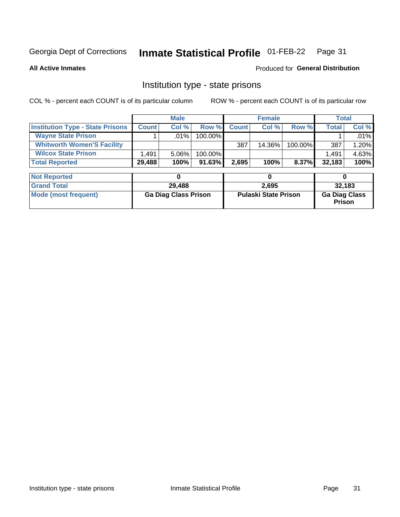#### Inmate Statistical Profile 01-FEB-22 Page 31

**All Active Inmates** 

#### Produced for General Distribution

### Institution type - state prisons

COL % - percent each COUNT is of its particular column

|                                         |              | <b>Male</b> |            |              | <b>Female</b> |         | <b>Total</b> |       |
|-----------------------------------------|--------------|-------------|------------|--------------|---------------|---------|--------------|-------|
| <b>Institution Type - State Prisons</b> | <b>Count</b> | Col %       | Row %      | <b>Count</b> | Col %         | Row %   | Total        | Col % |
| <b>Wayne State Prison</b>               |              | $.01\%$     | $100.00\%$ |              |               |         |              | .01%  |
| <b>Whitworth Women'S Facility</b>       |              |             |            | 387          | 14.36%        | 100.00% | 387          | 1.20% |
| <b>Wilcox State Prison</b>              | .491         | 5.06%       | 100.00%    |              |               |         | 1,491        | 4.63% |
| <b>Total Reported</b>                   | 29,488       | 100%        | $91.63\%$  | 2,695        | 100%          | 8.37%   | 32,183       | 100%  |

| <b>Not Reported</b>  |                             |                             |                                       |
|----------------------|-----------------------------|-----------------------------|---------------------------------------|
| <b>Grand Total</b>   | 29,488                      | 2,695                       | 32,183                                |
| Mode (most frequent) | <b>Ga Diag Class Prison</b> | <b>Pulaski State Prison</b> | <b>Ga Diag Class</b><br><b>Prison</b> |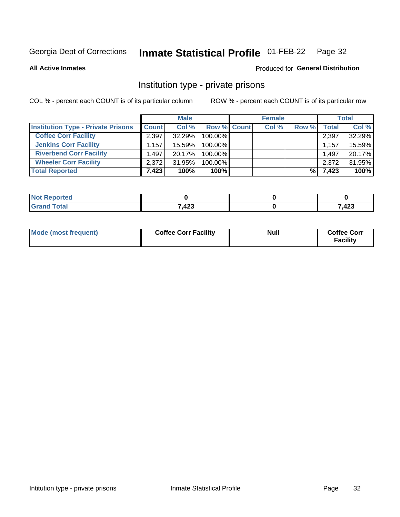#### **Inmate Statistical Profile 01-FEB-22** Page 32

**All Active Inmates** 

#### Produced for General Distribution

### Institution type - private prisons

COL % - percent each COUNT is of its particular column

|                                           | <b>Male</b>  |           | <b>Female</b>      |       |       | <b>Total</b> |        |
|-------------------------------------------|--------------|-----------|--------------------|-------|-------|--------------|--------|
| <b>Institution Type - Private Prisons</b> | <b>Count</b> | Col %     | <b>Row % Count</b> | Col % | Row % | Total        | Col %  |
| <b>Coffee Corr Facility</b>               | 2,397        | 32.29%    | 100.00%            |       |       | 2,397        | 32.29% |
| <b>Jenkins Corr Facility</b>              | 1,157        | 15.59%    | $100.00\%$         |       |       | 1,157        | 15.59% |
| <b>Riverbend Corr Facility</b>            | 1.497        | $20.17\%$ | $100.00\%$         |       |       | 1,497        | 20.17% |
| <b>Wheeler Corr Facility</b>              | 2,372        | 31.95%    | 100.00%            |       |       | 2,372        | 31.95% |
| <b>Total Reported</b>                     | 7,423        | 100%      | 100%               |       | %।    | 7,423        | 100%   |

| <b>Reported</b><br>' NO). |       |      |
|---------------------------|-------|------|
| <b>Total</b>              | 7,423 | ,423 |

| Mode (most frequent) | <b>Coffee Corr Facility</b> | <b>Null</b> | <b>Coffee Corr</b><br><b>Facility</b> |
|----------------------|-----------------------------|-------------|---------------------------------------|
|----------------------|-----------------------------|-------------|---------------------------------------|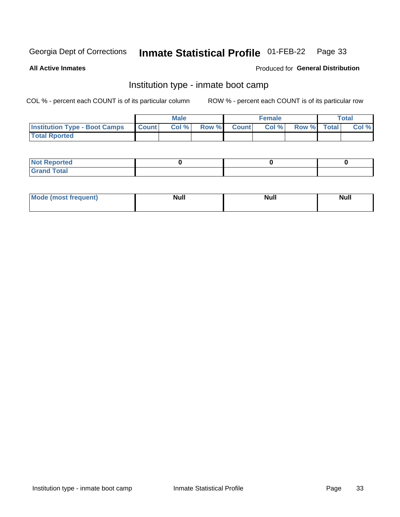#### **Inmate Statistical Profile 01-FEB-22** Page 33

**All Active Inmates** 

#### Produced for General Distribution

### Institution type - inmate boot camp

COL % - percent each COUNT is of its particular column

|                                      | <b>Male</b>     |       |              | <b>Female</b> |       |             | <b>Total</b> |       |
|--------------------------------------|-----------------|-------|--------------|---------------|-------|-------------|--------------|-------|
| <b>Institution Type - Boot Camps</b> | <b>I</b> Count⊥ | Col % | <b>Row %</b> | <b>Count</b>  | Col % | Row % Total |              | Col % |
| <b>Total Rported</b>                 |                 |       |              |               |       |             |              |       |

| <b>Not Reported</b>            |  |  |
|--------------------------------|--|--|
| <b>Total</b><br>C <sub>r</sub> |  |  |

| Mod<br>uamo | Nul.<br>$- - - - - -$ | <b>Null</b> | . .<br>uu.<br>------ |
|-------------|-----------------------|-------------|----------------------|
|             |                       |             |                      |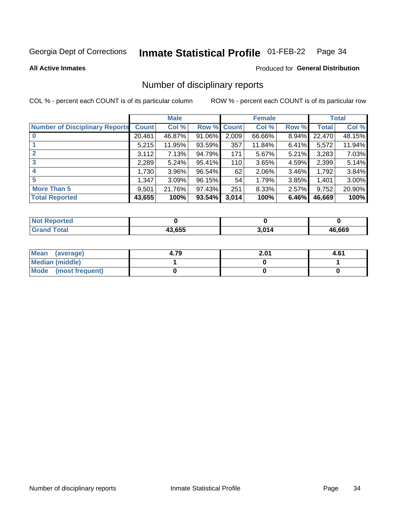#### Inmate Statistical Profile 01-FEB-22 Page 34

**All Active Inmates** 

#### **Produced for General Distribution**

### Number of disciplinary reports

COL % - percent each COUNT is of its particular column

|                                       | <b>Male</b>  |        | <b>Female</b> |       |        | <b>Total</b> |        |        |
|---------------------------------------|--------------|--------|---------------|-------|--------|--------------|--------|--------|
| <b>Number of Disciplinary Reports</b> | <b>Count</b> | Col %  | Row % Count   |       | Col %  | Row %        | Total  | Col %  |
|                                       | 20,461       | 46.87% | $91.06\%$     | 2,009 | 66.66% | $8.94\%$     | 22,470 | 48.15% |
|                                       | 5,215        | 11.95% | $93.59\%$     | 357   | 11.84% | 6.41%        | 5,572  | 11.94% |
|                                       | 3,112        | 7.13%  | 94.79%        | 171   | 5.67%  | 5.21%        | 3,283  | 7.03%  |
| 3                                     | 2,289        | 5.24%  | 95.41%        | 110   | 3.65%  | 4.59%        | 2,399  | 5.14%  |
|                                       | 1,730        | 3.96%  | 96.54%        | 62    | 2.06%  | 3.46%        | 1,792  | 3.84%  |
| 5                                     | .347         | 3.09%  | 96.15%        | 54    | 1.79%  | 3.85%        | 1,401  | 3.00%  |
| <b>More Than 5</b>                    | 9,501        | 21.76% | 97.43%        | 251   | 8.33%  | 2.57%        | 9,752  | 20.90% |
| <b>Total Reported</b>                 | 43,655       | 100%   | 93.54%        | 3,014 | 100%   | 6.46%        | 46,669 | 100%   |

| orted<br><b>NOT</b> |        |      |               |
|---------------------|--------|------|---------------|
| <b>Total</b>        | 13.655 | 2011 | 16.669<br>46. |

| Mean (average)         | 4.79 | 2.01 | 4.61 |
|------------------------|------|------|------|
| <b>Median (middle)</b> |      |      |      |
| Mode (most frequent)   |      |      |      |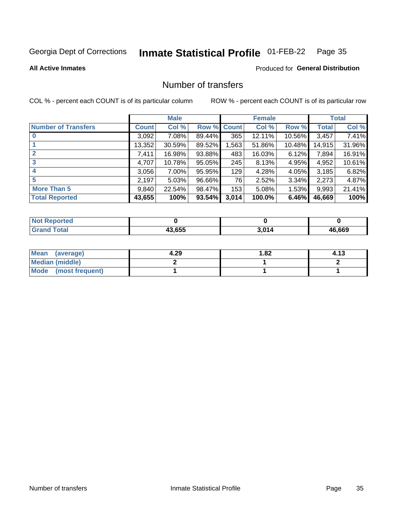#### **Inmate Statistical Profile 01-FEB-22** Page 35

**All Active Inmates** 

#### **Produced for General Distribution**

### Number of transfers

COL % - percent each COUNT is of its particular column

|                            |              | <b>Male</b> |             |       | <b>Female</b> |          |        | <b>Total</b> |
|----------------------------|--------------|-------------|-------------|-------|---------------|----------|--------|--------------|
| <b>Number of Transfers</b> | <b>Count</b> | Col %       | Row % Count |       | Col %         | Row %    | Total  | Col %        |
|                            | 3,092        | 7.08%       | 89.44%      | 365   | 12.11%        | 10.56%   | 3,457  | 7.41%        |
|                            | 13,352       | 30.59%      | 89.52%      | ,563  | 51.86%        | 10.48%   | 14,915 | 31.96%       |
| $\mathbf{2}$               | 7,411        | 16.98%      | 93.88%      | 483   | 16.03%        | 6.12%    | 7,894  | 16.91%       |
| 3                          | 4,707        | 10.78%      | 95.05%      | 245   | 8.13%         | 4.95%    | 4,952  | 10.61%       |
| 4                          | 3,056        | 7.00%       | 95.95%      | 129   | 4.28%         | 4.05%    | 3,185  | 6.82%        |
| 5                          | 2,197        | 5.03%       | 96.66%      | 76    | 2.52%         | $3.34\%$ | 2,273  | 4.87%        |
| <b>More Than 5</b>         | 9,840        | 22.54%      | 98.47%      | 153   | 5.08%         | $1.53\%$ | 9,993  | 21.41%       |
| <b>Total Reported</b>      | 43,655       | 100%        | 93.54%      | 3,014 | 100.0%        | 6.46%    | 46,669 | 100%         |

| วrted<br>NO |        |      |        |
|-------------|--------|------|--------|
| Гоtal       | 43.655 | / ۸۹ | 46.669 |

| Mean (average)       | 4.29 | 1.82 | 4.13 |
|----------------------|------|------|------|
| Median (middle)      |      |      |      |
| Mode (most frequent) |      |      |      |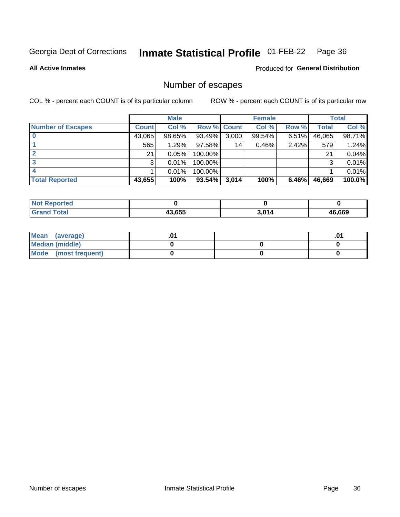#### **Inmate Statistical Profile 01-FEB-22** Page 36

**All Active Inmates** 

#### **Produced for General Distribution**

### Number of escapes

COL % - percent each COUNT is of its particular column

|                          |              | <b>Male</b> |             |       | <b>Female</b> |          |        | <b>Total</b> |
|--------------------------|--------------|-------------|-------------|-------|---------------|----------|--------|--------------|
| <b>Number of Escapes</b> | <b>Count</b> | Col %       | Row % Count |       | Col %         | Row %    | Total  | Col %        |
|                          | 43,065       | 98.65%      | 93.49%      | 3,000 | 99.54%        | $6.51\%$ | 46,065 | 98.71%       |
|                          | 565          | 1.29%       | $97.58\%$   | 14    | 0.46%         | 2.42%    | 579    | 1.24%        |
| 2                        | 21           | 0.05%       | 100.00%     |       |               |          | 21     | 0.04%        |
| 3                        | 3            | 0.01%       | 100.00%     |       |               |          | 3      | 0.01%        |
|                          |              | 0.01%       | 100.00%     |       |               |          |        | 0.01%        |
| <b>Total Reported</b>    | 43,655       | 100%        | $93.54\%$   | 3,014 | 100%          | 6.46%    | 46,669 | 100.0%       |

| ortea        |        |       |             |
|--------------|--------|-------|-------------|
| <b>Total</b> | 43.655 | 3,014 | 6.669<br>46 |

| Mean (average)         |  | .0 <sup>4</sup> |
|------------------------|--|-----------------|
| <b>Median (middle)</b> |  |                 |
| Mode (most frequent)   |  |                 |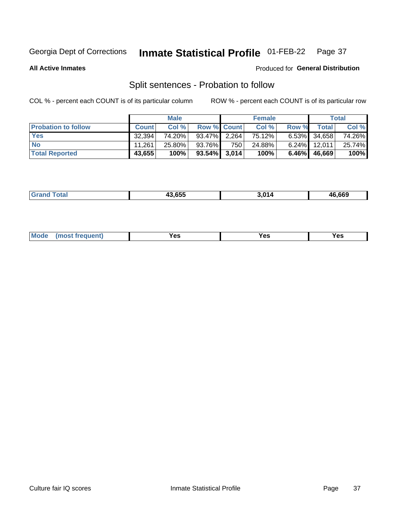#### **Inmate Statistical Profile 01-FEB-22** Page 37

**All Active Inmates** 

#### Produced for General Distribution

### Split sentences - Probation to follow

COL % - percent each COUNT is of its particular column

|                            |              | <b>Male</b> |                    |                  | <b>Female</b> |          |                 | <b>Total</b> |
|----------------------------|--------------|-------------|--------------------|------------------|---------------|----------|-----------------|--------------|
| <b>Probation to follow</b> | <b>Count</b> | Col%        | <b>Row % Count</b> |                  | Col %         | Row %    | Total           | Col %        |
| <b>Yes</b>                 | 32.394       | 74.20%      | 93.47% 2.264       |                  | 75.12%        |          | $6.53\%$ 34,658 | 74.26%       |
| <b>No</b>                  | 11.261       | 25.80%      | 93.76%             | 750 <sub>1</sub> | 24.88%        |          | $6.24\%$ 12,011 | 25.74%       |
| <b>Total Reported</b>      | 43,655       | 100%        | $93.54\%$ 3,014    |                  | 100%          | $6.46\%$ | 46.669          | 100%         |

| 19 CEE | л4 | 46.669 |
|--------|----|--------|
|        |    |        |

| <b>Mode</b><br>reauent)<br>Yes<br>v^c<br>0٥<br>.<br>. .<br>$\sim$ |
|-------------------------------------------------------------------|
|-------------------------------------------------------------------|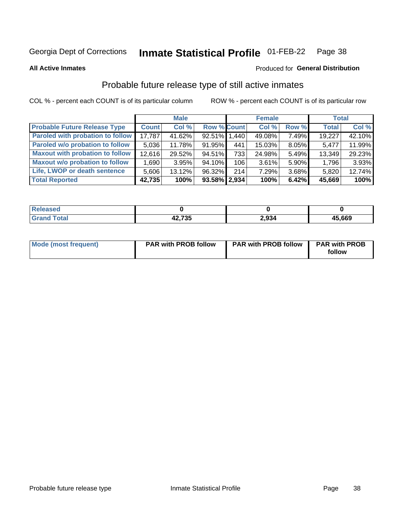#### **Inmate Statistical Profile 01-FEB-22** Page 38

**All Active Inmates** 

### Produced for General Distribution

# Probable future release type of still active inmates

COL % - percent each COUNT is of its particular column

|                                         |              | <b>Male</b> |                    |     | <b>Female</b> |          | <b>Total</b> |        |
|-----------------------------------------|--------------|-------------|--------------------|-----|---------------|----------|--------------|--------|
| <b>Probable Future Release Type</b>     | <b>Count</b> | Col%        | <b>Row % Count</b> |     | Col %         | Row %    | <b>Total</b> | Col %  |
| <b>Paroled with probation to follow</b> | 17,787       | 41.62%      | 92.51% 1.440       |     | 49.08%        | 7.49%    | 19,227       | 42.10% |
| Paroled w/o probation to follow         | 5,036        | 11.78%      | 91.95%             | 441 | 15.03%        | 8.05%    | 5,477        | 11.99% |
| <b>Maxout with probation to follow</b>  | 12,616       | 29.52%      | 94.51%             | 733 | 24.98%        | 5.49%    | 13,349       | 29.23% |
| <b>Maxout w/o probation to follow</b>   | 1,690        | 3.95%       | $94.10\%$          | 106 | 3.61%         | $5.90\%$ | 1,796        | 3.93%  |
| Life, LWOP or death sentence            | 5.606        | 13.12%      | 96.32%             | 214 | 7.29%         | 3.68%    | 5,820        | 12.74% |
| <b>Total Reported</b>                   | 42,735       | 100%        | $93.58\%$   2,934  |     | 100%          | 6.42%    | 45,669       | 100%   |

| eleased     |                               |       |        |
|-------------|-------------------------------|-------|--------|
| <b>otal</b> | 10.70E<br>"י,<br>┱ <i>┻</i> . | 2,934 | 45,669 |

| <b>Mode (most frequent)</b> | <b>PAR with PROB follow</b> | <b>PAR with PROB follow</b> | <b>PAR with PROB</b> |
|-----------------------------|-----------------------------|-----------------------------|----------------------|
|                             |                             |                             | follow               |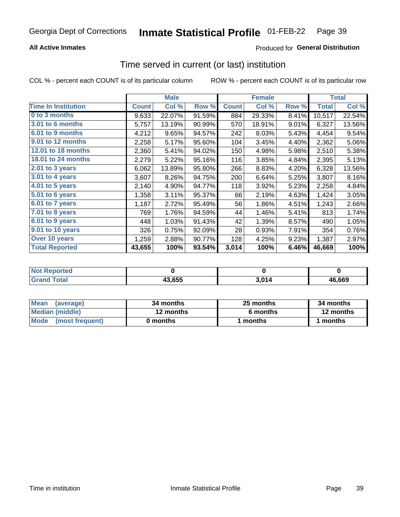## **All Active Inmates**

## **Produced for General Distribution**

# Time served in current (or last) institution

COL % - percent each COUNT is of its particular column

|                            | <b>Male</b>  |        | <b>Female</b> |              |        | <b>Total</b> |              |        |
|----------------------------|--------------|--------|---------------|--------------|--------|--------------|--------------|--------|
| <b>Time In Institution</b> | <b>Count</b> | Col %  | Row %         | <b>Count</b> | Col %  | Row %        | <b>Total</b> | Col %  |
| 0 to 3 months              | 9,633        | 22.07% | 91.59%        | 884          | 29.33% | 8.41%        | 10,517       | 22.54% |
| 3.01 to 6 months           | 5,757        | 13.19% | 90.99%        | 570          | 18.91% | 9.01%        | 6,327        | 13.56% |
| 6.01 to 9 months           | 4,212        | 9.65%  | 94.57%        | 242          | 8.03%  | 5.43%        | 4,454        | 9.54%  |
| 9.01 to 12 months          | 2,258        | 5.17%  | 95.60%        | 104          | 3.45%  | 4.40%        | 2,362        | 5.06%  |
| 12.01 to 18 months         | 2,360        | 5.41%  | 94.02%        | 150          | 4.98%  | 5.98%        | 2,510        | 5.38%  |
| <b>18.01 to 24 months</b>  | 2,279        | 5.22%  | 95.16%        | 116          | 3.85%  | 4.84%        | 2,395        | 5.13%  |
| 2.01 to 3 years            | 6,062        | 13.89% | 95.80%        | 266          | 8.83%  | 4.20%        | 6,328        | 13.56% |
| $3.01$ to 4 years          | 3,607        | 8.26%  | 94.75%        | 200          | 6.64%  | 5.25%        | 3,807        | 8.16%  |
| 4.01 to 5 years            | 2,140        | 4.90%  | 94.77%        | 118          | 3.92%  | 5.23%        | 2,258        | 4.84%  |
| 5.01 to 6 years            | 1,358        | 3.11%  | 95.37%        | 66           | 2.19%  | 4.63%        | 1,424        | 3.05%  |
| 6.01 to 7 years            | 1,187        | 2.72%  | 95.49%        | 56           | 1.86%  | 4.51%        | 1,243        | 2.66%  |
| 7.01 to 8 years            | 769          | 1.76%  | 94.59%        | 44           | 1.46%  | 5.41%        | 813          | 1.74%  |
| $8.01$ to 9 years          | 448          | 1.03%  | 91.43%        | 42           | 1.39%  | 8.57%        | 490          | 1.05%  |
| 9.01 to 10 years           | 326          | 0.75%  | 92.09%        | 28           | 0.93%  | 7.91%        | 354          | 0.76%  |
| Over 10 years              | 1,259        | 2.88%  | 90.77%        | 128          | 4.25%  | 9.23%        | 1,387        | 2.97%  |
| <b>Total Reported</b>      | 43,655       | 100%   | 93.54%        | 3,014        | 100%   | 6.46%        | 46,669       | 100%   |

| orted<br><b>NOT</b> |        |            |        |
|---------------------|--------|------------|--------|
| `∩fa                | 43.655 | <b>014</b> | 46.669 |

| <b>Mean</b><br>(average) | 34 months | 25 months | 34 months |  |
|--------------------------|-----------|-----------|-----------|--|
| Median (middle)          | 12 months | 6 months  | 12 months |  |
| Mode<br>(most frequent)  | 0 months  | months    | ∣ months  |  |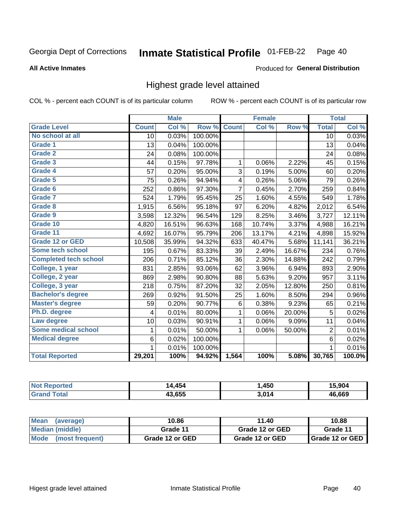### **Inmate Statistical Profile 01-FEB-22** Page 40

**All Active Inmates** 

### Produced for General Distribution

## Highest grade level attained

COL % - percent each COUNT is of its particular column

|                              |                 | <b>Male</b> |         |                | <b>Female</b> |        |                | <b>Total</b> |
|------------------------------|-----------------|-------------|---------|----------------|---------------|--------|----------------|--------------|
| <b>Grade Level</b>           | <b>Count</b>    | Col %       | Row %   | <b>Count</b>   | Col%          | Row %  | <b>Total</b>   | Col %        |
| No school at all             | $\overline{10}$ | 0.03%       | 100.00% |                |               |        | 10             | 0.03%        |
| <b>Grade 1</b>               | 13              | 0.04%       | 100.00% |                |               |        | 13             | 0.04%        |
| <b>Grade 2</b>               | 24              | 0.08%       | 100.00% |                |               |        | 24             | 0.08%        |
| Grade 3                      | 44              | 0.15%       | 97.78%  | 1              | 0.06%         | 2.22%  | 45             | 0.15%        |
| Grade 4                      | 57              | 0.20%       | 95.00%  | 3              | 0.19%         | 5.00%  | 60             | 0.20%        |
| Grade 5                      | 75              | 0.26%       | 94.94%  | 4              | 0.26%         | 5.06%  | 79             | 0.26%        |
| Grade 6                      | 252             | 0.86%       | 97.30%  | $\overline{7}$ | 0.45%         | 2.70%  | 259            | 0.84%        |
| <b>Grade 7</b>               | 524             | 1.79%       | 95.45%  | 25             | 1.60%         | 4.55%  | 549            | 1.78%        |
| Grade 8                      | 1,915           | 6.56%       | 95.18%  | 97             | 6.20%         | 4.82%  | 2,012          | 6.54%        |
| Grade 9                      | 3,598           | 12.32%      | 96.54%  | 129            | 8.25%         | 3.46%  | 3,727          | 12.11%       |
| Grade 10                     | 4,820           | 16.51%      | 96.63%  | 168            | 10.74%        | 3.37%  | 4,988          | 16.21%       |
| Grade 11                     | 4,692           | 16.07%      | 95.79%  | 206            | 13.17%        | 4.21%  | 4,898          | 15.92%       |
| <b>Grade 12 or GED</b>       | 10,508          | 35.99%      | 94.32%  | 633            | 40.47%        | 5.68%  | 11,141         | 36.21%       |
| <b>Some tech school</b>      | 195             | 0.67%       | 83.33%  | 39             | 2.49%         | 16.67% | 234            | 0.76%        |
| <b>Completed tech school</b> | 206             | 0.71%       | 85.12%  | 36             | 2.30%         | 14.88% | 242            | 0.79%        |
| College, 1 year              | 831             | 2.85%       | 93.06%  | 62             | 3.96%         | 6.94%  | 893            | 2.90%        |
| College, 2 year              | 869             | 2.98%       | 90.80%  | 88             | 5.63%         | 9.20%  | 957            | 3.11%        |
| College, 3 year              | 218             | 0.75%       | 87.20%  | 32             | 2.05%         | 12.80% | 250            | 0.81%        |
| <b>Bachelor's degree</b>     | 269             | 0.92%       | 91.50%  | 25             | 1.60%         | 8.50%  | 294            | 0.96%        |
| <b>Master's degree</b>       | 59              | 0.20%       | 90.77%  | $\,6$          | 0.38%         | 9.23%  | 65             | 0.21%        |
| Ph.D. degree                 | $\overline{4}$  | 0.01%       | 80.00%  | 1              | 0.06%         | 20.00% | 5              | 0.02%        |
| Law degree                   | 10              | 0.03%       | 90.91%  | $\mathbf{1}$   | 0.06%         | 9.09%  | 11             | 0.04%        |
| <b>Some medical school</b>   | 1               | 0.01%       | 50.00%  | 1              | 0.06%         | 50.00% | $\overline{2}$ | 0.01%        |
| <b>Medical degree</b>        | 6               | 0.02%       | 100.00% |                |               |        | 6              | 0.02%        |
|                              | $\mathbf 1$     | 0.01%       | 100.00% |                |               |        | $\mathbf{1}$   | 0.01%        |
| <b>Total Reported</b>        | 29,201          | 100%        | 94.92%  | 1,564          | 100%          | 5.08%  | 30,765         | 100.0%       |

| AE<br>ıл | ,450 | ַ ∧∩ י<br>90c |
|----------|------|---------------|
| 13 G55   | 201/ | 46.669        |

| <b>Mean</b><br>(average) | 10.86           | 11.40           | 10.88           |
|--------------------------|-----------------|-----------------|-----------------|
| Median (middle)          | Grade 11        | Grade 12 or GED | Grade 11        |
| Mode<br>(most frequent)  | Grade 12 or GED | Grade 12 or GED | Grade 12 or GED |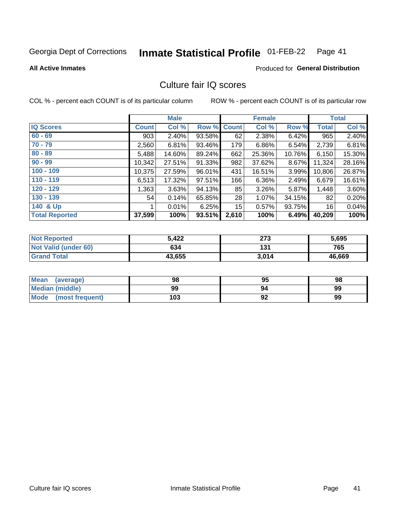### **Inmate Statistical Profile 01-FEB-22** Page 41

### **All Active Inmates**

## **Produced for General Distribution**

# Culture fair IQ scores

COL % - percent each COUNT is of its particular column

|                       |              | <b>Male</b> |        |              | <b>Female</b> |        |              | <b>Total</b> |
|-----------------------|--------------|-------------|--------|--------------|---------------|--------|--------------|--------------|
| <b>IQ Scores</b>      | <b>Count</b> | Col %       | Row %  | <b>Count</b> | Col %         | Row %  | <b>Total</b> | Col %        |
| $60 - 69$             | 903          | 2.40%       | 93.58% | 62           | 2.38%         | 6.42%  | 965          | 2.40%        |
| $70 - 79$             | 2,560        | 6.81%       | 93.46% | 179          | 6.86%         | 6.54%  | 2,739        | 6.81%        |
| $80 - 89$             | 5,488        | 14.60%      | 89.24% | 662          | 25.36%        | 10.76% | 6,150        | 15.30%       |
| $90 - 99$             | 10,342       | 27.51%      | 91.33% | 982          | 37.62%        | 8.67%  | 11,324       | 28.16%       |
| $100 - 109$           | 10,375       | 27.59%      | 96.01% | 431          | 16.51%        | 3.99%  | 10,806       | 26.87%       |
| $110 - 119$           | 6,513        | 17.32%      | 97.51% | 166          | 6.36%         | 2.49%  | 6,679        | 16.61%       |
| $120 - 129$           | 1,363        | 3.63%       | 94.13% | 85           | 3.26%         | 5.87%  | 1,448        | 3.60%        |
| $130 - 139$           | 54           | 0.14%       | 65.85% | 28           | 1.07%         | 34.15% | 82           | 0.20%        |
| 140 & Up              |              | 0.01%       | 6.25%  | 15           | 0.57%         | 93.75% | 16           | 0.04%        |
| <b>Total Reported</b> | 37,599       | 100%        | 93.51% | 2,610        | 100%          | 6.49%  | 40,209       | 100%         |

| <b>Not Reported</b>         | 5.422  | 273   | 5,695  |
|-----------------------------|--------|-------|--------|
| <b>Not Valid (under 60)</b> | 634    | 131   | 765    |
| <b>Grand Total</b>          | 43,655 | 3,014 | 46,669 |

| <b>Mean</b><br>(average) | 98  | 95 | 98 |
|--------------------------|-----|----|----|
| <b>Median (middle)</b>   | 99  | 94 | 99 |
| Mode<br>(most frequent)  | 103 | 92 | 99 |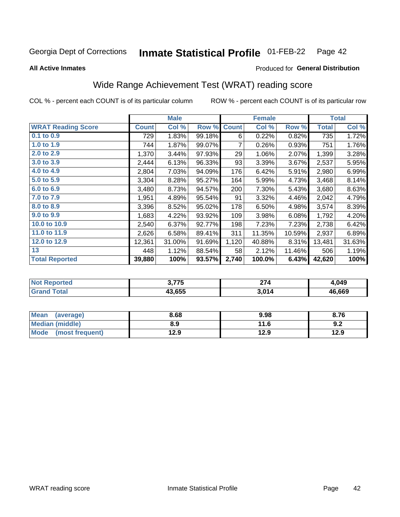### Inmate Statistical Profile 01-FEB-22 Page 42

**All Active Inmates** 

## Produced for General Distribution

# Wide Range Achievement Test (WRAT) reading score

COL % - percent each COUNT is of its particular column

|                           |              | <b>Male</b> |        |              | <b>Female</b> |        |              | <b>Total</b> |
|---------------------------|--------------|-------------|--------|--------------|---------------|--------|--------------|--------------|
| <b>WRAT Reading Score</b> | <b>Count</b> | Col %       | Row %  | <b>Count</b> | Col %         | Row %  | <b>Total</b> | Col %        |
| 0.1 to 0.9                | 729          | 1.83%       | 99.18% | 6            | 0.22%         | 0.82%  | 735          | 1.72%        |
| 1.0 to 1.9                | 744          | 1.87%       | 99.07% | 7            | 0.26%         | 0.93%  | 751          | 1.76%        |
| 2.0 to 2.9                | 1,370        | 3.44%       | 97.93% | 29           | 1.06%         | 2.07%  | 1,399        | 3.28%        |
| 3.0 to 3.9                | 2,444        | 6.13%       | 96.33% | 93           | 3.39%         | 3.67%  | 2,537        | 5.95%        |
| 4.0 to 4.9                | 2,804        | 7.03%       | 94.09% | 176          | 6.42%         | 5.91%  | 2,980        | 6.99%        |
| 5.0 to 5.9                | 3,304        | 8.28%       | 95.27% | 164          | 5.99%         | 4.73%  | 3,468        | 8.14%        |
| 6.0 to 6.9                | 3,480        | 8.73%       | 94.57% | 200          | 7.30%         | 5.43%  | 3,680        | 8.63%        |
| 7.0 to 7.9                | 1,951        | 4.89%       | 95.54% | 91           | 3.32%         | 4.46%  | 2,042        | 4.79%        |
| 8.0 to 8.9                | 3,396        | 8.52%       | 95.02% | 178          | 6.50%         | 4.98%  | 3,574        | 8.39%        |
| 9.0 to 9.9                | 1,683        | 4.22%       | 93.92% | 109          | 3.98%         | 6.08%  | 1,792        | 4.20%        |
| 10.0 to 10.9              | 2,540        | 6.37%       | 92.77% | 198          | 7.23%         | 7.23%  | 2,738        | 6.42%        |
| 11.0 to 11.9              | 2,626        | 6.58%       | 89.41% | 311          | 11.35%        | 10.59% | 2,937        | 6.89%        |
| 12.0 to 12.9              | 12,361       | 31.00%      | 91.69% | 1,120        | 40.88%        | 8.31%  | 13,481       | 31.63%       |
| 13                        | 448          | 1.12%       | 88.54% | 58           | 2.12%         | 11.46% | 506          | 1.19%        |
| <b>Total Reported</b>     | 39,880       | 100%        | 93.57% | 2,740        | 100.0%        | 6.43%  | 42,620       | 100%         |

| τeu | ? 775  | <b>271</b> | 1,049  |
|-----|--------|------------|--------|
| NO  | . . J  |            |        |
|     | 43.655 | 3,014      | 46,669 |

| <b>Mean</b><br>(average) | 8.68 | 9.98 | 8.76 |
|--------------------------|------|------|------|
| Median (middle)          | 8.9  | 11.6 | 9.Z  |
| Mode<br>(most frequent)  | 12.9 | 12.9 | 12.9 |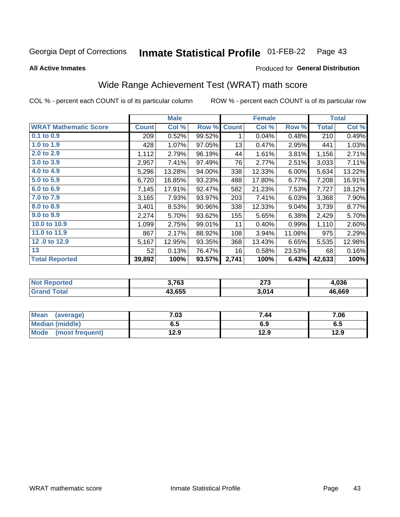### Inmate Statistical Profile 01-FEB-22 Page 43

**All Active Inmates** 

### Produced for General Distribution

# Wide Range Achievement Test (WRAT) math score

COL % - percent each COUNT is of its particular column

|                              |              | <b>Male</b> |        |              | <b>Female</b> |        |              | <b>Total</b> |
|------------------------------|--------------|-------------|--------|--------------|---------------|--------|--------------|--------------|
| <b>WRAT Mathematic Score</b> | <b>Count</b> | Col %       | Row %  | <b>Count</b> | Col %         | Row %  | <b>Total</b> | Col %        |
| 0.1 to 0.9                   | 209          | 0.52%       | 99.52% | 1            | 0.04%         | 0.48%  | 210          | 0.49%        |
| 1.0 to 1.9                   | 428          | 1.07%       | 97.05% | 13           | 0.47%         | 2.95%  | 441          | 1.03%        |
| 2.0 to 2.9                   | 1,112        | 2.79%       | 96.19% | 44           | 1.61%         | 3.81%  | 1,156        | 2.71%        |
| 3.0 to 3.9                   | 2,957        | 7.41%       | 97.49% | 76           | 2.77%         | 2.51%  | 3,033        | 7.11%        |
| 4.0 to 4.9                   | 5,296        | 13.28%      | 94.00% | 338          | 12.33%        | 6.00%  | 5,634        | 13.22%       |
| 5.0 to 5.9                   | 6,720        | 16.85%      | 93.23% | 488          | 17.80%        | 6.77%  | 7,208        | 16.91%       |
| 6.0 to 6.9                   | 7,145        | 17.91%      | 92.47% | 582          | 21.23%        | 7.53%  | 7,727        | 18.12%       |
| 7.0 to 7.9                   | 3,165        | 7.93%       | 93.97% | 203          | 7.41%         | 6.03%  | 3,368        | 7.90%        |
| 8.0 to 8.9                   | 3,401        | 8.53%       | 90.96% | 338          | 12.33%        | 9.04%  | 3,739        | 8.77%        |
| 9.0 to 9.9                   | 2,274        | 5.70%       | 93.62% | 155          | 5.65%         | 6.38%  | 2,429        | 5.70%        |
| 10.0 to 10.9                 | 1,099        | 2.75%       | 99.01% | 11           | 0.40%         | 0.99%  | 1,110        | 2.60%        |
| 11.0 to 11.9                 | 867          | 2.17%       | 88.92% | 108          | 3.94%         | 11.08% | 975          | 2.29%        |
| 12.0 to 12.9                 | 5,167        | 12.95%      | 93.35% | 368          | 13.43%        | 6.65%  | 5,535        | 12.98%       |
| 13                           | 52           | 0.13%       | 76.47% | 16           | 0.58%         | 23.53% | 68           | 0.16%        |
| <b>Total Reported</b>        | 39,892       | 100%        | 93.57% | 2,741        | 100%          | 6.43%  | 42,633       | 100%         |

| Reported<br><b>NOT</b> | 3,763  | 072<br>41 V | 1.036  |
|------------------------|--------|-------------|--------|
| <b>cotal</b>           | 43.655 | 3,014       | 46.669 |

| <b>Mean</b><br>(average) | 7.03 | 7.44 | 7.06 |
|--------------------------|------|------|------|
| <b>Median (middle)</b>   | ხ. J | 6.9  | 6.5  |
| Mode (most frequent)     | 12.9 | 12.9 | 12.9 |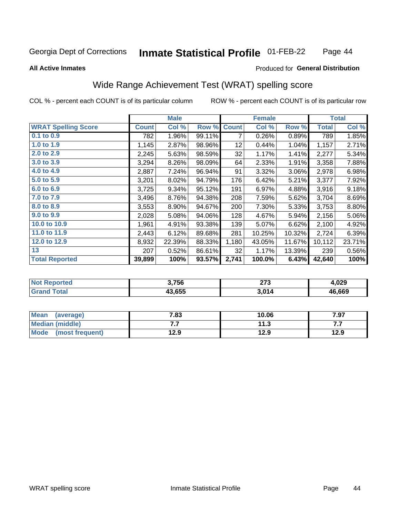### **Inmate Statistical Profile 01-FEB-22** Page 44

### **All Active Inmates**

## Produced for General Distribution

# Wide Range Achievement Test (WRAT) spelling score

COL % - percent each COUNT is of its particular column

|                            |              | <b>Male</b> |        |              | <b>Female</b> |        |              | <b>Total</b> |
|----------------------------|--------------|-------------|--------|--------------|---------------|--------|--------------|--------------|
| <b>WRAT Spelling Score</b> | <b>Count</b> | Col %       | Row %  | <b>Count</b> | Col %         | Row %  | <b>Total</b> | Col %        |
| $0.1$ to $0.9$             | 782          | 1.96%       | 99.11% | 7            | 0.26%         | 0.89%  | 789          | 1.85%        |
| 1.0 to 1.9                 | 1,145        | 2.87%       | 98.96% | 12           | 0.44%         | 1.04%  | 1,157        | 2.71%        |
| 2.0 to 2.9                 | 2,245        | 5.63%       | 98.59% | 32           | 1.17%         | 1.41%  | 2,277        | 5.34%        |
| 3.0 to 3.9                 | 3,294        | 8.26%       | 98.09% | 64           | 2.33%         | 1.91%  | 3,358        | 7.88%        |
| 4.0 to 4.9                 | 2,887        | 7.24%       | 96.94% | 91           | 3.32%         | 3.06%  | 2,978        | 6.98%        |
| 5.0 to 5.9                 | 3,201        | 8.02%       | 94.79% | 176          | 6.42%         | 5.21%  | 3,377        | 7.92%        |
| 6.0 to 6.9                 | 3,725        | 9.34%       | 95.12% | 191          | 6.97%         | 4.88%  | 3,916        | 9.18%        |
| 7.0 to 7.9                 | 3,496        | 8.76%       | 94.38% | 208          | 7.59%         | 5.62%  | 3,704        | 8.69%        |
| 8.0 to 8.9                 | 3,553        | 8.90%       | 94.67% | 200          | 7.30%         | 5.33%  | 3,753        | 8.80%        |
| 9.0 to 9.9                 | 2,028        | 5.08%       | 94.06% | 128          | 4.67%         | 5.94%  | 2,156        | 5.06%        |
| 10.0 to 10.9               | 1,961        | 4.91%       | 93.38% | 139          | 5.07%         | 6.62%  | 2,100        | 4.92%        |
| 11.0 to 11.9               | 2,443        | 6.12%       | 89.68% | 281          | 10.25%        | 10.32% | 2,724        | 6.39%        |
| 12.0 to 12.9               | 8,932        | 22.39%      | 88.33% | 1,180        | 43.05%        | 11.67% | 10,112       | 23.71%       |
| 13                         | 207          | 0.52%       | 86.61% | 32           | 1.17%         | 13.39% | 239          | 0.56%        |
| <b>Total Reported</b>      | 39,899       | 100%        | 93.57% | 2,741        | 100.0%        | 6.43%  | 42,640       | 100%         |

| <b>rted</b><br>NO | 3,756  | ヘフク<br>.<br>__ | 029.ا  |
|-------------------|--------|----------------|--------|
|                   | 43.655 | 3,014          | 46,669 |

| Mean<br>(average)    | 7.83 | 10.06 | 7.97 |
|----------------------|------|-------|------|
| Median (middle)      | .    | 11.3  | .    |
| Mode (most frequent) | 12.9 | 12.9  | 12.9 |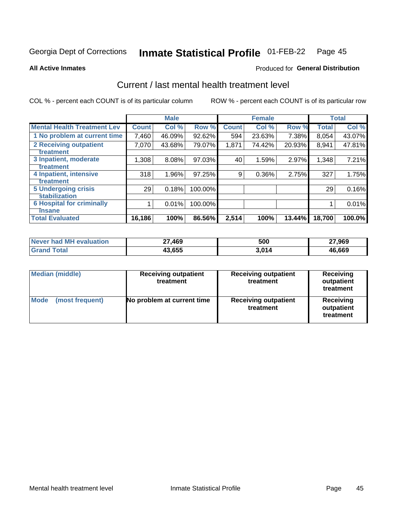### **Inmate Statistical Profile 01-FEB-22** Page 45

**All Active Inmates** 

### Produced for General Distribution

# Current / last mental health treatment level

COL % - percent each COUNT is of its particular column

|                                    |              | <b>Male</b> |         |              | <b>Female</b> |        |              | <b>Total</b> |
|------------------------------------|--------------|-------------|---------|--------------|---------------|--------|--------------|--------------|
| <b>Mental Health Treatment Lev</b> | <b>Count</b> | Col %       | Row %   | <b>Count</b> | Col %         | Row %  | <b>Total</b> | Col %        |
| 1 No problem at current time       | 7,460        | 46.09%      | 92.62%  | 594          | 23.63%        | 7.38%  | 8,054        | 43.07%       |
| 2 Receiving outpatient             | 7,070        | 43.68%      | 79.07%  | 1,871        | 74.42%        | 20.93% | 8,941        | 47.81%       |
| <b>Treatment</b>                   |              |             |         |              |               |        |              |              |
| 3 Inpatient, moderate              | 1,308        | 8.08%       | 97.03%  | 40           | 1.59%         | 2.97%  | 1,348        | 7.21%        |
| <b>Treatment</b>                   |              |             |         |              |               |        |              |              |
| 4 Inpatient, intensive             | 318          | 1.96%       | 97.25%  | 9            | 0.36%         | 2.75%  | 327          | 1.75%        |
| <b>Treatment</b>                   |              |             |         |              |               |        |              |              |
| <b>5 Undergoing crisis</b>         | 29           | 0.18%       | 100.00% |              |               |        | 29           | 0.16%        |
| <b>stabilization</b>               |              |             |         |              |               |        |              |              |
| <b>6 Hospital for criminally</b>   |              | 0.01%       | 100.00% |              |               |        |              | 0.01%        |
| <b>Tinsane</b>                     |              |             |         |              |               |        |              |              |
| <b>Total Evaluated</b>             | 16,186       | 100%        | 86.56%  | 2,514        | 100%          | 13.44% | 18,700       | 100.0%       |

| Never had MH evaluation | 27,469 | 500    | 27,969 |
|-------------------------|--------|--------|--------|
| $\tau$ otal             | 43.655 | .014 د | 46,669 |

| <b>Median (middle)</b>         | <b>Receiving outpatient</b><br>treatment | <b>Receiving outpatient</b><br>treatment | <b>Receiving</b><br>outpatient<br>treatment |  |  |
|--------------------------------|------------------------------------------|------------------------------------------|---------------------------------------------|--|--|
| <b>Mode</b><br>(most frequent) | No problem at current time               | <b>Receiving outpatient</b><br>treatment | Receiving<br>outpatient<br>treatment        |  |  |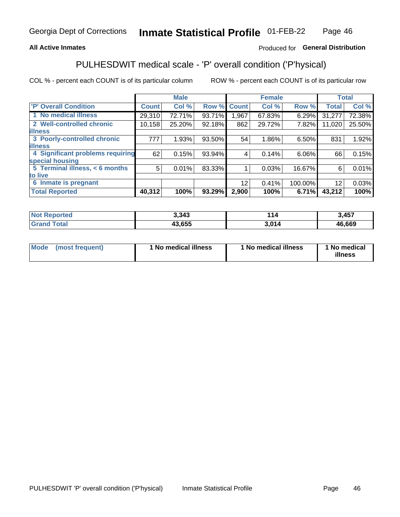## **All Active Inmates**

## Produced for General Distribution

# PULHESDWIT medical scale - 'P' overall condition ('P'hysical)

COL % - percent each COUNT is of its particular column

|                                  |              | <b>Male</b> |        |                 | <b>Female</b> |         |                 | <b>Total</b> |
|----------------------------------|--------------|-------------|--------|-----------------|---------------|---------|-----------------|--------------|
| 'P' Overall Condition            | <b>Count</b> | Col %       | Row %  | <b>Count</b>    | Col %         | Row %   | <b>Total</b>    | Col %        |
| 1 No medical illness             | 29,310       | 72.71%      | 93.71% | 967. ا          | 67.83%        | 6.29%   | 31,277          | 72.38%       |
| 2 Well-controlled chronic        | 10,158       | 25.20%      | 92.18% | 862             | 29.72%        | 7.82%   | 11,020          | 25.50%       |
| <b>illness</b>                   |              |             |        |                 |               |         |                 |              |
| 3 Poorly-controlled chronic      | 777          | 1.93%       | 93.50% | 54              | 1.86%         | 6.50%   | 831             | 1.92%        |
| <b>illness</b>                   |              |             |        |                 |               |         |                 |              |
| 4 Significant problems requiring | 62           | 0.15%       | 93.94% | 4               | 0.14%         | 6.06%   | 66              | 0.15%        |
| special housing                  |              |             |        |                 |               |         |                 |              |
| 5 Terminal illness, < 6 months   | 5            | 0.01%       | 83.33% |                 | 0.03%         | 16.67%  | 6               | 0.01%        |
| to live                          |              |             |        |                 |               |         |                 |              |
| 6 Inmate is pregnant             |              |             |        | 12 <sup>2</sup> | 0.41%         | 100.00% | 12 <sup>2</sup> | 0.03%        |
| <b>Total Reported</b>            | 40,312       | 100%        | 93.29% | 2,900           | 100%          | 6.71%   | 43,212          | 100%         |

| тео | 3,343  |      | <b>A57</b><br>−v. |
|-----|--------|------|-------------------|
|     | 13.655 | . ሰ4 | 46,669            |

| Mode | (most frequent) | 1 No medical illness | 1 No medical illness | 1 No medical<br>illness |
|------|-----------------|----------------------|----------------------|-------------------------|
|------|-----------------|----------------------|----------------------|-------------------------|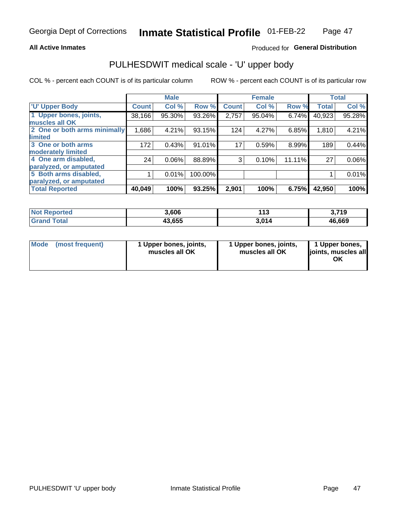### **All Active Inmates**

## Produced for General Distribution

# PULHESDWIT medical scale - 'U' upper body

COL % - percent each COUNT is of its particular column

|                              |              | <b>Male</b> |         |              | <b>Female</b> |        |              | <b>Total</b> |
|------------------------------|--------------|-------------|---------|--------------|---------------|--------|--------------|--------------|
| <b>U' Upper Body</b>         | <b>Count</b> | Col %       | Row %   | <b>Count</b> | Col %         | Row %  | <b>Total</b> | Col %        |
| 1 Upper bones, joints,       | 38,166       | 95.30%      | 93.26%  | 2,757        | 95.04%        | 6.74%  | 40,923       | 95.28%       |
| muscles all OK               |              |             |         |              |               |        |              |              |
| 2 One or both arms minimally | 1,686        | 4.21%       | 93.15%  | 124          | 4.27%         | 6.85%  | 1,810        | 4.21%        |
| limited                      |              |             |         |              |               |        |              |              |
| 3 One or both arms           | 172          | 0.43%       | 91.01%  | 17           | 0.59%         | 8.99%  | 189          | 0.44%        |
| <b>moderately limited</b>    |              |             |         |              |               |        |              |              |
| 4 One arm disabled,          | 24           | 0.06%       | 88.89%  | 3            | 0.10%         | 11.11% | 27           | 0.06%        |
| paralyzed, or amputated      |              |             |         |              |               |        |              |              |
| 5 Both arms disabled,        |              | 0.01%       | 100.00% |              |               |        |              | 0.01%        |
| paralyzed, or amputated      |              |             |         |              |               |        |              |              |
| <b>Total Reported</b>        | 40,049       | 100%        | 93.25%  | 2,901        | 100%          | 6.75%  | 42,950       | 100%         |

| <b>Not Reported</b> | 3.606  | 142<br>. | 3,719  |
|---------------------|--------|----------|--------|
| <b>Grand Total</b>  | 43,655 | 3,014    | 46,669 |

|  | Mode (most frequent) | 1 Upper bones, joints,<br>muscles all OK | 1 Upper bones, joints,<br>muscles all OK | 1 Upper bones,<br>ljoints, muscles all<br>ОK |
|--|----------------------|------------------------------------------|------------------------------------------|----------------------------------------------|
|--|----------------------|------------------------------------------|------------------------------------------|----------------------------------------------|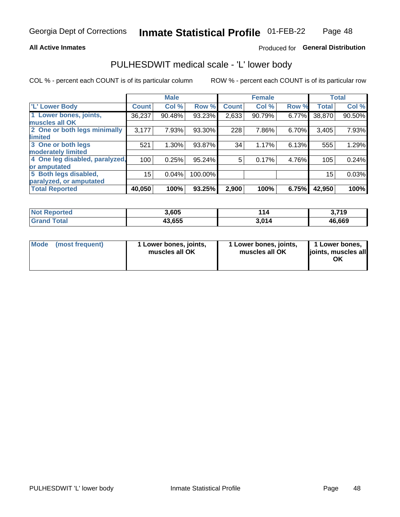### **All Active Inmates**

## Produced for General Distribution

# PULHESDWIT medical scale - 'L' lower body

COL % - percent each COUNT is of its particular column

|                                |              | <b>Male</b> |         |              | <b>Female</b> |       |              | <b>Total</b> |
|--------------------------------|--------------|-------------|---------|--------------|---------------|-------|--------------|--------------|
| 'L' Lower Body                 | <b>Count</b> | Col %       | Row %   | <b>Count</b> | Col %         | Row % | <b>Total</b> | Col %        |
| 1 Lower bones, joints,         | 36,237       | 90.48%      | 93.23%  | 2,633        | 90.79%        | 6.77% | 38,870       | 90.50%       |
| muscles all OK                 |              |             |         |              |               |       |              |              |
| 2 One or both legs minimally   | 3,177        | 7.93%       | 93.30%  | 228          | 7.86%         | 6.70% | 3,405        | 7.93%        |
| limited                        |              |             |         |              |               |       |              |              |
| 3 One or both legs             | 521          | 1.30%       | 93.87%  | 34           | 1.17%         | 6.13% | 555          | 1.29%        |
| moderately limited             |              |             |         |              |               |       |              |              |
| 4 One leg disabled, paralyzed, | 100          | 0.25%       | 95.24%  | 5            | 0.17%         | 4.76% | 105          | 0.24%        |
| or amputated                   |              |             |         |              |               |       |              |              |
| 5 Both legs disabled,          | 15           | 0.04%       | 100.00% |              |               |       | 15           | 0.03%        |
| paralyzed, or amputated        |              |             |         |              |               |       |              |              |
| <b>Total Reported</b>          | 40,050       | 100%        | 93.25%  | 2,900        | 100%          | 6.75% | 42,950       | 100%         |

| <b>Not Reported</b> | 3,605  | 14    | },719  |
|---------------------|--------|-------|--------|
| <b>Total</b>        | 43,655 | 3.014 | 46,669 |

| Mode (most frequent) | 1 Lower bones, joints,<br>muscles all OK | 1 Lower bones, joints,<br>muscles all OK | 1 Lower bones,<br>joints, muscles all<br>ОK |
|----------------------|------------------------------------------|------------------------------------------|---------------------------------------------|
|----------------------|------------------------------------------|------------------------------------------|---------------------------------------------|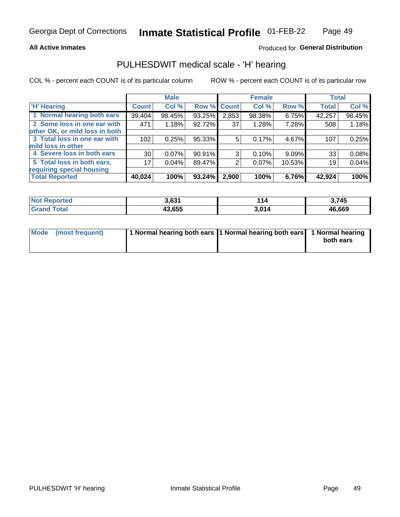### **All Active Inmates**

## Produced for General Distribution

## PULHESDWIT medical scale - 'H' hearing

COL % - percent each COUNT is of its particular column

|                                |              | <b>Male</b> |             |       | <b>Female</b> |        | <b>Total</b> |        |
|--------------------------------|--------------|-------------|-------------|-------|---------------|--------|--------------|--------|
| <b>'H' Hearing</b>             | <b>Count</b> | Col %       | Row % Count |       | Col %         | Row %  | <b>Total</b> | Col %  |
| 1 Normal hearing both ears     | 39,404       | 98.45%      | 93.25%      | 2,853 | 98.38%        | 6.75%  | 42,257       | 98.45% |
| 2 Some loss in one ear with    | 471          | 1.18%       | 92.72%      | 37    | 1.28%         | 7.28%  | 508          | 1.18%  |
| other OK, or mild loss in both |              |             |             |       |               |        |              |        |
| 3 Total loss in one ear with   | 102          | 0.25%       | 95.33%      | 5     | 0.17%         | 4.67%  | 107          | 0.25%  |
| mild loss in other             |              |             |             |       |               |        |              |        |
| 4 Severe loss in both ears     | 30           | 0.07%       | 90.91%      | 3     | 0.10%         | 9.09%  | 33           | 0.08%  |
| 5 Total loss in both ears,     | 17           | 0.04%       | 89.47%      | 2     | 0.07%         | 10.53% | 19           | 0.04%  |
| requiring special housing      |              |             |             |       |               |        |              |        |
| <b>Total Reported</b>          | 40,024       | 100%        | 93.24%      | 2,900 | 100%          | 6.76%  | 42,924       | 100%   |

| <b>Not Renc</b><br>morted | o coa  | 4 A<br>14 | 745.   |
|---------------------------|--------|-----------|--------|
| Total                     | 43.655 | 3.014     | 46,669 |

| Mode (most frequent) | 1 Normal hearing both ears 11 Normal hearing both ears 1 Normal hearing | both ears |
|----------------------|-------------------------------------------------------------------------|-----------|
|                      |                                                                         |           |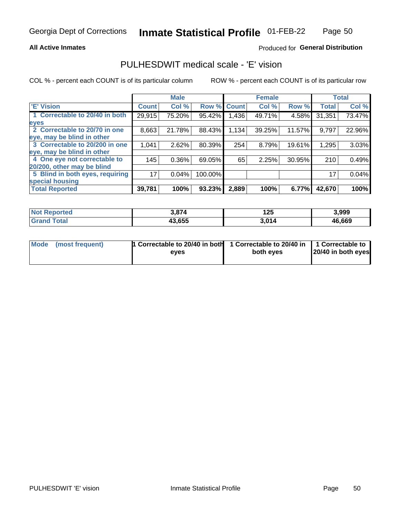### **All Active Inmates**

## Produced for General Distribution

## PULHESDWIT medical scale - 'E' vision

COL % - percent each COUNT is of its particular column

|                                 |              | <b>Male</b> |         |              | <b>Female</b> |        |              | <b>Total</b> |
|---------------------------------|--------------|-------------|---------|--------------|---------------|--------|--------------|--------------|
| <b>E' Vision</b>                | <b>Count</b> | Col %       | Row %   | <b>Count</b> | Col %         | Row %  | <b>Total</b> | Col %        |
| 1 Correctable to 20/40 in both  | 29,915       | 75.20%      | 95.42%  | .436         | 49.71%        | 4.58%  | 31,351       | 73.47%       |
| eyes                            |              |             |         |              |               |        |              |              |
| 2 Correctable to 20/70 in one   | 8,663        | 21.78%      | 88.43%  | 1,134        | 39.25%        | 11.57% | 9,797        | 22.96%       |
| eye, may be blind in other      |              |             |         |              |               |        |              |              |
| 3 Correctable to 20/200 in one  | 1,041        | 2.62%       | 80.39%  | 254          | 8.79%         | 19.61% | 1,295        | 3.03%        |
| eye, may be blind in other      |              |             |         |              |               |        |              |              |
| 4 One eye not correctable to    | 145          | 0.36%       | 69.05%  | 65           | 2.25%         | 30.95% | 210          | 0.49%        |
| 20/200, other may be blind      |              |             |         |              |               |        |              |              |
| 5 Blind in both eyes, requiring | 17           | 0.04%       | 100.00% |              |               |        | 17           | 0.04%        |
| special housing                 |              |             |         |              |               |        |              |              |
| <b>Total Reported</b>           | 39,781       | 100%        | 93.23%  | 2,889        | 100%          | 6.77%  | 42,670       | 100%         |

| <b>Not Reported</b> | $\sim$ 0.74<br>⁄ ס.נ | 1つち<br>. | 3,999  |
|---------------------|----------------------|----------|--------|
| ⊺ota                | 43,655               | 3.014    | 46,669 |

| Mode (most frequent) | 1 Correctable to 20/40 in both<br>eves | 1 Correctable to 20/40 in   1 Correctable to  <br>both eves | 20/40 in both eyes |
|----------------------|----------------------------------------|-------------------------------------------------------------|--------------------|
|                      |                                        |                                                             |                    |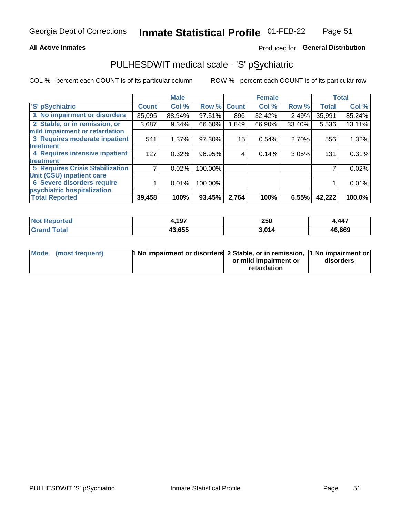### **All Active Inmates**

## Produced for General Distribution

# PULHESDWIT medical scale - 'S' pSychiatric

COL % - percent each COUNT is of its particular column

|                                        |              | <b>Male</b> |         |              | <b>Female</b> |        |              | <b>Total</b> |
|----------------------------------------|--------------|-------------|---------|--------------|---------------|--------|--------------|--------------|
| 'S' pSychiatric                        | <b>Count</b> | Col %       | Row %   | <b>Count</b> | Col %         | Row %  | <b>Total</b> | Col %        |
| 1 No impairment or disorders           | 35,095       | 88.94%      | 97.51%  | 896          | 32.42%        | 2.49%  | 35,991       | 85.24%       |
| 2 Stable, or in remission, or          | 3,687        | $9.34\%$    | 66.60%  | 1,849        | 66.90%        | 33.40% | 5,536        | 13.11%       |
| mild impairment or retardation         |              |             |         |              |               |        |              |              |
| 3 Requires moderate inpatient          | 541          | 1.37%       | 97.30%  | 15           | 0.54%         | 2.70%  | 556          | 1.32%        |
| treatment                              |              |             |         |              |               |        |              |              |
| 4 Requires intensive inpatient         | 127          | 0.32%       | 96.95%  | 4            | 0.14%         | 3.05%  | 131          | 0.31%        |
| treatment                              |              |             |         |              |               |        |              |              |
| <b>5 Requires Crisis Stabilization</b> |              | 0.02%       | 100.00% |              |               |        |              | 0.02%        |
| Unit (CSU) inpatient care              |              |             |         |              |               |        |              |              |
| <b>6 Severe disorders require</b>      |              | 0.01%       | 100.00% |              |               |        |              | 0.01%        |
| psychiatric hospitalization            |              |             |         |              |               |        |              |              |
| <b>Total Reported</b>                  | 39,458       | 100%        | 93.45%  | 2,764        | 100%          | 6.55%  | 42,222       | 100.0%       |

| <b>Not Reported</b> | 1,197  | 250   | 4,447  |
|---------------------|--------|-------|--------|
| Total               | 43,655 | 3,014 | 46,669 |

| Mode | (most frequent) | 1 No impairment or disorders 2 Stable, or in remission, 1 No impairment or |                       |           |
|------|-----------------|----------------------------------------------------------------------------|-----------------------|-----------|
|      |                 |                                                                            | or mild impairment or | disorders |
|      |                 |                                                                            | retardation           |           |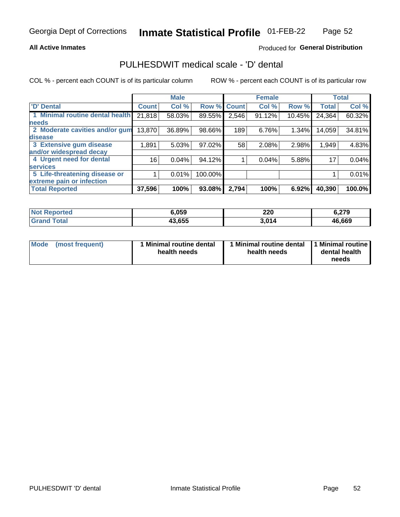### **All Active Inmates**

## Produced for General Distribution

## PULHESDWIT medical scale - 'D' dental

COL % - percent each COUNT is of its particular column

|                                 |                 | <b>Male</b> |           |              | <b>Female</b> |        |              | <b>Total</b> |
|---------------------------------|-----------------|-------------|-----------|--------------|---------------|--------|--------------|--------------|
| <b>D'</b> Dental                | <b>Count</b>    | Col %       | Row %     | <b>Count</b> | Col %         | Row %  | <b>Total</b> | Col %        |
| 1 Minimal routine dental health | 21,818          | 58.03%      | 89.55%    | 2,546        | 91.12%        | 10.45% | 24,364       | 60.32%       |
| <b>needs</b>                    |                 |             |           |              |               |        |              |              |
| 2 Moderate cavities and/or gum  | 13,870          | 36.89%      | 98.66%    | 189          | 6.76%         | 1.34%  | 14,059       | 34.81%       |
| disease                         |                 |             |           |              |               |        |              |              |
| 3 Extensive gum disease         | 1,891           | 5.03%       | $97.02\%$ | 58           | 2.08%         | 2.98%  | 1,949        | 4.83%        |
| and/or widespread decay         |                 |             |           |              |               |        |              |              |
| 4 Urgent need for dental        | 16 <sub>1</sub> | 0.04%       | 94.12%    |              | 0.04%         | 5.88%  | 17           | 0.04%        |
| <b>services</b>                 |                 |             |           |              |               |        |              |              |
| 5 Life-threatening disease or   |                 | 0.01%       | 100.00%   |              |               |        |              | 0.01%        |
| extreme pain or infection       |                 |             |           |              |               |        |              |              |
| <b>Total Reported</b>           | 37,596          | 100%        | 93.08%    | 2,794        | 100%          | 6.92%  | 40,390       | 100.0%       |

| <b>Not Reported</b> | 6.059  | חרר<br>ZZU<br>the contract of the contract of the | 6,279  |
|---------------------|--------|---------------------------------------------------|--------|
| ⊺otai               | 43,655 | 3.014                                             | 46,669 |

| 1 Minimal routine dental<br>Mode<br>(most frequent)<br>health needs | 1 Minimal routine dental 1 Minimal routine<br>health needs | dental health<br>needs |
|---------------------------------------------------------------------|------------------------------------------------------------|------------------------|
|---------------------------------------------------------------------|------------------------------------------------------------|------------------------|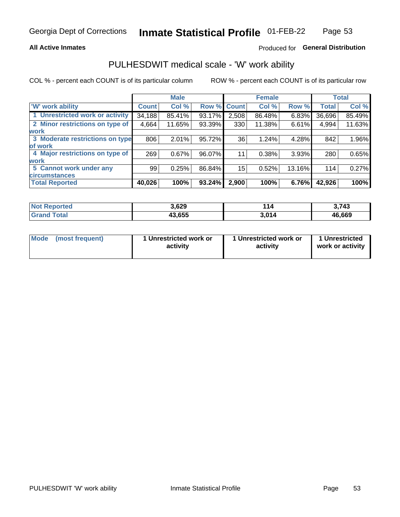## **All Active Inmates**

## Produced for General Distribution

# PULHESDWIT medical scale - 'W' work ability

COL % - percent each COUNT is of its particular column

|                                 |              | <b>Male</b> |             |       | <b>Female</b> |          |              | <b>Total</b> |
|---------------------------------|--------------|-------------|-------------|-------|---------------|----------|--------------|--------------|
| <b>W' work ability</b>          | <b>Count</b> | Col %       | Row % Count |       | Col %         | Row %    | <b>Total</b> | Col %        |
| 1 Unrestricted work or activity | 34,188       | 85.41%      | 93.17%      | 2,508 | 86.48%        | $6.83\%$ | 36,696       | 85.49%       |
| 2 Minor restrictions on type of | 4,664        | 11.65%      | 93.39%      | 330   | 11.38%        | 6.61%    | 4,994        | 11.63%       |
| <b>work</b>                     |              |             |             |       |               |          |              |              |
| 3 Moderate restrictions on type | 806          | 2.01%       | 95.72%      | 36    | 1.24%         | 4.28%    | 842          | 1.96%        |
| lof work                        |              |             |             |       |               |          |              |              |
| 4 Major restrictions on type of | 269          | 0.67%       | 96.07%      | 11    | 0.38%         | 3.93%    | 280          | 0.65%        |
| <b>work</b>                     |              |             |             |       |               |          |              |              |
| 5 Cannot work under any         | 99           | 0.25%       | 86.84%      | 15    | 0.52%         | 13.16%   | 114          | 0.27%        |
| <b>circumstances</b>            |              |             |             |       |               |          |              |              |
| <b>Total Reported</b>           | 40,026       | 100%        | 93.24%      | 2,900 | 100%          | 6.76%    | 42,926       | 100%         |

| <b>Not Reported</b> | 3,629  | 44    | 3,743  |
|---------------------|--------|-------|--------|
| Total<br>' Grand    | 43,655 | 3,014 | 46,669 |

| <b>Mode</b>     | 1 Unrestricted work or | 1 Unrestricted work or | 1 Unrestricted   |
|-----------------|------------------------|------------------------|------------------|
| (most frequent) | activity               | activity               | work or activity |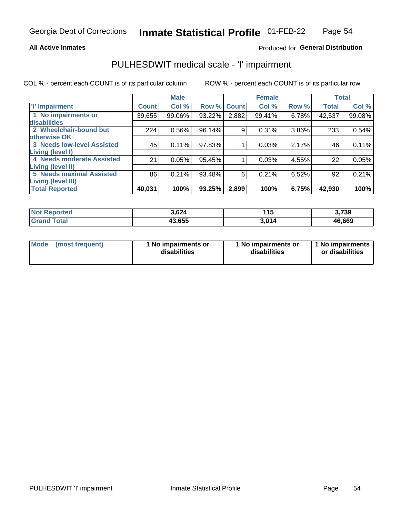### **All Active Inmates**

## Produced for General Distribution

# PULHESDWIT medical scale - 'I' impairment

COL % - percent each COUNT is of its particular column

|                                   |              | <b>Male</b> |        |             | <b>Female</b> |       |              | <b>Total</b> |
|-----------------------------------|--------------|-------------|--------|-------------|---------------|-------|--------------|--------------|
| <b>T' Impairment</b>              | <b>Count</b> | Col %       |        | Row % Count | Col %         | Row % | <b>Total</b> | Col %        |
| 1 No impairments or               | 39,655       | 99.06%      | 93.22% | 2,882       | 99.41%        | 6.78% | 42,537       | 99.08%       |
| <b>disabilities</b>               |              |             |        |             |               |       |              |              |
| 2 Wheelchair-bound but            | 224          | 0.56%       | 96.14% | 9           | 0.31%         | 3.86% | 233          | 0.54%        |
| otherwise OK                      |              |             |        |             |               |       |              |              |
| <b>3 Needs low-level Assisted</b> | 45           | 0.11%       | 97.83% |             | 0.03%         | 2.17% | 46           | 0.11%        |
| Living (level I)                  |              |             |        |             |               |       |              |              |
| 4 Needs moderate Assisted         | 21           | 0.05%       | 95.45% |             | 0.03%         | 4.55% | 22           | 0.05%        |
| Living (level II)                 |              |             |        |             |               |       |              |              |
| <b>5 Needs maximal Assisted</b>   | 86           | 0.21%       | 93.48% | 6           | 0.21%         | 6.52% | 92           | 0.21%        |
| <b>Living (level III)</b>         |              |             |        |             |               |       |              |              |
| <b>Total Reported</b>             | 40,031       | 100%        | 93.25% | 2,899       | 100%          | 6.75% | 42,930       | 100%         |

| Reported<br>NOI | 3,624  | 14 F<br>טוו | 3,739  |
|-----------------|--------|-------------|--------|
| Total           | 43,655 | 3.014       | 46,669 |

| Mode | (most frequent) | 1 No impairments or<br>disabilities | 1 No impairments or<br>disabilities | 1 No impairments<br>or disabilities |
|------|-----------------|-------------------------------------|-------------------------------------|-------------------------------------|
|------|-----------------|-------------------------------------|-------------------------------------|-------------------------------------|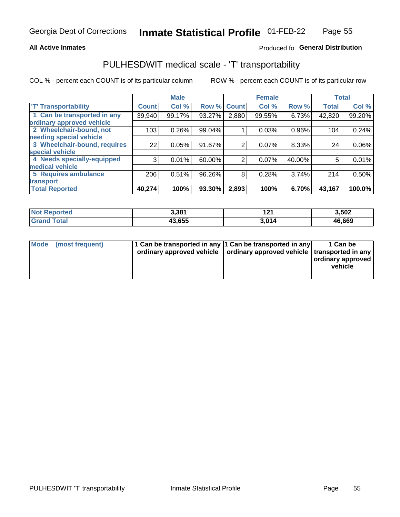## **All Active Inmates**

## Produced fo General Distribution

# PULHESDWIT medical scale - 'T' transportability

COL % - percent each COUNT is of its particular column

|                              |              | <b>Male</b> |        |              | <b>Female</b> |          | <b>Total</b> |          |
|------------------------------|--------------|-------------|--------|--------------|---------------|----------|--------------|----------|
| <b>T' Transportability</b>   | <b>Count</b> | Col %       | Row %  | <b>Count</b> | Col %         | Row %    | <b>Total</b> | Col %    |
| 1 Can be transported in any  | 39,940       | 99.17%      | 93.27% | 2,880        | 99.55%        | 6.73%    | 42,820       | 99.20%   |
| ordinary approved vehicle    |              |             |        |              |               |          |              |          |
| 2 Wheelchair-bound, not      | 103          | 0.26%       | 99.04% |              | 0.03%         | $0.96\%$ | 104          | 0.24%    |
| needing special vehicle      |              |             |        |              |               |          |              |          |
| 3 Wheelchair-bound, requires | 22           | 0.05%       | 91.67% | 2            | 0.07%         | 8.33%    | 24           | $0.06\%$ |
| special vehicle              |              |             |        |              |               |          |              |          |
| 4 Needs specially-equipped   | 3            | 0.01%       | 60.00% | 2            | 0.07%         | 40.00%   | 5            | 0.01%    |
| medical vehicle              |              |             |        |              |               |          |              |          |
| <b>5 Requires ambulance</b>  | 206          | 0.51%       | 96.26% | 8            | 0.28%         | 3.74%    | 214          | 0.50%    |
| transport                    |              |             |        |              |               |          |              |          |
| <b>Total Reported</b>        | 40,274       | 100%        | 93.30% | 2,893        | 100%          | 6.70%    | 43,167       | 100.0%   |

| ported       | 3,381  | ה ה<br>. . | 3,502  |
|--------------|--------|------------|--------|
| <b>ota</b> ı | 43,655 | 014،       | 46,669 |

|  | Mode (most frequent) | 1 Can be transported in any 1 Can be transported in any<br>ordinary approved vehicle   ordinary approved vehicle   transported in any |  | 1 Can be<br>  ordinary approved  <br>vehicle |
|--|----------------------|---------------------------------------------------------------------------------------------------------------------------------------|--|----------------------------------------------|
|--|----------------------|---------------------------------------------------------------------------------------------------------------------------------------|--|----------------------------------------------|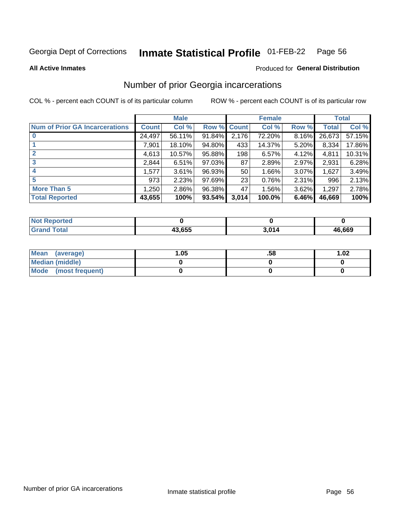#### **Inmate Statistical Profile 01-FEB-22** Page 56

**All Active Inmates** 

### Produced for General Distribution

## Number of prior Georgia incarcerations

COL % - percent each COUNT is of its particular column

|                                       |              | <b>Male</b> |             |                 | <b>Female</b> |       |        | <b>Total</b> |
|---------------------------------------|--------------|-------------|-------------|-----------------|---------------|-------|--------|--------------|
| <b>Num of Prior GA Incarcerations</b> | <b>Count</b> | Col %       | Row % Count |                 | Col %         | Row % | Total  | Col %        |
|                                       | 24,497       | 56.11%      | 91.84%      | 2,176           | 72.20%        | 8.16% | 26,673 | 57.15%       |
|                                       | 7,901        | 18.10%      | 94.80%      | 433             | 14.37%        | 5.20% | 8,334  | 17.86%       |
| $\overline{2}$                        | 4,613        | 10.57%      | 95.88%      | 198             | 6.57%         | 4.12% | 4,811  | 10.31%       |
| 3                                     | 2,844        | 6.51%       | $97.03\%$   | 87              | 2.89%         | 2.97% | 2,931  | 6.28%        |
| $\boldsymbol{4}$                      | 1,577        | 3.61%       | 96.93%      | 50 <sub>1</sub> | 1.66%         | 3.07% | 1,627  | 3.49%        |
| 5                                     | 973          | 2.23%       | 97.69%      | 23              | 0.76%         | 2.31% | 996    | 2.13%        |
| <b>More Than 5</b>                    | 1,250        | 2.86%       | 96.38%      | 47'             | 1.56%         | 3.62% | 1,297  | 2.78%        |
| <b>Total Reported</b>                 | 43,655       | 100%        | 93.54%      | 3,014           | 100.0%        | 6.46% | 46,669 | 100%         |

| orted<br>NO.      |        |     |        |
|-------------------|--------|-----|--------|
| <b>otal</b><br>Gr | 43.655 | 201 | 46,669 |

| Mean (average)         | .05 | .58 | 1.02 |
|------------------------|-----|-----|------|
| <b>Median (middle)</b> |     |     |      |
| Mode (most frequent)   |     |     |      |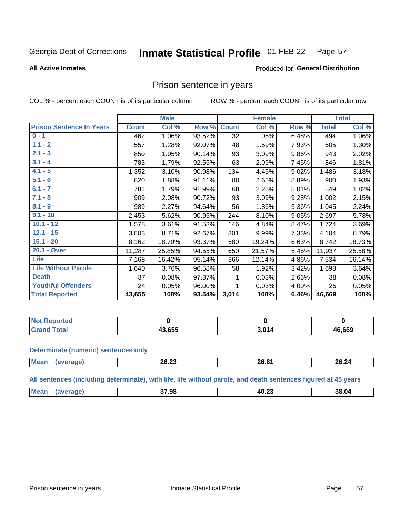#### **Inmate Statistical Profile 01-FEB-22** Page 57

### **All Active Inmates**

## Produced for General Distribution

## Prison sentence in years

COL % - percent each COUNT is of its particular column

ROW % - percent each COUNT is of its particular row

|                                 |              | <b>Male</b> |        |                 | <b>Female</b> |          |              | <b>Total</b> |
|---------------------------------|--------------|-------------|--------|-----------------|---------------|----------|--------------|--------------|
| <b>Prison Sentence In Years</b> | <b>Count</b> | Col %       | Row %  | <b>Count</b>    | Col %         | Row %    | <b>Total</b> | Col %        |
| $0 - 1$                         | 462          | 1.06%       | 93.52% | $\overline{32}$ | 1.06%         | 6.48%    | 494          | 1.06%        |
| $1.1 - 2$                       | 557          | 1.28%       | 92.07% | 48              | 1.59%         | 7.93%    | 605          | 1.30%        |
| $2.1 - 3$                       | 850          | 1.95%       | 90.14% | 93              | 3.09%         | $9.86\%$ | 943          | 2.02%        |
| $3.1 - 4$                       | 783          | 1.79%       | 92.55% | 63              | 2.09%         | 7.45%    | 846          | 1.81%        |
| $4.1 - 5$                       | 1,352        | 3.10%       | 90.98% | 134             | 4.45%         | 9.02%    | 1,486        | 3.18%        |
| $5.1 - 6$                       | 820          | 1.88%       | 91.11% | 80              | 2.65%         | 8.89%    | 900          | 1.93%        |
| $6.1 - 7$                       | 781          | 1.79%       | 91.99% | 68              | 2.26%         | 8.01%    | 849          | 1.82%        |
| $7.1 - 8$                       | 909          | 2.08%       | 90.72% | 93              | 3.09%         | 9.28%    | 1,002        | 2.15%        |
| $8.1 - 9$                       | 989          | 2.27%       | 94.64% | 56              | 1.86%         | 5.36%    | 1,045        | 2.24%        |
| $9.1 - 10$                      | 2,453        | 5.62%       | 90.95% | 244             | 8.10%         | 9.05%    | 2,697        | 5.78%        |
| $10.1 - 12$                     | 1,578        | 3.61%       | 91.53% | 146             | 4.84%         | 8.47%    | 1,724        | 3.69%        |
| $12.1 - 15$                     | 3,803        | 8.71%       | 92.67% | 301             | 9.99%         | 7.33%    | 4,104        | 8.79%        |
| $15.1 - 20$                     | 8,162        | 18.70%      | 93.37% | 580             | 19.24%        | 6.63%    | 8,742        | 18.73%       |
| 20.1 - Over                     | 11,287       | 25.85%      | 94.55% | 650             | 21.57%        | 5.45%    | 11,937       | 25.58%       |
| <b>Life</b>                     | 7,168        | 16.42%      | 95.14% | 366             | 12.14%        | 4.86%    | 7,534        | 16.14%       |
| <b>Life Without Parole</b>      | 1,640        | 3.76%       | 96.58% | 58              | 1.92%         | 3.42%    | 1,698        | 3.64%        |
| <b>Death</b>                    | 37           | 0.08%       | 97.37% |                 | 0.03%         | 2.63%    | 38           | 0.08%        |
| <b>Youthful Offenders</b>       | 24           | 0.05%       | 96.00% |                 | 0.03%         | 4.00%    | 25           | 0.05%        |
| <b>Total Reported</b>           | 43,655       | 100%        | 93.54% | 3,014           | 100%          | 6.46%    | 46,669       | 100%         |

| Reported<br>I NOT |        |     |        |
|-------------------|--------|-----|--------|
| <b>otal</b>       | 13.655 | 201 | 46,669 |

### **Determinate (numeric) sentences only**

| <b>Mean</b> | 26.23 | $26.6^\circ$ | 26.24 |
|-------------|-------|--------------|-------|
|             |       |              |       |

All sentences (including determinate), with life, life without parole, and death sentences figured at 45 years

| <b>Me</b> | 37.98 | 40.23<br>___ | 38.04 |
|-----------|-------|--------------|-------|
|           |       |              |       |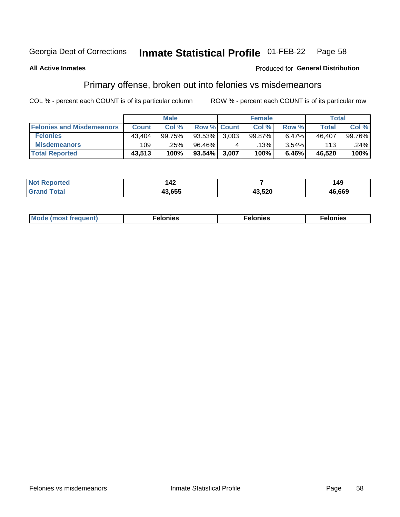#### Inmate Statistical Profile 01-FEB-22 Page 58

### **All Active Inmates**

### Produced for General Distribution

# Primary offense, broken out into felonies vs misdemeanors

COL % - percent each COUNT is of its particular column

|                                  | <b>Male</b>  |        |                    | <b>Female</b> |         |       | Total  |        |  |
|----------------------------------|--------------|--------|--------------------|---------------|---------|-------|--------|--------|--|
| <b>Felonies and Misdemeanors</b> | <b>Count</b> | Col %  | <b>Row % Count</b> |               | Col %   | Row % | Total  | Col %  |  |
| <b>Felonies</b>                  | 43.404       | 99.75% | 93.53%             | 3.003         | 99.87%  | 6.47% | 46,407 | 99.76% |  |
| <b>Misdemeanors</b>              | 109          | .25%   | 96.46%             |               | $.13\%$ | 3.54% | 113    | .24%   |  |
| <b>Total Reported</b>            | 43,513       | 100%   | $93.54\%$          | 3,007         | 100%    | 6.46% | 46,520 | 100%   |  |

| <b>Not</b><br>eported | 14Z   |        | 49     |
|-----------------------|-------|--------|--------|
| <b>Grand</b><br>™otal | 3.655 | 13,520 | 46,669 |

| Mo | ____ | 11 C.S<br>. | onies<br>. |
|----|------|-------------|------------|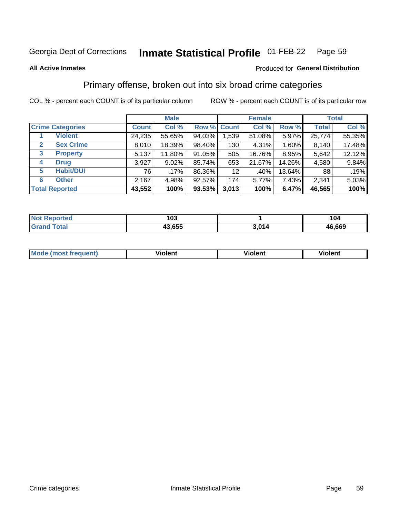#### Inmate Statistical Profile 01-FEB-22 Page 59

### **All Active Inmates**

### Produced for General Distribution

## Primary offense, broken out into six broad crime categories

COL % - percent each COUNT is of its particular column

|                         |                  | <b>Male</b>  |         |           |             | <b>Female</b> | <b>Total</b> |              |        |
|-------------------------|------------------|--------------|---------|-----------|-------------|---------------|--------------|--------------|--------|
| <b>Crime Categories</b> |                  | <b>Count</b> | Col %   |           | Row % Count | Col %         | Row %        | <b>Total</b> | Col %  |
|                         | <b>Violent</b>   | 24,235       | 55.65%  | 94.03%    | 1,539       | 51.08%        | 5.97%        | 25,774       | 55.35% |
| $\mathbf{2}$            | <b>Sex Crime</b> | 8,010        | 18.39%  | 98.40%    | 130         | 4.31%         | 1.60%        | 8,140        | 17.48% |
| 3                       | <b>Property</b>  | 5,137        | 11.80%  | 91.05%    | 505         | 16.76%        | 8.95%        | 5,642        | 12.12% |
| 4                       | <b>Drug</b>      | 3,927        | 9.02%   | 85.74%    | 653         | 21.67%        | 14.26%       | 4,580        | 9.84%  |
| 5                       | <b>Habit/DUI</b> | 76           | $.17\%$ | 86.36%    | 12          | .40%          | 13.64%       | 88           | .19%   |
| 6                       | <b>Other</b>     | 2,167        | 4.98%   | 92.57%    | 174         | 5.77%         | 7.43%        | 2,341        | 5.03%  |
| <b>Total Reported</b>   |                  | 43,552       | 100%    | $93.53\%$ | 3,013       | 100%          | 6.47%        | 46,565       | 100%   |

| rtea<br>NO   | 103    |              | 104    |
|--------------|--------|--------------|--------|
| $T$ stal $T$ | 43,655 | . n.l<br>174 | 46,669 |

| Mo<br>uent)<br>nos | .<br>/iolent | <br>Violent | - --<br><b>Tiolent</b> |
|--------------------|--------------|-------------|------------------------|
|                    |              |             |                        |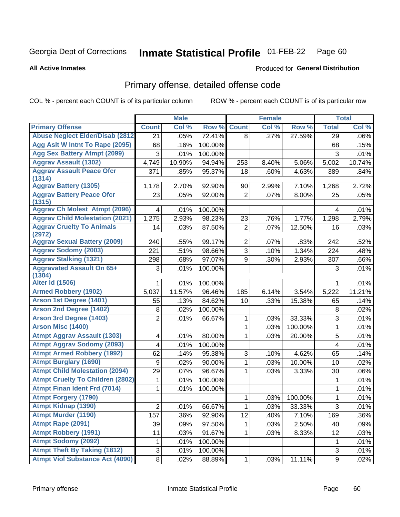### Inmate Statistical Profile 01-FEB-22 Page 60

**All Active Inmates** 

## **Produced for General Distribution**

## Primary offense, detailed offense code

COL % - percent each COUNT is of its particular column

|                                            |                  | <b>Male</b> |         |                | <b>Female</b> |         |                  | <b>Total</b> |
|--------------------------------------------|------------------|-------------|---------|----------------|---------------|---------|------------------|--------------|
| <b>Primary Offense</b>                     | <b>Count</b>     | Col %       | Row %   | <b>Count</b>   | Col %         | Row %   | <b>Total</b>     | Col %        |
| <b>Abuse Neglect Elder/Disab (2812)</b>    | $\overline{21}$  | .05%        | 72.41%  | 8              | .27%          | 27.59%  | 29               | .06%         |
| Agg Aslt W Intnt To Rape (2095)            | 68               | .16%        | 100.00% |                |               |         | 68               | .15%         |
| <b>Agg Sex Battery Atmpt (2099)</b>        | 3                | .01%        | 100.00% |                |               |         | 3                | .01%         |
| <b>Aggrav Assault (1302)</b>               | 4,749            | 10.90%      | 94.94%  | 253            | 8.40%         | 5.06%   | 5,002            | 10.74%       |
| <b>Aggrav Assault Peace Ofcr</b>           | 371              | .85%        | 95.37%  | 18             | .60%          | 4.63%   | 389              | .84%         |
| (1314)                                     |                  |             |         |                |               |         |                  |              |
| <b>Aggrav Battery (1305)</b>               | 1,178            | 2.70%       | 92.90%  | 90             | 2.99%         | 7.10%   | 1,268            | 2.72%        |
| <b>Aggrav Battery Peace Ofcr</b><br>(1315) | 23               | .05%        | 92.00%  | $\overline{2}$ | .07%          | 8.00%   | 25               | .05%         |
| <b>Aggrav Ch Molest Atmpt (2096)</b>       | 4                | .01%        | 100.00% |                |               |         | 4                | .01%         |
| <b>Aggrav Child Molestation (2021)</b>     | 1,275            | 2.93%       | 98.23%  | 23             | .76%          | 1.77%   | 1,298            | 2.79%        |
| <b>Aggrav Cruelty To Animals</b><br>(2972) | 14               | .03%        | 87.50%  | $\overline{2}$ | .07%          | 12.50%  | 16               | .03%         |
| <b>Aggrav Sexual Battery (2009)</b>        | 240              | .55%        | 99.17%  | $\overline{2}$ | .07%          | .83%    | 242              | .52%         |
| <b>Aggrav Sodomy (2003)</b>                | 221              | .51%        | 98.66%  | 3              | .10%          | 1.34%   | 224              | .48%         |
| <b>Aggrav Stalking (1321)</b>              | 298              | .68%        | 97.07%  | 9              | .30%          | 2.93%   | 307              | .66%         |
| <b>Aggravated Assault On 65+</b>           | 3                | .01%        | 100.00% |                |               |         | 3                | .01%         |
| (1304)                                     |                  |             |         |                |               |         |                  |              |
| <b>Alter Id (1506)</b>                     | 1                | .01%        | 100.00% |                |               |         | 1                | .01%         |
| <b>Armed Robbery (1902)</b>                | 5,037            | 11.57%      | 96.46%  | 185            | 6.14%         | 3.54%   | 5,222            | 11.21%       |
| Arson 1st Degree (1401)                    | 55               | .13%        | 84.62%  | 10             | .33%          | 15.38%  | 65               | .14%         |
| <b>Arson 2nd Degree (1402)</b>             | 8                | .02%        | 100.00% |                |               |         | 8                | .02%         |
| <b>Arson 3rd Degree (1403)</b>             | $\overline{2}$   | .01%        | 66.67%  | 1              | .03%          | 33.33%  | 3                | .01%         |
| <b>Arson Misc (1400)</b>                   |                  |             |         | 1              | .03%          | 100.00% | 1                | .01%         |
| <b>Atmpt Aggrav Assault (1303)</b>         | 4                | .01%        | 80.00%  | 1              | .03%          | 20.00%  | 5                | .01%         |
| <b>Atmpt Aggrav Sodomy (2093)</b>          | 4                | .01%        | 100.00% |                |               |         | 4                | .01%         |
| <b>Atmpt Armed Robbery (1992)</b>          | 62               | .14%        | 95.38%  | 3              | .10%          | 4.62%   | 65               | .14%         |
| <b>Atmpt Burglary (1690)</b>               | $\boldsymbol{9}$ | .02%        | 90.00%  | 1              | .03%          | 10.00%  | 10               | .02%         |
| <b>Atmpt Child Molestation (2094)</b>      | 29               | .07%        | 96.67%  | 1              | .03%          | 3.33%   | 30               | .06%         |
| <b>Atmpt Cruelty To Children (2802)</b>    | 1                | .01%        | 100.00% |                |               |         | 1                | .01%         |
| <b>Atmpt Finan Ident Frd (7014)</b>        | 1                | .01%        | 100.00% |                |               |         | 1                | .01%         |
| <b>Atmpt Forgery (1790)</b>                |                  |             |         | 1              | .03%          | 100.00% | $\mathbf{1}$     | .01%         |
| <b>Atmpt Kidnap (1390)</b>                 | $\overline{2}$   | .01%        | 66.67%  | 1              | .03%          | 33.33%  | $\overline{3}$   | .01%         |
| <b>Atmpt Murder (1190)</b>                 | 157              | .36%        | 92.90%  | 12             | .40%          | 7.10%   | 169              | .36%         |
| Atmpt Rape (2091)                          | 39               | .09%        | 97.50%  | 1              | .03%          | 2.50%   | 40               | .09%         |
| <b>Atmpt Robbery (1991)</b>                | 11               | .03%        | 91.67%  | 1              | .03%          | 8.33%   | 12               | .03%         |
| <b>Atmpt Sodomy (2092)</b>                 | 1                | .01%        | 100.00% |                |               |         | 1                | .01%         |
| <b>Atmpt Theft By Taking (1812)</b>        | 3                | .01%        | 100.00% |                |               |         | 3                | .01%         |
| <b>Atmpt Viol Substance Act (4090)</b>     | 8 <sup>1</sup>   | .02%        | 88.89%  | $\mathbf{1}$   | .03%          | 11.11%  | $\boldsymbol{9}$ | .02%         |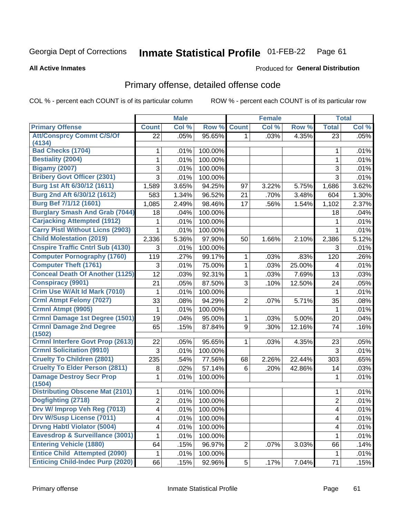### **Inmate Statistical Profile 01-FEB-22** Page 61

### **All Active Inmates**

## Produced for General Distribution

## Primary offense, detailed offense code

COL % - percent each COUNT is of its particular column

|                                                  | <b>Male</b>    |       | <b>Female</b> |                |       | <b>Total</b> |                         |         |
|--------------------------------------------------|----------------|-------|---------------|----------------|-------|--------------|-------------------------|---------|
| <b>Primary Offense</b>                           | <b>Count</b>   | Col % | Row %         | <b>Count</b>   | Col % | Row %        | <b>Total</b>            | Col %   |
| <b>Att/Consprcy Commt C/S/Of</b>                 | 22             | .05%  | 95.65%        | 1.             | .03%  | 4.35%        | 23                      | .05%    |
| (4134)<br><b>Bad Checks (1704)</b>               |                |       |               |                |       |              |                         |         |
|                                                  | 1              | .01%  | 100.00%       |                |       |              | 1                       | .01%    |
| <b>Bestiality (2004)</b>                         | 1              | .01%  | 100.00%       |                |       |              | 1                       | .01%    |
| <b>Bigamy (2007)</b>                             | 3              | .01%  | 100.00%       |                |       |              | 3                       | .01%    |
| <b>Bribery Govt Officer (2301)</b>               | 3              | .01%  | 100.00%       |                |       |              | 3                       | .01%    |
| Burg 1st Aft 6/30/12 (1611)                      | 1,589          | 3.65% | 94.25%        | 97             | 3.22% | 5.75%        | 1,686                   | 3.62%   |
| Burg 2nd Aft 6/30/12 (1612)                      | 583            | 1.34% | 96.52%        | 21             | .70%  | 3.48%        | 604                     | 1.30%   |
| Burg Bef 7/1/12 (1601)                           | 1,085          | 2.49% | 98.46%        | 17             | .56%  | 1.54%        | 1,102                   | 2.37%   |
| <b>Burglary Smash And Grab (7044)</b>            | 18             | .04%  | 100.00%       |                |       |              | 18                      | .04%    |
| <b>Carjacking Attempted (1912)</b>               | 1              | .01%  | 100.00%       |                |       |              | 1                       | .01%    |
| <b>Carry Pistl Without Licns (2903)</b>          | 1              | .01%  | 100.00%       |                |       |              | $\mathbf 1$             | .01%    |
| <b>Child Molestation (2019)</b>                  | 2,336          | 5.36% | 97.90%        | 50             | 1.66% | 2.10%        | 2,386                   | 5.12%   |
| <b>Cnspire Traffic Cntrl Sub (4130)</b>          | 3              | .01%  | 100.00%       |                |       |              | 3                       | .01%    |
| <b>Computer Pornography (1760)</b>               | 119            | .27%  | 99.17%        | 1              | .03%  | .83%         | 120                     | .26%    |
| <b>Computer Theft (1761)</b>                     | 3              | .01%  | 75.00%        | 1              | .03%  | 25.00%       | $\overline{\mathbf{4}}$ | .01%    |
| <b>Conceal Death Of Another (1125)</b>           | 12             | .03%  | 92.31%        | 1              | .03%  | 7.69%        | 13                      | .03%    |
| <b>Conspiracy (9901)</b>                         | 21             | .05%  | 87.50%        | 3              | .10%  | 12.50%       | 24                      | .05%    |
| Crim Use W/Alt Id Mark (7010)                    | 1              | .01%  | 100.00%       |                |       |              | 1                       | .01%    |
| <b>Crml Atmpt Felony (7027)</b>                  | 33             | .08%  | 94.29%        | $\overline{2}$ | .07%  | 5.71%        | 35                      | .08%    |
| Crmnl Atmpt (9905)                               | 1              | .01%  | 100.00%       |                |       |              | $\mathbf 1$             | .01%    |
| <b>Crmnl Damage 1st Degree (1501)</b>            | 19             | .04%  | 95.00%        | 1              | .03%  | 5.00%        | 20                      | .04%    |
| <b>Crmnl Damage 2nd Degree</b>                   | 65             | .15%  | 87.84%        | 9              | .30%  | 12.16%       | 74                      | .16%    |
| (1502)                                           |                |       |               |                |       |              |                         |         |
| <b>Crmnl Interfere Govt Prop (2613)</b>          | 22             | .05%  | 95.65%        | 1              | .03%  | 4.35%        | 23                      | .05%    |
| <b>Crmnl Solicitation (9910)</b>                 | 3              | .01%  | 100.00%       |                |       |              | 3                       | .01%    |
| <b>Cruelty To Children (2801)</b>                | 235            | .54%  | 77.56%        | 68             | 2.26% | 22.44%       | 303                     | .65%    |
| <b>Cruelty To Elder Person (2811)</b>            | 8              | .02%  | 57.14%        | 6              | .20%  | 42.86%       | 14                      | .03%    |
| <b>Damage Destroy Secr Prop</b>                  | 1              | .01%  | 100.00%       |                |       |              | 1                       | .01%    |
| (1504)<br><b>Distributing Obscene Mat (2101)</b> | 1              | .01%  | 100.00%       |                |       |              | 1                       | .01%    |
| Dogfighting (2718)                               | $\overline{2}$ | .01%  | 100.00%       |                |       |              | $\overline{2}$          | .01%    |
| Drv W/ Improp Veh Reg (7013)                     | 4              | .01%  | $100.00\%$    |                |       |              | 4                       | $.01\%$ |
| <b>Drv W/Susp License (7011)</b>                 | 4              | .01%  | 100.00%       |                |       |              | $\overline{\mathbf{4}}$ | .01%    |
| <b>Drvng Habtl Violator (5004)</b>               | 4              | .01%  | 100.00%       |                |       |              | $\overline{\mathbf{4}}$ | .01%    |
| <b>Eavesdrop &amp; Surveillance (3001)</b>       |                |       |               |                |       |              | $\mathbf{1}$            |         |
| <b>Entering Vehicle (1880)</b>                   | 1              | .01%  | 100.00%       |                |       |              |                         | .01%    |
| <b>Entice Child Attempted (2090)</b>             | 64             | .15%  | 96.97%        | $\overline{2}$ | .07%  | 3.03%        | 66                      | .14%    |
|                                                  | 1              | .01%  | 100.00%       |                |       |              | $\mathbf{1}$            | .01%    |
| <b>Enticing Child-Indec Purp (2020)</b>          | 66             | .15%  | 92.96%        | 5              | .17%  | 7.04%        | 71                      | .15%    |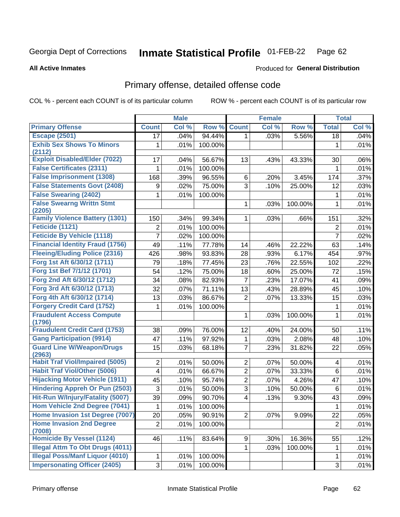### **Inmate Statistical Profile 01-FEB-22** Page 62

**All Active Inmates** 

## **Produced for General Distribution**

# Primary offense, detailed offense code

COL % - percent each COUNT is of its particular column

|                                            |                         | <b>Male</b> |         |                         | <b>Female</b> |         |                | <b>Total</b> |
|--------------------------------------------|-------------------------|-------------|---------|-------------------------|---------------|---------|----------------|--------------|
| <b>Primary Offense</b>                     | <b>Count</b>            | Col %       | Row %   | <b>Count</b>            | Col %         | Row %   | <b>Total</b>   | Col %        |
| <b>Escape (2501)</b>                       | 17                      | .04%        | 94.44%  | 1.                      | .03%          | 5.56%   | 18             | .04%         |
| <b>Exhib Sex Shows To Minors</b>           | 1                       | .01%        | 100.00% |                         |               |         | 1              | .01%         |
| (2112)                                     |                         |             |         |                         |               |         |                |              |
| <b>Exploit Disabled/Elder (7022)</b>       | 17                      | .04%        | 56.67%  | 13                      | .43%          | 43.33%  | 30             | $.06\%$      |
| <b>False Certificates (2311)</b>           | 1                       | .01%        | 100.00% |                         |               |         | 1              | .01%         |
| <b>False Imprisonment (1308)</b>           | 168                     | .39%        | 96.55%  | 6                       | .20%          | 3.45%   | 174            | .37%         |
| <b>False Statements Govt (2408)</b>        | 9                       | .02%        | 75.00%  | $\overline{3}$          | .10%          | 25.00%  | 12             | .03%         |
| <b>False Swearing (2402)</b>               | 1                       | .01%        | 100.00% |                         |               |         | 1              | .01%         |
| <b>False Swearng Writtn Stmt</b>           |                         |             |         | 1                       | .03%          | 100.00% | 1              | .01%         |
| (2205)                                     |                         |             |         |                         |               |         |                |              |
| <b>Family Violence Battery (1301)</b>      | 150                     | .34%        | 99.34%  | 1.                      | .03%          | .66%    | 151            | .32%         |
| Feticide (1121)                            | $\overline{2}$          | .01%        | 100.00% |                         |               |         | $\overline{2}$ | .01%         |
| <b>Feticide By Vehicle (1118)</b>          | $\overline{7}$          | .02%        | 100.00% |                         |               |         | $\overline{7}$ | .02%         |
| <b>Financial Identity Fraud (1756)</b>     | 49                      | .11%        | 77.78%  | 14                      | .46%          | 22.22%  | 63             | .14%         |
| <b>Fleeing/Eluding Police (2316)</b>       | 426                     | .98%        | 93.83%  | 28                      | .93%          | 6.17%   | 454            | $.97\%$      |
| Forg 1st Aft 6/30/12 (1711)                | 79                      | .18%        | 77.45%  | 23                      | .76%          | 22.55%  | 102            | .22%         |
| Forg 1st Bef 7/1/12 (1701)                 | 54                      | .12%        | 75.00%  | 18                      | .60%          | 25.00%  | 72             | .15%         |
| Forg 2nd Aft 6/30/12 (1712)                | 34                      | .08%        | 82.93%  | $\overline{7}$          | .23%          | 17.07%  | 41             | .09%         |
| Forg 3rd Aft 6/30/12 (1713)                | 32                      | .07%        | 71.11%  | 13                      | .43%          | 28.89%  | 45             | .10%         |
| Forg 4th Aft 6/30/12 (1714)                | 13                      | .03%        | 86.67%  | $\overline{2}$          | .07%          | 13.33%  | 15             | .03%         |
| <b>Forgery Credit Card (1752)</b>          | 1                       | .01%        | 100.00% |                         |               |         | 1              | .01%         |
| <b>Fraudulent Access Compute</b>           |                         |             |         | 1                       | .03%          | 100.00% | 1              | .01%         |
| (1796)                                     |                         |             |         |                         |               |         |                |              |
| <b>Fraudulent Credit Card (1753)</b>       | 38                      | .09%        | 76.00%  | 12                      | .40%          | 24.00%  | 50             | .11%         |
| <b>Gang Participation (9914)</b>           | 47                      | .11%        | 97.92%  | 1                       | .03%          | 2.08%   | 48             | .10%         |
| <b>Guard Line W/Weapon/Drugs</b><br>(2963) | 15                      | .03%        | 68.18%  | $\overline{7}$          | .23%          | 31.82%  | 22             | .05%         |
| <b>Habit Traf Viol/Impaired (5005)</b>     | $\overline{2}$          | .01%        | 50.00%  | $\overline{2}$          | .07%          | 50.00%  | 4              | .01%         |
| <b>Habit Traf Viol/Other (5006)</b>        | $\overline{\mathbf{4}}$ | .01%        | 66.67%  | $\overline{2}$          | .07%          | 33.33%  | 6              | .01%         |
| <b>Hijacking Motor Vehicle (1911)</b>      | 45                      | .10%        | 95.74%  | $\overline{2}$          | .07%          | 4.26%   | 47             | .10%         |
| <b>Hindering Appreh Or Pun (2503)</b>      | 3                       | .01%        | 50.00%  | $\overline{3}$          | .10%          | 50.00%  | 6              | .01%         |
| Hit-Run W/Injury/Fatality (5007)           | 39                      | .09%        | 90.70%  | $\overline{\mathbf{4}}$ | .13%          | 9.30%   | 43             | .09%         |
| Hom Vehicle 2nd Degree (7041)              | $\mathbf{1}$            | .01%        | 100.00% |                         |               |         | $\mathbf{1}$   | .01%         |
| Home Invasion 1st Degree (7007)            | 20                      | .05%        | 90.91%  | $\overline{2}$          | .07%          | 9.09%   | 22             | .05%         |
| <b>Home Invasion 2nd Degree</b>            | $\overline{2}$          | .01%        | 100.00% |                         |               |         | $\overline{2}$ | .01%         |
| (7008)                                     |                         |             |         |                         |               |         |                |              |
| <b>Homicide By Vessel (1124)</b>           | 46                      | .11%        | 83.64%  | 9                       | .30%          | 16.36%  | 55             | .12%         |
| <b>Illegal Attm To Obt Drugs (4011)</b>    |                         |             |         | 1                       | .03%          | 100.00% | 1              | .01%         |
| <b>Illegal Poss/Manf Liquor (4010)</b>     | $\mathbf{1}$            | .01%        | 100.00% |                         |               |         | $\mathbf 1$    | .01%         |
| <b>Impersonating Officer (2405)</b>        | 3 <sup>1</sup>          | .01%        | 100.00% |                         |               |         | 3              | .01%         |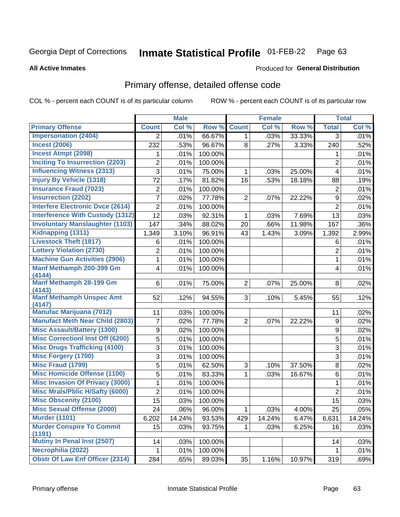### Inmate Statistical Profile 01-FEB-22 Page 63

### **All Active Inmates**

## **Produced for General Distribution**

## Primary offense, detailed offense code

COL % - percent each COUNT is of its particular column

|                                         |                | <b>Male</b> |         |                | <b>Female</b> |        |                    | <b>Total</b> |
|-----------------------------------------|----------------|-------------|---------|----------------|---------------|--------|--------------------|--------------|
| <b>Primary Offense</b>                  | <b>Count</b>   | Col %       | Row %   | <b>Count</b>   | Col %         | Row %  | <b>Total</b>       | Col %        |
| <b>Impersonation (2404)</b>             | $\overline{2}$ | .01%        | 66.67%  | 1              | .03%          | 33.33% | 3                  | .01%         |
| <b>Incest (2006)</b>                    | 232            | .53%        | 96.67%  | 8              | .27%          | 3.33%  | 240                | .52%         |
| <b>Incest Atmpt (2098)</b>              | 1              | .01%        | 100.00% |                |               |        | 1                  | .01%         |
| <b>Inciting To Insurrection (2203)</b>  | 2              | .01%        | 100.00% |                |               |        | $\overline{2}$     | .01%         |
| <b>Influencing Witness (2313)</b>       | 3              | .01%        | 75.00%  | 1              | .03%          | 25.00% | 4                  | .01%         |
| <b>Injury By Vehicle (1318)</b>         | 72             | .17%        | 81.82%  | 16             | .53%          | 18.18% | 88                 | .19%         |
| <b>Insurance Fraud (7023)</b>           | $\overline{2}$ | .01%        | 100.00% |                |               |        | $\overline{2}$     | .01%         |
| <b>Insurrection (2202)</b>              | 7              | .02%        | 77.78%  | $\overline{2}$ | .07%          | 22.22% | 9                  | .02%         |
| <b>Interfere Electronic Dvce (2614)</b> | $\overline{2}$ | .01%        | 100.00% |                |               |        | $\overline{2}$     | .01%         |
| <b>Interference With Custody (1312)</b> | 12             | .03%        | 92.31%  | 1              | .03%          | 7.69%  | 13                 | .03%         |
| <b>Involuntary Manslaughter (1103)</b>  | 147            | .34%        | 88.02%  | 20             | .66%          | 11.98% | 167                | .36%         |
| Kidnapping (1311)                       | 1,349          | 3.10%       | 96.91%  | 43             | 1.43%         | 3.09%  | 1,392              | 2.99%        |
| <b>Livestock Theft (1817)</b>           | 6              | .01%        | 100.00% |                |               |        | 6                  | .01%         |
| <b>Lottery Violation (2730)</b>         | $\overline{2}$ | .01%        | 100.00% |                |               |        | $\overline{2}$     | .01%         |
| <b>Machine Gun Activities (2906)</b>    | 1              | .01%        | 100.00% |                |               |        | 1                  | .01%         |
| Manf Methamph 200-399 Gm                | 4              | .01%        | 100.00% |                |               |        | 4                  | .01%         |
| (4144)<br>Manf Methamph 28-199 Gm       | 6              |             |         | $\overline{2}$ |               | 25.00% | 8                  | .02%         |
| (4143)                                  |                | .01%        | 75.00%  |                | .07%          |        |                    |              |
| <b>Manf Methamph Unspec Amt</b>         | 52             | .12%        | 94.55%  | 3              | .10%          | 5.45%  | 55                 | .12%         |
| (4147)                                  |                |             |         |                |               |        |                    |              |
| <b>Manufac Marijuana (7012)</b>         | 11             | .03%        | 100.00% |                |               |        | 11                 | .02%         |
| <b>Manufact Meth Near Child (2803)</b>  | $\overline{7}$ | .02%        | 77.78%  | 2              | .07%          | 22.22% | 9                  | .02%         |
| <b>Misc Assault/Battery (1300)</b>      | 9              | .02%        | 100.00% |                |               |        | $\boldsymbol{9}$   | .02%         |
| <b>Misc Correctionl Inst Off (6200)</b> | 5              | .01%        | 100.00% |                |               |        | 5                  | .01%         |
| <b>Misc Drugs Trafficking (4100)</b>    | 3              | .01%        | 100.00% |                |               |        | 3                  | .01%         |
| <b>Misc Forgery (1700)</b>              | 3              | .01%        | 100.00% |                |               |        | 3                  | .01%         |
| <b>Misc Fraud (1799)</b>                | 5              | .01%        | 62.50%  | 3              | .10%          | 37.50% | 8                  | .02%         |
| <b>Misc Homicide Offense (1100)</b>     | 5              | .01%        | 83.33%  | 1              | .03%          | 16.67% | 6                  | .01%         |
| <b>Misc Invasion Of Privacy (3000)</b>  | $\mathbf 1$    | .01%        | 100.00% |                |               |        | 1                  | .01%         |
| <b>Misc Mrals/Pblic H/Safty (6000)</b>  | $\overline{c}$ | .01%        | 100.00% |                |               |        | $\overline{2}$     | .01%         |
| <b>Misc Obscenity (2100)</b>            | 15             | .03%        | 100.00% |                |               |        | 15                 | .03%         |
| <b>Misc Sexual Offense (2000)</b>       | 24             | .06%        | 96.00%  | $\mathbf{1}$   | .03%          | 4.00%  | 25                 | .05%         |
| <b>Murder (1101)</b>                    | 6,202          | 14.24%      | 93.53%  | 429            | 14.24%        | 6.47%  | 6,631              | 14.24%       |
| <b>Murder Conspire To Commit</b>        | 15             | .03%        | 93.75%  | 1.             | .03%          | 6.25%  | 16                 | .03%         |
| (1191)<br>Mutiny In Penal Inst (2507)   |                |             |         |                |               |        |                    |              |
| Necrophilia (2022)                      | 14             | .03%        | 100.00% |                |               |        | 14<br>$\mathbf{1}$ | .03%         |
| <b>Obstr Of Law Enf Officer (2314)</b>  | 1              | .01%        | 100.00% |                |               |        |                    | .01%         |
|                                         | 284            | .65%        | 89.03%  | 35             | 1.16%         | 10.97% | 319                | .69%         |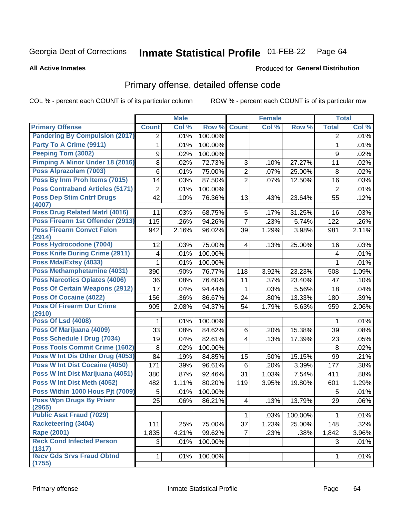### Inmate Statistical Profile 01-FEB-22 Page 64

### **All Active Inmates**

# Produced for General Distribution

# Primary offense, detailed offense code

COL % - percent each COUNT is of its particular column

|                                                                     |                 | <b>Male</b> |         |                | <b>Female</b> |         |                | <b>Total</b> |
|---------------------------------------------------------------------|-----------------|-------------|---------|----------------|---------------|---------|----------------|--------------|
| <b>Primary Offense</b>                                              | <b>Count</b>    | Col %       | Row %   | <b>Count</b>   | Col %         | Row %   | <b>Total</b>   | Col %        |
| <b>Pandering By Compulsion (2017)</b>                               | $\overline{2}$  | .01%        | 100.00% |                |               |         | $\overline{2}$ | .01%         |
| Party To A Crime (9911)                                             | 1               | .01%        | 100.00% |                |               |         | 1              | .01%         |
| Peeping Tom (3002)                                                  | 9               | .02%        | 100.00% |                |               |         | 9              | .02%         |
| <b>Pimping A Minor Under 18 (2016)</b>                              | 8               | .02%        | 72.73%  | 3              | .10%          | 27.27%  | 11             | .02%         |
| Poss Alprazolam (7003)                                              | 6               | .01%        | 75.00%  | $\overline{2}$ | .07%          | 25.00%  | 8              | .02%         |
| Poss By Inm Proh Items (7015)                                       | 14              | .03%        | 87.50%  | $\overline{2}$ | .07%          | 12.50%  | 16             | .03%         |
| <b>Poss Contraband Articles (5171)</b>                              | $\mathbf 2$     | .01%        | 100.00% |                |               |         | $\overline{2}$ | .01%         |
| <b>Poss Dep Stim Cntrf Drugs</b><br>(4007)                          | 42              | .10%        | 76.36%  | 13             | .43%          | 23.64%  | 55             | .12%         |
| <b>Poss Drug Related Matri (4016)</b>                               | 11              | .03%        | 68.75%  | 5              | .17%          | 31.25%  | 16             | .03%         |
| Poss Firearm 1st Offender (2913)                                    | 115             | .26%        | 94.26%  | $\overline{7}$ | .23%          | 5.74%   | 122            | .26%         |
| <b>Poss Firearm Convct Felon</b>                                    | 942             | 2.16%       | 96.02%  | 39             | 1.29%         | 3.98%   | 981            | 2.11%        |
| (2914)                                                              |                 |             |         |                |               |         |                |              |
| Poss Hydrocodone (7004)                                             | 12              | .03%        | 75.00%  | 4              | .13%          | 25.00%  | 16             | .03%         |
| <b>Poss Knife During Crime (2911)</b>                               | 4               | .01%        | 100.00% |                |               |         | 4              | .01%         |
| Poss Mda/Extsy (4033)                                               | 1               | .01%        | 100.00% |                |               |         | 1              | .01%         |
| <b>Poss Methamphetamine (4031)</b><br>Poss Narcotics Opiates (4006) | 390             | .90%        | 76.77%  | 118            | 3.92%         | 23.23%  | 508            | 1.09%        |
|                                                                     | 36              | .08%        | 76.60%  | 11             | .37%          | 23.40%  | 47             | .10%         |
| <b>Poss Of Certain Weapons (2912)</b>                               | 17              | .04%        | 94.44%  | 1              | .03%          | 5.56%   | 18             | .04%         |
| <b>Poss Of Cocaine (4022)</b>                                       | 156             | .36%        | 86.67%  | 24             | .80%          | 13.33%  | 180            | .39%         |
| <b>Poss Of Firearm Dur Crime</b><br>(2910)                          | 905             | 2.08%       | 94.37%  | 54             | 1.79%         | 5.63%   | 959            | 2.06%        |
| <b>Poss Of Lsd (4008)</b>                                           | 1               | .01%        | 100.00% |                |               |         | 1              | .01%         |
| Poss Of Marijuana (4009)                                            | 33              | .08%        | 84.62%  | 6              | .20%          | 15.38%  | 39             | .08%         |
| Poss Schedule I Drug (7034)                                         | 19              | .04%        | 82.61%  | $\overline{4}$ | .13%          | 17.39%  | 23             | .05%         |
| <b>Poss Tools Commit Crime (1602)</b>                               | 8               | .02%        | 100.00% |                |               |         | 8              | .02%         |
| Poss W Int Dis Other Drug (4053)                                    | 84              | .19%        | 84.85%  | 15             | .50%          | 15.15%  | 99             | .21%         |
| <b>Poss W Int Dist Cocaine (4050)</b>                               | 171             | .39%        | 96.61%  | 6              | .20%          | 3.39%   | 177            | .38%         |
| Poss W Int Dist Marijuana (4051)                                    | 380             | .87%        | 92.46%  | 31             | 1.03%         | 7.54%   | 411            | .88%         |
| Poss W Int Dist Meth (4052)                                         | 482             | 1.11%       | 80.20%  | 119            | 3.95%         | 19.80%  | 601            | 1.29%        |
| Poss Within 1000 Hous Pjt (7009)                                    | 5               | .01%        | 100.00% |                |               |         | 5              | .01%         |
| <b>Poss Wpn Drugs By Prisnr</b>                                     | $\overline{25}$ | .06%        | 86.21%  | 4              | .13%          | 13.79%  | 29             | .06%         |
| (2965)                                                              |                 |             |         |                |               |         |                |              |
| <b>Public Asst Fraud (7029)</b>                                     |                 |             |         | 1              | .03%          | 100.00% | $\mathbf{1}$   | .01%         |
| <b>Racketeering (3404)</b>                                          | 111             | .25%        | 75.00%  | 37             | 1.23%         | 25.00%  | 148            | .32%         |
| <b>Rape (2001)</b>                                                  | 1,835           | 4.21%       | 99.62%  | $\overline{7}$ | .23%          | .38%    | 1,842          | 3.96%        |
| <b>Reck Cond Infected Person</b><br>(1317)                          | 3               | .01%        | 100.00% |                |               |         | 3              | .01%         |
| <b>Recv Gds Srvs Fraud Obtnd</b><br>(1755)                          | $\mathbf{1}$    | .01%        | 100.00% |                |               |         | $\mathbf 1$    | .01%         |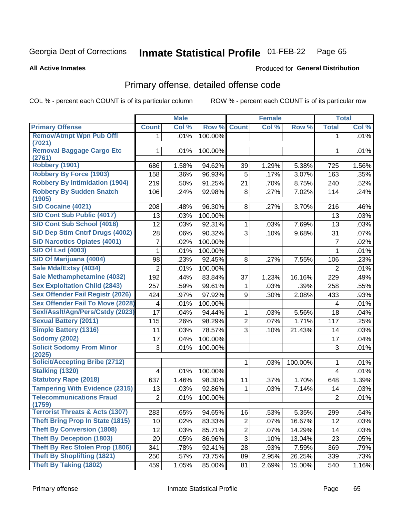#### **Inmate Statistical Profile 01-FEB-22** Page 65

### **All Active Inmates**

## Produced for General Distribution

# Primary offense, detailed offense code

COL % - percent each COUNT is of its particular column

|                                            |                | <b>Male</b> |         |                | <b>Female</b> |         |                | <b>Total</b> |
|--------------------------------------------|----------------|-------------|---------|----------------|---------------|---------|----------------|--------------|
| <b>Primary Offense</b>                     | <b>Count</b>   | Col %       | Row %   | <b>Count</b>   | Col %         | Row %   | <b>Total</b>   | Col %        |
| <b>Remov/Atmpt Wpn Pub Offl</b>            | 1.             | .01%        | 100.00% |                |               |         | 1              | .01%         |
| (7021)                                     |                |             |         |                |               |         |                |              |
| <b>Removal Baggage Cargo Etc</b><br>(2761) | 1              | .01%        | 100.00% |                |               |         | 1              | .01%         |
| Robbery (1901)                             | 686            | 1.58%       | 94.62%  | 39             | 1.29%         | 5.38%   | 725            | 1.56%        |
| <b>Robbery By Force (1903)</b>             | 158            | .36%        | 96.93%  | 5              | .17%          | 3.07%   | 163            | .35%         |
| <b>Robbery By Intimidation (1904)</b>      | 219            | .50%        | 91.25%  | 21             | .70%          | 8.75%   | 240            | .52%         |
| <b>Robbery By Sudden Snatch</b><br>(1905)  | 106            | .24%        | 92.98%  | 8              | .27%          | 7.02%   | 114            | .24%         |
| <b>S/D Cocaine (4021)</b>                  | 208            | .48%        | 96.30%  | 8              | .27%          | 3.70%   | 216            | .46%         |
| S/D Cont Sub Public (4017)                 | 13             | .03%        | 100.00% |                |               |         | 13             | .03%         |
| S/D Cont Sub School (4018)                 | 12             | .03%        | 92.31%  | $\mathbf{1}$   | .03%          | 7.69%   | 13             | .03%         |
| S/D Dep Stim Cntrf Drugs (4002)            | 28             | .06%        | 90.32%  | 3              | .10%          | 9.68%   | 31             | .07%         |
| <b>S/D Narcotics Opiates (4001)</b>        | 7              | .02%        | 100.00% |                |               |         | $\overline{7}$ | .02%         |
| <b>S/D Of Lsd (4003)</b>                   | 1              | .01%        | 100.00% |                |               |         | 1              | .01%         |
| S/D Of Marijuana (4004)                    | 98             | .23%        | 92.45%  | 8              | .27%          | 7.55%   | 106            | .23%         |
| Sale Mda/Extsy (4034)                      | $\overline{2}$ | .01%        | 100.00% |                |               |         | $\overline{2}$ | .01%         |
| Sale Methamphetamine (4032)                | 192            | .44%        | 83.84%  | 37             | 1.23%         | 16.16%  | 229            | .49%         |
| <b>Sex Exploitation Child (2843)</b>       | 257            | .59%        | 99.61%  | 1              | .03%          | .39%    | 258            | .55%         |
| <b>Sex Offender Fail Registr (2026)</b>    | 424            | .97%        | 97.92%  | 9              | .30%          | 2.08%   | 433            | .93%         |
| <b>Sex Offender Fail To Move (2028)</b>    | 4              | .01%        | 100.00% |                |               |         | 4              | .01%         |
| Sexl/Asslt/Agn/Pers/Cstdy (2023)           | 17             | .04%        | 94.44%  | 1              | .03%          | 5.56%   | 18             | .04%         |
| <b>Sexual Battery (2011)</b>               | 115            | .26%        | 98.29%  | $\overline{2}$ | .07%          | 1.71%   | 117            | .25%         |
| <b>Simple Battery (1316)</b>               | 11             | .03%        | 78.57%  | 3              | .10%          | 21.43%  | 14             | .03%         |
| <b>Sodomy (2002)</b>                       | 17             | .04%        | 100.00% |                |               |         | 17             | .04%         |
| <b>Solicit Sodomy From Minor</b><br>(2025) | 3              | .01%        | 100.00% |                |               |         | 3              | .01%         |
| <b>Solicit/Accepting Bribe (2712)</b>      |                |             |         | 1              | .03%          | 100.00% | 1              | .01%         |
| <b>Stalking (1320)</b>                     | 4              | .01%        | 100.00% |                |               |         | 4              | .01%         |
| <b>Statutory Rape (2018)</b>               | 637            | 1.46%       | 98.30%  | 11             | .37%          | 1.70%   | 648            | 1.39%        |
| <b>Tampering With Evidence (2315)</b>      | 13             | .03%        | 92.86%  | 1              | .03%          | 7.14%   | 14             | .03%         |
| <b>Telecommunications Fraud</b><br>(1759)  | $\overline{2}$ | .01%        | 100.00% |                |               |         | $\overline{2}$ | .01%         |
| <b>Terrorist Threats &amp; Acts (1307)</b> | 283            | .65%        | 94.65%  | 16             | .53%          | 5.35%   | 299            | .64%         |
| <b>Theft Bring Prop In State (1815)</b>    | 10             | .02%        | 83.33%  | $\overline{c}$ | .07%          | 16.67%  | 12             | .03%         |
| <b>Theft By Conversion (1808)</b>          | 12             | .03%        | 85.71%  | $\overline{c}$ | .07%          | 14.29%  | 14             | .03%         |
| <b>Theft By Deception (1803)</b>           | 20             | .05%        | 86.96%  | 3              | .10%          | 13.04%  | 23             | .05%         |
| Theft By Rec Stolen Prop (1806)            | 341            | .78%        | 92.41%  | 28             | .93%          | 7.59%   | 369            | .79%         |
| <b>Theft By Shoplifting (1821)</b>         | 250            | .57%        | 73.75%  | 89             | 2.95%         | 26.25%  | 339            | .73%         |
| <b>Theft By Taking (1802)</b>              | 459            | 1.05%       | 85.00%  | 81             | 2.69%         | 15.00%  | 540            | 1.16%        |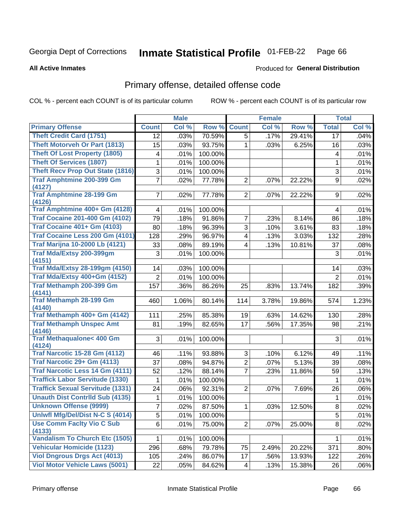### **Inmate Statistical Profile 01-FEB-22** Page 66

**All Active Inmates** 

### Produced for General Distribution

# Primary offense, detailed offense code

COL % - percent each COUNT is of its particular column

|                                                |                | <b>Male</b> |         |                | <b>Female</b> |        |                           | <b>Total</b> |
|------------------------------------------------|----------------|-------------|---------|----------------|---------------|--------|---------------------------|--------------|
| <b>Primary Offense</b>                         | <b>Count</b>   | Col %       | Row %   | <b>Count</b>   | Col %         | Row %  | <b>Total</b>              | Col %        |
| <b>Theft Credit Card (1751)</b>                | 12             | .03%        | 70.59%  | 5              | .17%          | 29.41% | 17                        | .04%         |
| <b>Theft Motorveh Or Part (1813)</b>           | 15             | .03%        | 93.75%  | 1              | .03%          | 6.25%  | 16                        | .03%         |
| <b>Theft Of Lost Property (1805)</b>           | 4              | .01%        | 100.00% |                |               |        | 4                         | .01%         |
| <b>Theft Of Services (1807)</b>                | 1              | .01%        | 100.00% |                |               |        | 1                         | .01%         |
| <b>Theft Recv Prop Out State (1816)</b>        | $\mathfrak{S}$ | .01%        | 100.00% |                |               |        | $\ensuremath{\mathsf{3}}$ | .01%         |
| <b>Traf Amphtmine 200-399 Gm</b>               | $\overline{7}$ | .02%        | 77.78%  | $\overline{2}$ | .07%          | 22.22% | 9                         | .02%         |
| (4127)                                         |                |             |         |                |               |        |                           |              |
| <b>Traf Amphtmine 28-199 Gm</b><br>(4126)      | $\overline{7}$ | .02%        | 77.78%  | $\overline{2}$ | .07%          | 22.22% | 9                         | $.02\%$      |
| Traf Amphtmine 400+ Gm (4128)                  | 4              | .01%        | 100.00% |                |               |        | 4                         | .01%         |
| <b>Traf Cocaine 201-400 Gm (4102)</b>          | 79             | .18%        | 91.86%  | 7              | .23%          | 8.14%  | 86                        | .18%         |
| <b>Traf Cocaine 401+ Gm (4103)</b>             | 80             | .18%        | 96.39%  | 3              | .10%          | 3.61%  | 83                        | .18%         |
| Traf Cocaine Less 200 Gm (4101)                | 128            | .29%        | 96.97%  | 4              | .13%          | 3.03%  | 132                       | .28%         |
| <b>Traf Marijna 10-2000 Lb (4121)</b>          | 33             | .08%        | 89.19%  | 4              | .13%          | 10.81% | 37                        | .08%         |
| Traf Mda/Extsy 200-399gm                       | 3              | .01%        | 100.00% |                |               |        | 3                         | .01%         |
| (4151)                                         |                |             |         |                |               |        |                           |              |
| <b>Traf Mda/Extsy 28-199gm (4150)</b>          | 14             | .03%        | 100.00% |                |               |        | 14                        | .03%         |
| Traf Mda/Extsy 400+Gm (4152)                   | $\overline{2}$ | .01%        | 100.00% |                |               |        | $\overline{2}$            | .01%         |
| <b>Traf Methamph 200-399 Gm</b>                | 157            | .36%        | 86.26%  | 25             | .83%          | 13.74% | 182                       | .39%         |
| (4141)<br><b>Traf Methamph 28-199 Gm</b>       | 460            | 1.06%       | 80.14%  | 114            | 3.78%         | 19.86% | 574                       | 1.23%        |
| (4140)                                         |                |             |         |                |               |        |                           |              |
| Traf Methamph 400+ Gm (4142)                   | 111            | .25%        | 85.38%  | 19             | .63%          | 14.62% | 130                       | .28%         |
| <b>Traf Methamph Unspec Amt</b>                | 81             | .19%        | 82.65%  | 17             | .56%          | 17.35% | 98                        | .21%         |
| (4146)                                         |                |             |         |                |               |        |                           |              |
| <b>Traf Methaqualone&lt; 400 Gm</b>            | 3              | .01%        | 100.00% |                |               |        | 3                         | .01%         |
| (4124)<br><b>Traf Narcotic 15-28 Gm (4112)</b> | 46             | .11%        | 93.88%  | 3              | .10%          | 6.12%  | 49                        | .11%         |
| Traf Narcotic 29+ Gm (4113)                    | 37             | .08%        | 94.87%  | $\overline{2}$ | .07%          | 5.13%  | 39                        | .08%         |
| Traf Narcotic Less 14 Gm (4111)                | 52             | .12%        | 88.14%  | 7              | .23%          | 11.86% | 59                        | .13%         |
| <b>Traffick Labor Servitude (1330)</b>         | 1              | .01%        | 100.00% |                |               |        | 1                         | .01%         |
| <b>Traffick Sexual Servitude (1331)</b>        | 24             | .06%        | 92.31%  | $\overline{2}$ | .07%          | 7.69%  | 26                        | .06%         |
| <b>Unauth Dist Contrild Sub (4135)</b>         | 1              | .01%        | 100.00% |                |               |        | $\mathbf 1$               | .01%         |
| <b>Unknown Offense (9999)</b>                  | $\overline{7}$ | .02%        | 87.50%  | $\mathbf 1$    | .03%          | 12.50% | $\overline{8}$            | $.02\%$      |
| Uniwfl Mfg/Del/Dist N-C S (4014)               | 5              | .01%        | 100.00% |                |               |        | 5                         | .01%         |
| <b>Use Comm Facity Vio C Sub</b>               | $6\phantom{a}$ | .01%        | 75.00%  | $\overline{c}$ | .07%          | 25.00% | 8                         | .02%         |
| (4133)                                         |                |             |         |                |               |        |                           |              |
| <b>Vandalism To Church Etc (1505)</b>          | 1              | .01%        | 100.00% |                |               |        | 1                         | .01%         |
| <b>Vehicular Homicide (1123)</b>               | 296            | .68%        | 79.78%  | 75             | 2.49%         | 20.22% | 371                       | .80%         |
| <b>Viol Dngrous Drgs Act (4013)</b>            | 105            | .24%        | 86.07%  | 17             | .56%          | 13.93% | 122                       | .26%         |
| <b>Viol Motor Vehicle Laws (5001)</b>          | 22             | .05%        | 84.62%  | 4              | .13%          | 15.38% | 26                        | .06%         |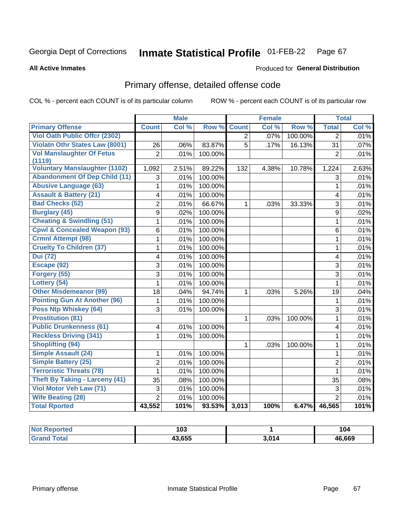### **Inmate Statistical Profile 01-FEB-22** Page 67

**All Active Inmates** 

### Produced for General Distribution

# Primary offense, detailed offense code

COL % - percent each COUNT is of its particular column

|                                         |                | <b>Male</b> |         |                | <b>Female</b> |         |                | <b>Total</b> |
|-----------------------------------------|----------------|-------------|---------|----------------|---------------|---------|----------------|--------------|
| <b>Primary Offense</b>                  | <b>Count</b>   | Col %       | Row %   | <b>Count</b>   | Col %         | Row %   | <b>Total</b>   | Col %        |
| <b>Viol Oath Public Offer (2302)</b>    |                |             |         | $\overline{2}$ | .07%          | 100.00% | $\overline{2}$ | .01%         |
| <b>Violatn Othr States Law (8001)</b>   | 26             | .06%        | 83.87%  | $\overline{5}$ | .17%          | 16.13%  | 31             | .07%         |
| <b>Vol Manslaughter Of Fetus</b>        | $\overline{2}$ | .01%        | 100.00% |                |               |         | $\overline{2}$ | .01%         |
| (1119)                                  |                |             |         |                |               |         |                |              |
| <b>Voluntary Manslaughter (1102)</b>    | 1,092          | 2.51%       | 89.22%  | 132            | 4.38%         | 10.78%  | 1,224          | 2.63%        |
| <b>Abandonment Of Dep Child (11)</b>    | 3              | .01%        | 100.00% |                |               |         | 3              | .01%         |
| <b>Abusive Language (63)</b>            | 1              | .01%        | 100.00% |                |               |         | $\mathbf{1}$   | .01%         |
| <b>Assault &amp; Battery (21)</b>       | 4              | .01%        | 100.00% |                |               |         | 4              | .01%         |
| <b>Bad Checks (52)</b>                  | $\overline{2}$ | .01%        | 66.67%  | 1              | .03%          | 33.33%  | 3              | .01%         |
| <b>Burglary (45)</b>                    | 9              | .02%        | 100.00% |                |               |         | 9              | .02%         |
| <b>Cheating &amp; Swindling (51)</b>    | 1              | .01%        | 100.00% |                |               |         | $\mathbf{1}$   | .01%         |
| <b>Cpwl &amp; Concealed Weapon (93)</b> | $\,6$          | .01%        | 100.00% |                |               |         | 6              | .01%         |
| <b>Crmnl Attempt (98)</b>               | $\mathbf{1}$   | .01%        | 100.00% |                |               |         | $\mathbf{1}$   | .01%         |
| <b>Cruelty To Children (37)</b>         | 1              | .01%        | 100.00% |                |               |         | $\mathbf{1}$   | .01%         |
| <b>Dui</b> (72)                         | 4              | .01%        | 100.00% |                |               |         | 4              | .01%         |
| Escape (92)                             | 3              | .01%        | 100.00% |                |               |         | $\overline{3}$ | .01%         |
| Forgery (55)                            | 3              | .01%        | 100.00% |                |               |         | 3              | .01%         |
| Lottery (54)                            | $\mathbf{1}$   | .01%        | 100.00% |                |               |         | $\mathbf{1}$   | .01%         |
| <b>Other Misdemeanor (99)</b>           | 18             | .04%        | 94.74%  | $\mathbf 1$    | .03%          | 5.26%   | 19             | .04%         |
| <b>Pointing Gun At Another (96)</b>     | 1              | .01%        | 100.00% |                |               |         | $\mathbf{1}$   | .01%         |
| Poss Ntp Whiskey (64)                   | 3              | .01%        | 100.00% |                |               |         | $\overline{3}$ | .01%         |
| <b>Prostitution (81)</b>                |                |             |         | $\mathbf 1$    | .03%          | 100.00% | 1              | .01%         |
| <b>Public Drunkenness (61)</b>          | 4              | .01%        | 100.00% |                |               |         | 4              | .01%         |
| <b>Reckless Driving (341)</b>           | $\mathbf{1}$   | .01%        | 100.00% |                |               |         | $\mathbf{1}$   | .01%         |
| <b>Shoplifting (94)</b>                 |                |             |         | $\mathbf{1}$   | .03%          | 100.00% | $\mathbf 1$    | .01%         |
| <b>Simple Assault (24)</b>              | 1              | .01%        | 100.00% |                |               |         | $\mathbf{1}$   | .01%         |
| <b>Simple Battery (25)</b>              | $\overline{2}$ | .01%        | 100.00% |                |               |         | $\overline{2}$ | .01%         |
| <b>Terroristic Threats (78)</b>         | 1              | .01%        | 100.00% |                |               |         | $\mathbf{1}$   | .01%         |
| <b>Theft By Taking - Larceny (41)</b>   | 35             | .08%        | 100.00% |                |               |         | 35             | .08%         |
| Viol Motor Veh Law (71)                 | 3              | .01%        | 100.00% |                |               |         | $\overline{3}$ | .01%         |
| <b>Wife Beating (28)</b>                | $\overline{2}$ | .01%        | 100.00% |                |               |         | $\overline{2}$ | .01%         |
| <b>Total Rported</b>                    | 43,552         | 101%        | 93.53%  | 3,013          | 100%          | 6.47%   | 46,565         | 101%         |

| rtea               | 103    |       | 104    |
|--------------------|--------|-------|--------|
| $T_{\text{total}}$ | 43,655 | 3.014 | 46,669 |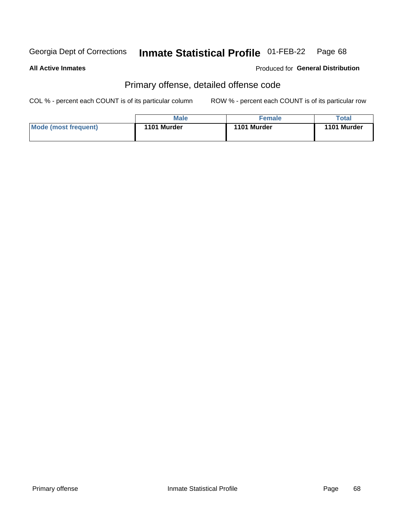### **Inmate Statistical Profile 01-FEB-22** Page 68

**All Active Inmates** 

Produced for General Distribution

# Primary offense, detailed offense code

COL % - percent each COUNT is of its particular column

|                      | <b>Male</b> | <b>Female</b> | Total       |
|----------------------|-------------|---------------|-------------|
| Mode (most frequent) | 1101 Murder | 1101 Murder   | 1101 Murder |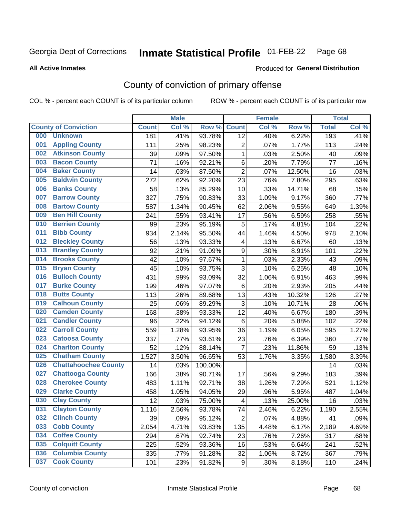#### **Inmate Statistical Profile 01-FEB-22** Page 68

**All Active Inmates** 

### Produced for General Distribution

# County of conviction of primary offense

COL % - percent each COUNT is of its particular column

|     |                             |              | <b>Male</b> |         |                           | <b>Female</b> |        |              | <b>Total</b> |
|-----|-----------------------------|--------------|-------------|---------|---------------------------|---------------|--------|--------------|--------------|
|     | <b>County of Conviction</b> | <b>Count</b> | Col %       | Row %   | <b>Count</b>              | Col %         | Row %  | <b>Total</b> | Col %        |
| 000 | <b>Unknown</b>              | 181          | .41%        | 93.78%  | 12                        | .40%          | 6.22%  | 193          | .41%         |
| 001 | <b>Appling County</b>       | 111          | .25%        | 98.23%  | 2                         | .07%          | 1.77%  | 113          | .24%         |
| 002 | <b>Atkinson County</b>      | 39           | .09%        | 97.50%  | $\mathbf{1}$              | .03%          | 2.50%  | 40           | .09%         |
| 003 | <b>Bacon County</b>         | 71           | .16%        | 92.21%  | 6                         | .20%          | 7.79%  | 77           | .16%         |
| 004 | <b>Baker County</b>         | 14           | .03%        | 87.50%  | $\overline{2}$            | .07%          | 12.50% | 16           | .03%         |
| 005 | <b>Baldwin County</b>       | 272          | .62%        | 92.20%  | 23                        | .76%          | 7.80%  | 295          | .63%         |
| 006 | <b>Banks County</b>         | 58           | .13%        | 85.29%  | 10                        | .33%          | 14.71% | 68           | .15%         |
| 007 | <b>Barrow County</b>        | 327          | .75%        | 90.83%  | 33                        | 1.09%         | 9.17%  | 360          | .77%         |
| 008 | <b>Bartow County</b>        | 587          | 1.34%       | 90.45%  | 62                        | 2.06%         | 9.55%  | 649          | 1.39%        |
| 009 | <b>Ben Hill County</b>      | 241          | .55%        | 93.41%  | 17                        | .56%          | 6.59%  | 258          | .55%         |
| 010 | <b>Berrien County</b>       | 99           | .23%        | 95.19%  | 5                         | .17%          | 4.81%  | 104          | .22%         |
| 011 | <b>Bibb County</b>          | 934          | 2.14%       | 95.50%  | 44                        | 1.46%         | 4.50%  | 978          | 2.10%        |
| 012 | <b>Bleckley County</b>      | 56           | .13%        | 93.33%  | 4                         | .13%          | 6.67%  | 60           | .13%         |
| 013 | <b>Brantley County</b>      | 92           | .21%        | 91.09%  | 9                         | .30%          | 8.91%  | 101          | .22%         |
| 014 | <b>Brooks County</b>        | 42           | .10%        | 97.67%  | $\mathbf{1}$              | .03%          | 2.33%  | 43           | .09%         |
| 015 | <b>Bryan County</b>         | 45           | .10%        | 93.75%  | 3                         | .10%          | 6.25%  | 48           | .10%         |
| 016 | <b>Bulloch County</b>       | 431          | .99%        | 93.09%  | 32                        | 1.06%         | 6.91%  | 463          | .99%         |
| 017 | <b>Burke County</b>         | 199          | .46%        | 97.07%  | 6                         | .20%          | 2.93%  | 205          | .44%         |
| 018 | <b>Butts County</b>         | 113          | .26%        | 89.68%  | 13                        | .43%          | 10.32% | 126          | .27%         |
| 019 | <b>Calhoun County</b>       | 25           | .06%        | 89.29%  | $\ensuremath{\mathsf{3}}$ | .10%          | 10.71% | 28           | .06%         |
| 020 | <b>Camden County</b>        | 168          | .38%        | 93.33%  | 12                        | .40%          | 6.67%  | 180          | .39%         |
| 021 | <b>Candler County</b>       | 96           | .22%        | 94.12%  | $\,6$                     | .20%          | 5.88%  | 102          | .22%         |
| 022 | <b>Carroll County</b>       | 559          | 1.28%       | 93.95%  | 36                        | 1.19%         | 6.05%  | 595          | 1.27%        |
| 023 | <b>Catoosa County</b>       | 337          | .77%        | 93.61%  | 23                        | .76%          | 6.39%  | 360          | .77%         |
| 024 | <b>Charlton County</b>      | 52           | .12%        | 88.14%  | $\overline{7}$            | .23%          | 11.86% | 59           | .13%         |
| 025 | <b>Chatham County</b>       | 1,527        | 3.50%       | 96.65%  | 53                        | 1.76%         | 3.35%  | 1,580        | 3.39%        |
| 026 | <b>Chattahoochee County</b> | 14           | .03%        | 100.00% |                           |               |        | 14           | .03%         |
| 027 | <b>Chattooga County</b>     | 166          | .38%        | 90.71%  | 17                        | .56%          | 9.29%  | 183          | .39%         |
| 028 | <b>Cherokee County</b>      | 483          | 1.11%       | 92.71%  | 38                        | 1.26%         | 7.29%  | 521          | 1.12%        |
| 029 | <b>Clarke County</b>        | 458          | 1.05%       | 94.05%  | 29                        | .96%          | 5.95%  | 487          | 1.04%        |
| 030 | <b>Clay County</b>          | 12           | .03%        | 75.00%  | $\overline{\mathbf{4}}$   | .13%          | 25.00% | 16           | .03%         |
| 031 | <b>Clayton County</b>       | 1,116        | 2.56%       | 93.78%  | 74                        | 2.46%         | 6.22%  | 1,190        | 2.55%        |
| 032 | <b>Clinch County</b>        | 39           | .09%        | 95.12%  | $\overline{2}$            | .07%          | 4.88%  | 41           | .09%         |
| 033 | <b>Cobb County</b>          | 2,054        | 4.71%       | 93.83%  | 135                       | 4.48%         | 6.17%  | 2,189        | 4.69%        |
| 034 | <b>Coffee County</b>        | 294          | .67%        | 92.74%  | 23                        | .76%          | 7.26%  | 317          | .68%         |
| 035 | <b>Colquitt County</b>      | 225          | .52%        | 93.36%  | 16                        | .53%          | 6.64%  | 241          | .52%         |
| 036 | <b>Columbia County</b>      | 335          | .77%        | 91.28%  | 32                        | 1.06%         | 8.72%  | 367          | .79%         |
| 037 | <b>Cook County</b>          | 101          | .23%        | 91.82%  | 9                         | .30%          | 8.18%  | 110          | .24%         |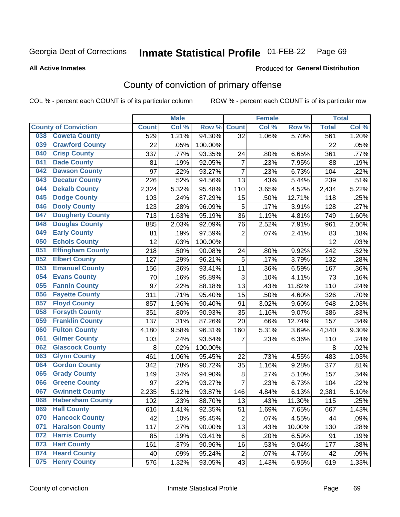#### **Inmate Statistical Profile 01-FEB-22** Page 69

**All Active Inmates** 

### Produced for General Distribution

# County of conviction of primary offense

COL % - percent each COUNT is of its particular column

|                                |              | <b>Male</b> |         |                | <b>Female</b> |        |              | <b>Total</b> |
|--------------------------------|--------------|-------------|---------|----------------|---------------|--------|--------------|--------------|
| <b>County of Conviction</b>    | <b>Count</b> | Col %       | Row %   | <b>Count</b>   | Col %         | Row %  | <b>Total</b> | Col %        |
| <b>Coweta County</b><br>038    | 529          | 1.21%       | 94.30%  | 32             | 1.06%         | 5.70%  | 561          | 1.20%        |
| <b>Crawford County</b><br>039  | 22           | .05%        | 100.00% |                |               |        | 22           | .05%         |
| <b>Crisp County</b><br>040     | 337          | .77%        | 93.35%  | 24             | .80%          | 6.65%  | 361          | .77%         |
| <b>Dade County</b><br>041      | 81           | .19%        | 92.05%  | $\overline{7}$ | .23%          | 7.95%  | 88           | .19%         |
| <b>Dawson County</b><br>042    | 97           | .22%        | 93.27%  | $\overline{7}$ | .23%          | 6.73%  | 104          | .22%         |
| 043<br><b>Decatur County</b>   | 226          | .52%        | 94.56%  | 13             | .43%          | 5.44%  | 239          | .51%         |
| <b>Dekalb County</b><br>044    | 2,324        | 5.32%       | 95.48%  | 110            | 3.65%         | 4.52%  | 2,434        | 5.22%        |
| <b>Dodge County</b><br>045     | 103          | .24%        | 87.29%  | 15             | .50%          | 12.71% | 118          | .25%         |
| <b>Dooly County</b><br>046     | 123          | .28%        | 96.09%  | 5              | .17%          | 3.91%  | 128          | .27%         |
| <b>Dougherty County</b><br>047 | 713          | 1.63%       | 95.19%  | 36             | 1.19%         | 4.81%  | 749          | 1.60%        |
| <b>Douglas County</b><br>048   | 885          | 2.03%       | 92.09%  | 76             | 2.52%         | 7.91%  | 961          | 2.06%        |
| 049<br><b>Early County</b>     | 81           | .19%        | 97.59%  | $\overline{2}$ | .07%          | 2.41%  | 83           | .18%         |
| <b>Echols County</b><br>050    | 12           | .03%        | 100.00% |                |               |        | 12           | .03%         |
| <b>Effingham County</b><br>051 | 218          | .50%        | 90.08%  | 24             | .80%          | 9.92%  | 242          | .52%         |
| <b>Elbert County</b><br>052    | 127          | .29%        | 96.21%  | 5              | .17%          | 3.79%  | 132          | .28%         |
| <b>Emanuel County</b><br>053   | 156          | .36%        | 93.41%  | 11             | .36%          | 6.59%  | 167          | .36%         |
| <b>Evans County</b><br>054     | 70           | .16%        | 95.89%  | 3              | .10%          | 4.11%  | 73           | .16%         |
| <b>Fannin County</b><br>055    | 97           | .22%        | 88.18%  | 13             | .43%          | 11.82% | 110          | .24%         |
| <b>Fayette County</b><br>056   | 311          | .71%        | 95.40%  | 15             | .50%          | 4.60%  | 326          | .70%         |
| <b>Floyd County</b><br>057     | 857          | 1.96%       | 90.40%  | 91             | 3.02%         | 9.60%  | 948          | 2.03%        |
| <b>Forsyth County</b><br>058   | 351          | .80%        | 90.93%  | 35             | 1.16%         | 9.07%  | 386          | .83%         |
| <b>Franklin County</b><br>059  | 137          | .31%        | 87.26%  | 20             | .66%          | 12.74% | 157          | .34%         |
| <b>Fulton County</b><br>060    | 4,180        | 9.58%       | 96.31%  | 160            | 5.31%         | 3.69%  | 4,340        | 9.30%        |
| <b>Gilmer County</b><br>061    | 103          | .24%        | 93.64%  | 7              | .23%          | 6.36%  | 110          | .24%         |
| <b>Glascock County</b><br>062  | 8            | .02%        | 100.00% |                |               |        | 8            | .02%         |
| 063<br><b>Glynn County</b>     | 461          | 1.06%       | 95.45%  | 22             | .73%          | 4.55%  | 483          | 1.03%        |
| <b>Gordon County</b><br>064    | 342          | .78%        | 90.72%  | 35             | 1.16%         | 9.28%  | 377          | .81%         |
| 065<br><b>Grady County</b>     | 149          | .34%        | 94.90%  | 8              | .27%          | 5.10%  | 157          | .34%         |
| <b>Greene County</b><br>066    | 97           | .22%        | 93.27%  | $\overline{7}$ | .23%          | 6.73%  | 104          | .22%         |
| <b>Gwinnett County</b><br>067  | 2,235        | 5.12%       | 93.87%  | 146            | 4.84%         | 6.13%  | 2,381        | 5.10%        |
| <b>Habersham County</b><br>068 | 102          | .23%        | 88.70%  | 13             | .43%          | 11.30% | 115          | .25%         |
| 069<br><b>Hall County</b>      | 616          | 1.41%       | 92.35%  | 51             | 1.69%         | 7.65%  | 667          | 1.43%        |
| <b>Hancock County</b><br>070   | 42           | .10%        | 95.45%  | $\overline{2}$ | .07%          | 4.55%  | 44           | .09%         |
| <b>Haralson County</b><br>071  | 117          | .27%        | 90.00%  | 13             | .43%          | 10.00% | 130          | .28%         |
| <b>Harris County</b><br>072    | 85           | .19%        | 93.41%  | 6              | .20%          | 6.59%  | 91           | .19%         |
| <b>Hart County</b><br>073      | 161          | .37%        | 90.96%  | 16             | .53%          | 9.04%  | 177          | .38%         |
| <b>Heard County</b><br>074     | 40           | .09%        | 95.24%  | $\overline{2}$ | .07%          | 4.76%  | 42           | .09%         |
| <b>Henry County</b><br>075     | 576          | 1.32%       | 93.05%  | 43             | 1.43%         | 6.95%  | 619          | 1.33%        |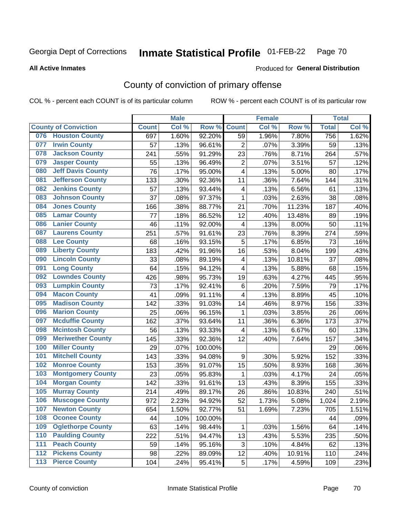### **Inmate Statistical Profile 01-FEB-22** Page 70

### **All Active Inmates**

# Produced for General Distribution

# County of conviction of primary offense

COL % - percent each COUNT is of its particular column

|       |                             |              | <b>Male</b> |         |                         | <b>Female</b> |        |              | <b>Total</b> |
|-------|-----------------------------|--------------|-------------|---------|-------------------------|---------------|--------|--------------|--------------|
|       | <b>County of Conviction</b> | <b>Count</b> | Col %       | Row %   | <b>Count</b>            | Col %         | Row %  | <b>Total</b> | Col%         |
| 076   | <b>Houston County</b>       | 697          | 1.60%       | 92.20%  | 59                      | 1.96%         | 7.80%  | 756          | 1.62%        |
| 077   | <b>Irwin County</b>         | 57           | .13%        | 96.61%  | $\overline{2}$          | .07%          | 3.39%  | 59           | .13%         |
| 078   | <b>Jackson County</b>       | 241          | .55%        | 91.29%  | 23                      | .76%          | 8.71%  | 264          | .57%         |
| 079   | <b>Jasper County</b>        | 55           | .13%        | 96.49%  | $\overline{2}$          | .07%          | 3.51%  | 57           | .12%         |
| 080   | <b>Jeff Davis County</b>    | 76           | .17%        | 95.00%  | 4                       | .13%          | 5.00%  | 80           | .17%         |
| 081   | <b>Jefferson County</b>     | 133          | .30%        | 92.36%  | 11                      | .36%          | 7.64%  | 144          | .31%         |
| 082   | <b>Jenkins County</b>       | 57           | .13%        | 93.44%  | $\overline{\mathbf{4}}$ | .13%          | 6.56%  | 61           | .13%         |
| 083   | <b>Johnson County</b>       | 37           | .08%        | 97.37%  | $\mathbf 1$             | .03%          | 2.63%  | 38           | .08%         |
| 084   | <b>Jones County</b>         | 166          | .38%        | 88.77%  | 21                      | .70%          | 11.23% | 187          | .40%         |
| 085   | <b>Lamar County</b>         | 77           | .18%        | 86.52%  | 12                      | .40%          | 13.48% | 89           | .19%         |
| 086   | <b>Lanier County</b>        | 46           | .11%        | 92.00%  | $\overline{\mathbf{4}}$ | .13%          | 8.00%  | 50           | .11%         |
| 087   | <b>Laurens County</b>       | 251          | .57%        | 91.61%  | 23                      | .76%          | 8.39%  | 274          | .59%         |
| 088   | <b>Lee County</b>           | 68           | .16%        | 93.15%  | 5                       | .17%          | 6.85%  | 73           | .16%         |
| 089   | <b>Liberty County</b>       | 183          | .42%        | 91.96%  | 16                      | .53%          | 8.04%  | 199          | .43%         |
| 090   | <b>Lincoln County</b>       | 33           | .08%        | 89.19%  | $\overline{\mathbf{4}}$ | .13%          | 10.81% | 37           | .08%         |
| 091   | <b>Long County</b>          | 64           | .15%        | 94.12%  | 4                       | .13%          | 5.88%  | 68           | .15%         |
| 092   | <b>Lowndes County</b>       | 426          | .98%        | 95.73%  | 19                      | .63%          | 4.27%  | 445          | .95%         |
| 093   | <b>Lumpkin County</b>       | 73           | .17%        | 92.41%  | 6                       | .20%          | 7.59%  | 79           | .17%         |
| 094   | <b>Macon County</b>         | 41           | .09%        | 91.11%  | 4                       | .13%          | 8.89%  | 45           | .10%         |
| 095   | <b>Madison County</b>       | 142          | .33%        | 91.03%  | 14                      | .46%          | 8.97%  | 156          | .33%         |
| 096   | <b>Marion County</b>        | 25           | .06%        | 96.15%  | 1                       | .03%          | 3.85%  | 26           | .06%         |
| 097   | <b>Mcduffie County</b>      | 162          | .37%        | 93.64%  | 11                      | .36%          | 6.36%  | 173          | .37%         |
| 098   | <b>Mcintosh County</b>      | 56           | .13%        | 93.33%  | 4                       | .13%          | 6.67%  | 60           | .13%         |
| 099   | <b>Meriwether County</b>    | 145          | .33%        | 92.36%  | 12                      | .40%          | 7.64%  | 157          | .34%         |
| 100   | <b>Miller County</b>        | 29           | .07%        | 100.00% |                         |               |        | 29           | .06%         |
| 101   | <b>Mitchell County</b>      | 143          | .33%        | 94.08%  | 9                       | .30%          | 5.92%  | 152          | .33%         |
| 102   | <b>Monroe County</b>        | 153          | .35%        | 91.07%  | 15                      | .50%          | 8.93%  | 168          | .36%         |
| 103   | <b>Montgomery County</b>    | 23           | .05%        | 95.83%  | 1                       | .03%          | 4.17%  | 24           | .05%         |
| 104   | <b>Morgan County</b>        | 142          | .33%        | 91.61%  | 13                      | .43%          | 8.39%  | 155          | .33%         |
| 105   | <b>Murray County</b>        | 214          | .49%        | 89.17%  | 26                      | .86%          | 10.83% | 240          | .51%         |
| 106   | <b>Muscogee County</b>      | 972          | 2.23%       | 94.92%  | 52                      | 1.73%         | 5.08%  | 1,024        | 2.19%        |
| 107   | <b>Newton County</b>        | 654          | 1.50%       | 92.77%  | 51                      | 1.69%         | 7.23%  | 705          | 1.51%        |
| 108   | <b>Oconee County</b>        | 44           | .10%        | 100.00% |                         |               |        | 44           | .09%         |
| 109   | <b>Oglethorpe County</b>    | 63           | .14%        | 98.44%  | 1                       | .03%          | 1.56%  | 64           | .14%         |
| 110   | <b>Paulding County</b>      | 222          | .51%        | 94.47%  | 13                      | .43%          | 5.53%  | 235          | .50%         |
| 111   | <b>Peach County</b>         | 59           | .14%        | 95.16%  | 3                       | .10%          | 4.84%  | 62           | .13%         |
| 112   | <b>Pickens County</b>       | 98           | .22%        | 89.09%  | 12                      | .40%          | 10.91% | 110          | .24%         |
| $113$ | <b>Pierce County</b>        | 104          | .24%        | 95.41%  | 5                       | .17%          | 4.59%  | 109          | .23%         |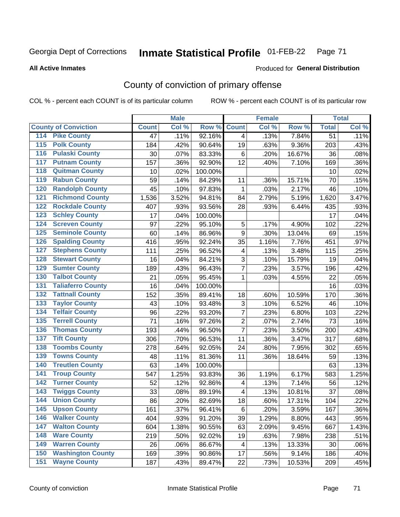### **Inmate Statistical Profile 01-FEB-22** Page 71

**All Active Inmates** 

## **Produced for General Distribution**

# County of conviction of primary offense

COL % - percent each COUNT is of its particular column

|                                          |              | <b>Male</b> |         |                         | <b>Female</b> |        |                 | <b>Total</b> |
|------------------------------------------|--------------|-------------|---------|-------------------------|---------------|--------|-----------------|--------------|
| <b>County of Conviction</b>              | <b>Count</b> | Col %       | Row %   | <b>Count</b>            | Col %         | Row %  | <b>Total</b>    | Col %        |
| <b>Pike County</b><br>114                | 47           | .11%        | 92.16%  | $\overline{4}$          | .13%          | 7.84%  | $\overline{51}$ | .11%         |
| <b>Polk County</b><br>$\overline{115}$   | 184          | .42%        | 90.64%  | 19                      | .63%          | 9.36%  | 203             | .43%         |
| <b>Pulaski County</b><br>116             | 30           | .07%        | 83.33%  | 6                       | .20%          | 16.67% | 36              | .08%         |
| <b>Putnam County</b><br>117              | 157          | .36%        | 92.90%  | 12                      | .40%          | 7.10%  | 169             | .36%         |
| <b>Quitman County</b><br>118             | 10           | .02%        | 100.00% |                         |               |        | 10              | .02%         |
| <b>Rabun County</b><br>119               | 59           | .14%        | 84.29%  | 11                      | .36%          | 15.71% | 70              | .15%         |
| <b>Randolph County</b><br>120            | 45           | .10%        | 97.83%  | 1                       | .03%          | 2.17%  | 46              | .10%         |
| <b>Richmond County</b><br>121            | 1,536        | 3.52%       | 94.81%  | 84                      | 2.79%         | 5.19%  | 1,620           | 3.47%        |
| <b>Rockdale County</b><br>122            | 407          | .93%        | 93.56%  | 28                      | .93%          | 6.44%  | 435             | .93%         |
| <b>Schley County</b><br>123              | 17           | .04%        | 100.00% |                         |               |        | 17              | .04%         |
| <b>Screven County</b><br>124             | 97           | .22%        | 95.10%  | $\mathbf 5$             | .17%          | 4.90%  | 102             | .22%         |
| <b>Seminole County</b><br>125            | 60           | .14%        | 86.96%  | 9                       | .30%          | 13.04% | 69              | .15%         |
| <b>Spalding County</b><br>126            | 416          | .95%        | 92.24%  | 35                      | 1.16%         | 7.76%  | 451             | .97%         |
| <b>Stephens County</b><br>127            | 111          | .25%        | 96.52%  | 4                       | .13%          | 3.48%  | 115             | .25%         |
| <b>Stewart County</b><br>128             | 16           | .04%        | 84.21%  | 3                       | .10%          | 15.79% | 19              | .04%         |
| <b>Sumter County</b><br>129              | 189          | .43%        | 96.43%  | 7                       | .23%          | 3.57%  | 196             | .42%         |
| <b>Talbot County</b><br>130              | 21           | .05%        | 95.45%  | 1                       | .03%          | 4.55%  | 22              | .05%         |
| <b>Taliaferro County</b><br>131          | 16           | .04%        | 100.00% |                         |               |        | 16              | .03%         |
| <b>Tattnall County</b><br>132            | 152          | .35%        | 89.41%  | 18                      | .60%          | 10.59% | 170             | .36%         |
| <b>Taylor County</b><br>133              | 43           | .10%        | 93.48%  | 3                       | .10%          | 6.52%  | 46              | .10%         |
| <b>Telfair County</b><br>134             | 96           | .22%        | 93.20%  | $\overline{7}$          | .23%          | 6.80%  | 103             | .22%         |
| <b>Terrell County</b><br>135             | 71           | .16%        | 97.26%  | $\overline{2}$          | .07%          | 2.74%  | 73              | .16%         |
| <b>Thomas County</b><br>136              | 193          | .44%        | 96.50%  | $\overline{7}$          | .23%          | 3.50%  | 200             | .43%         |
| <b>Tift County</b><br>137                | 306          | .70%        | 96.53%  | 11                      | .36%          | 3.47%  | 317             | .68%         |
| <b>Toombs County</b><br>138              | 278          | .64%        | 92.05%  | 24                      | .80%          | 7.95%  | 302             | .65%         |
| <b>Towns County</b><br>139               | 48           | .11%        | 81.36%  | 11                      | .36%          | 18.64% | 59              | .13%         |
| <b>Treutlen County</b><br>140            | 63           | .14%        | 100.00% |                         |               |        | 63              | .13%         |
| <b>Troup County</b><br>141               | 547          | 1.25%       | 93.83%  | 36                      | 1.19%         | 6.17%  | 583             | 1.25%        |
| <b>Turner County</b><br>142              | 52           | .12%        | 92.86%  | $\overline{\mathbf{4}}$ | .13%          | 7.14%  | 56              | .12%         |
| <b>Twiggs County</b><br>$\overline{143}$ | 33           | .08%        | 89.19%  | $\overline{\mathbf{4}}$ | .13%          | 10.81% | 37              | .08%         |
| <b>Union County</b><br>144               | 86           | .20%        | 82.69%  | 18                      | .60%          | 17.31% | 104             | .22%         |
| 145<br><b>Upson County</b>               | 161          | .37%        | 96.41%  | 6                       | .20%          | 3.59%  | 167             | .36%         |
| <b>Walker County</b><br>146              | 404          | .93%        | 91.20%  | 39                      | 1.29%         | 8.80%  | 443             | .95%         |
| <b>Walton County</b><br>147              | 604          | 1.38%       | 90.55%  | 63                      | 2.09%         | 9.45%  | 667             | 1.43%        |
| <b>Ware County</b><br>148                | 219          | .50%        | 92.02%  | 19                      | .63%          | 7.98%  | 238             | .51%         |
| <b>Warren County</b><br>149              | 26           | .06%        | 86.67%  | 4                       | .13%          | 13.33% | 30              | .06%         |
| <b>Washington County</b><br>150          | 169          | .39%        | 90.86%  | 17                      | .56%          | 9.14%  | 186             | .40%         |
| <b>Wayne County</b><br>151               | 187          | .43%        | 89.47%  | 22                      | .73%          | 10.53% | 209             | .45%         |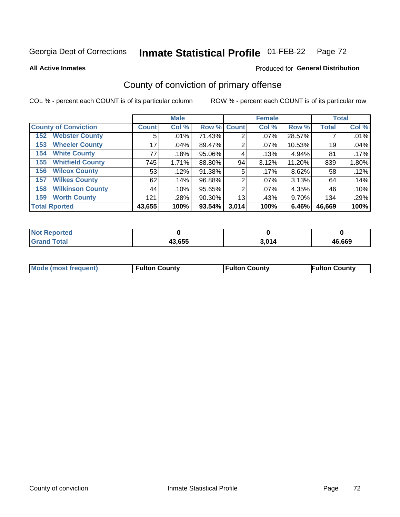### **Inmate Statistical Profile 01-FEB-22** Page 72

**All Active Inmates** 

### Produced for General Distribution

# County of conviction of primary offense

COL % - percent each COUNT is of its particular column

|                                |              | <b>Male</b> |             |                | <b>Female</b> |        |              | <b>Total</b> |
|--------------------------------|--------------|-------------|-------------|----------------|---------------|--------|--------------|--------------|
| <b>County of Conviction</b>    | <b>Count</b> | Col %       | Row % Count |                | Col %         | Row %  | <b>Total</b> | Col %        |
| <b>Webster County</b><br>152   | 5            | .01%        | 71.43%      | $\overline{2}$ | $.07\%$       | 28.57% |              | .01%         |
| <b>Wheeler County</b><br>153   | 17           | .04%        | 89.47%      | 2              | $.07\%$       | 10.53% | 19           | .04%         |
| <b>White County</b><br>154     | 77           | .18%        | 95.06%      | 4              | .13%          | 4.94%  | 81           | .17%         |
| <b>Whitfield County</b><br>155 | 745          | 1.71%       | 88.80%      | 94             | 3.12%         | 11.20% | 839          | 1.80%        |
| <b>Wilcox County</b><br>156    | 53           | .12%        | 91.38%      | 5              | .17%          | 8.62%  | 58           | .12%         |
| <b>Wilkes County</b><br>157    | 62           | .14%        | 96.88%      | $\overline{2}$ | $.07\%$       | 3.13%  | 64           | .14%         |
| <b>Wilkinson County</b><br>158 | 44           | .10%        | 95.65%      | 2              | $.07\%$       | 4.35%  | 46           | .10%         |
| <b>Worth County</b><br>159     | 121          | .28%        | 90.30%      | 13             | .43%          | 9.70%  | 134          | .29%         |
| <b>Total Rported</b>           | 43,655       | 100%        | 93.54%      | 3,014          | 100%          | 6.46%  | 46,669       | 100%         |

| <b>Not Reported</b> |        |       |        |
|---------------------|--------|-------|--------|
| <b>Grand Total</b>  | 43,655 | 3,014 | 46,669 |

| Mode (most frequent) | <b>Fulton County</b> | <b>Fulton County</b> | <b>Fulton County</b> |
|----------------------|----------------------|----------------------|----------------------|
|                      |                      |                      |                      |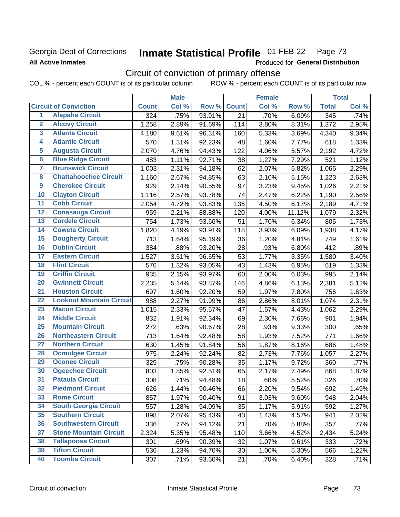### Georgia Dept of Corrections **All Active Inmates**

#### Inmate Statistical Profile 01-FEB-22 Page 73

Produced for General Distribution

# Circuit of conviction of primary offense

|                         |                                 |                  | <b>Male</b> |        |                 | <b>Female</b> |        |              | <b>Total</b> |
|-------------------------|---------------------------------|------------------|-------------|--------|-----------------|---------------|--------|--------------|--------------|
|                         | <b>Circuit of Conviction</b>    | <b>Count</b>     | Col %       | Row %  | <b>Count</b>    | Col %         | Row %  | <b>Total</b> | Col %        |
| 1                       | <b>Alapaha Circuit</b>          | $\overline{324}$ | .75%        | 93.91% | $\overline{21}$ | .70%          | 6.09%  | 345          | .74%         |
| $\overline{2}$          | <b>Alcovy Circuit</b>           | 1,258            | 2.89%       | 91.69% | 114             | 3.80%         | 8.31%  | 1,372        | 2.95%        |
| $\overline{\mathbf{3}}$ | <b>Atlanta Circuit</b>          | 4,180            | 9.61%       | 96.31% | 160             | 5.33%         | 3.69%  | 4,340        | 9.34%        |
| 4                       | <b>Atlantic Circuit</b>         | 570              | 1.31%       | 92.23% | 48              | 1.60%         | 7.77%  | 618          | 1.33%        |
| 5                       | <b>Augusta Circuit</b>          | 2,070            | 4.76%       | 94.43% | 122             | 4.06%         | 5.57%  | 2,192        | 4.72%        |
| $\overline{6}$          | <b>Blue Ridge Circuit</b>       | 483              | 1.11%       | 92.71% | 38              | 1.27%         | 7.29%  | 521          | 1.12%        |
| 7                       | <b>Brunswick Circuit</b>        | 1,003            | 2.31%       | 94.18% | 62              | 2.07%         | 5.82%  | 1,065        | 2.29%        |
| 8                       | <b>Chattahoochee Circuit</b>    | 1,160            | 2.67%       | 94.85% | 63              | 2.10%         | 5.15%  | 1,223        | 2.63%        |
| $\overline{9}$          | <b>Cherokee Circuit</b>         | 929              | 2.14%       | 90.55% | 97              | 3.23%         | 9.45%  | 1,026        | 2.21%        |
| 10                      | <b>Clayton Circuit</b>          | 1,116            | 2.57%       | 93.78% | 74              | 2.47%         | 6.22%  | 1,190        | 2.56%        |
| $\overline{11}$         | <b>Cobb Circuit</b>             | 2,054            | 4.72%       | 93.83% | 135             | 4.50%         | 6.17%  | 2,189        | 4.71%        |
| 12                      | <b>Conasauga Circuit</b>        | 959              | 2.21%       | 88.88% | 120             | 4.00%         | 11.12% | 1,079        | 2.32%        |
| 13                      | <b>Cordele Circuit</b>          | 754              | 1.73%       | 93.66% | 51              | 1.70%         | 6.34%  | 805          | 1.73%        |
| $\overline{14}$         | <b>Coweta Circuit</b>           | 1,820            | 4.19%       | 93.91% | 118             | 3.93%         | 6.09%  | 1,938        | 4.17%        |
| 15                      | <b>Dougherty Circuit</b>        | 713              | 1.64%       | 95.19% | 36              | 1.20%         | 4.81%  | 749          | 1.61%        |
| 16                      | <b>Dublin Circuit</b>           | 384              | .88%        | 93.20% | 28              | .93%          | 6.80%  | 412          | .89%         |
| 17                      | <b>Eastern Circuit</b>          | 1,527            | 3.51%       | 96.65% | 53              | 1.77%         | 3.35%  | 1,580        | 3.40%        |
| 18                      | <b>Flint Circuit</b>            | 576              | 1.32%       | 93.05% | 43              | 1.43%         | 6.95%  | 619          | 1.33%        |
| 19                      | <b>Griffin Circuit</b>          | 935              | 2.15%       | 93.97% | 60              | 2.00%         | 6.03%  | 995          | 2.14%        |
| 20                      | <b>Gwinnett Circuit</b>         | 2,235            | 5.14%       | 93.87% | 146             | 4.86%         | 6.13%  | 2,381        | 5.12%        |
| $\overline{21}$         | <b>Houston Circuit</b>          | 697              | 1.60%       | 92.20% | 59              | 1.97%         | 7.80%  | 756          | 1.63%        |
| $\overline{22}$         | <b>Lookout Mountain Circuit</b> | 988              | 2.27%       | 91.99% | 86              | 2.86%         | 8.01%  | 1,074        | 2.31%        |
| 23                      | <b>Macon Circuit</b>            | 1,015            | 2.33%       | 95.57% | 47              | 1.57%         | 4.43%  | 1,062        | 2.29%        |
| 24                      | <b>Middle Circuit</b>           | 832              | 1.91%       | 92.34% | 69              | 2.30%         | 7.66%  | 901          | 1.94%        |
| $\overline{25}$         | <b>Mountain Circuit</b>         | 272              | .63%        | 90.67% | 28              | .93%          | 9.33%  | 300          | .65%         |
| 26                      | <b>Northeastern Circuit</b>     | 713              | 1.64%       | 92.48% | 58              | 1.93%         | 7.52%  | 771          | 1.66%        |
| $\overline{27}$         | <b>Northern Circuit</b>         | 630              | 1.45%       | 91.84% | 56              | 1.87%         | 8.16%  | 686          | 1.48%        |
| 28                      | <b>Ocmulgee Circuit</b>         | 975              | 2.24%       | 92.24% | 82              | 2.73%         | 7.76%  | 1,057        | 2.27%        |
| 29                      | <b>Oconee Circuit</b>           | 325              | .75%        | 90.28% | 35              | 1.17%         | 9.72%  | 360          | .77%         |
| 30                      | <b>Ogeechee Circuit</b>         | 803              | 1.85%       | 92.51% | 65              | 2.17%         | 7.49%  | 868          | 1.87%        |
| $\overline{31}$         | <b>Pataula Circuit</b>          | 308              | .71%        | 94.48% | 18              | .60%          | 5.52%  | 326          | .70%         |
| 32                      | <b>Piedmont Circuit</b>         | 626              | 1.44%       | 90.46% | 66              | 2.20%         | 9.54%  | 692          | 1.49%        |
| 33                      | <b>Rome Circuit</b>             | 857              | 1.97%       | 90.40% | 91              | 3.03%         | 9.60%  | 948          | 2.04%        |
| 34                      | <b>South Georgia Circuit</b>    | 557              | 1.28%       | 94.09% | 35              | 1.17%         | 5.91%  | 592          | 1.27%        |
| 35                      | <b>Southern Circuit</b>         | 898              | 2.07%       | 95.43% | 43              | 1.43%         | 4.57%  | 941          | 2.02%        |
| 36                      | <b>Southwestern Circuit</b>     | 336              | .77%        | 94.12% | 21              | .70%          | 5.88%  | 357          | .77%         |
| 37                      | <b>Stone Mountain Circuit</b>   | 2,324            | 5.35%       | 95.48% | 110             | 3.66%         | 4.52%  | 2,434        | 5.24%        |
| 38                      | <b>Tallapoosa Circuit</b>       | 301              | .69%        | 90.39% | 32              | 1.07%         | 9.61%  | 333          | .72%         |
| 39                      | <b>Tifton Circuit</b>           | 536              | 1.23%       | 94.70% | 30              | 1.00%         | 5.30%  | 566          | 1.22%        |
| 40                      | <b>Toombs Circuit</b>           | 307              | .71%        | 93.60% | 21              | .70%          | 6.40%  | 328          | .71%         |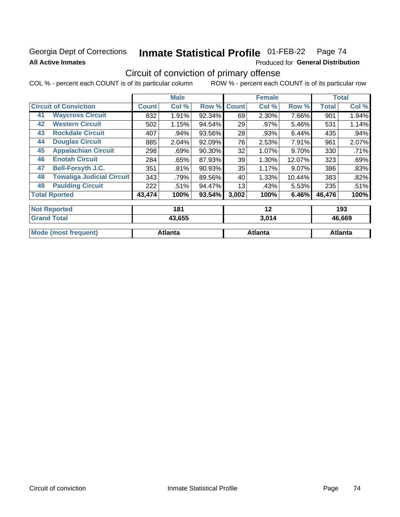## Georgia Dept of Corrections **All Active Inmates**

#### **Inmate Statistical Profile 01-FEB-22** Page 74

Produced for General Distribution

# Circuit of conviction of primary offense

|                                        |              | <b>Male</b> |           |              | <b>Female</b> |          |              | <b>Total</b> |
|----------------------------------------|--------------|-------------|-----------|--------------|---------------|----------|--------------|--------------|
| <b>Circuit of Conviction</b>           | <b>Count</b> | Col %       | Row %     | <b>Count</b> | Col %         | Row %    | <b>Total</b> | Col %        |
| <b>Waycross Circuit</b><br>41          | 832          | 1.91%       | 92.34%    | 69           | 2.30%         | 7.66%    | 901          | 1.94%        |
| <b>Western Circuit</b><br>42           | 502          | 1.15%       | 94.54%    | 29           | .97%          | 5.46%    | 531          | 1.14%        |
| <b>Rockdale Circuit</b><br>43          | 407          | .94%        | 93.56%    | 28           | .93%          | 6.44%    | 435          | .94%         |
| <b>Douglas Circuit</b><br>44           | 885          | 2.04%       | 92.09%    | 76           | 2.53%         | 7.91%    | 961          | 2.07%        |
| <b>Appalachian Circuit</b><br>45       | 298          | .69%        | $90.30\%$ | 32           | 1.07%         | 9.70%    | 330          | .71%         |
| <b>Enotah Circuit</b><br>46            | 284          | .65%        | 87.93%    | 39           | 1.30%         | 12.07%   | 323          | .69%         |
| <b>Bell-Forsyth J.C.</b><br>47         | 351          | .81%        | 90.93%    | 35           | 1.17%         | $9.07\%$ | 386          | .83%         |
| <b>Towaliga Judicial Circuit</b><br>48 | 343          | .79%        | 89.56%    | 40           | 1.33%         | 10.44%   | 383          | .82%         |
| <b>Paulding Circuit</b><br>49          | 222          | .51%        | 94.47%    | 13           | .43%          | 5.53%    | 235          | .51%         |
| <b>Total Rported</b>                   | 43,474       | 100%        | 93.54%    | 3,002        | 100%          | 6.46%    | 46,476       | 100%         |
| <b>Not Reported</b>                    |              | 181         |           |              | 12            |          |              | 193          |
| <b>Grand Total</b>                     |              | 13 655      |           |              | <b>3 014</b>  |          |              | AR RRQ       |

|                             |         |         | .       |  |
|-----------------------------|---------|---------|---------|--|
|                             |         |         |         |  |
| <b>Mode (most frequent)</b> | Atlanta | Atlanta | Atlanta |  |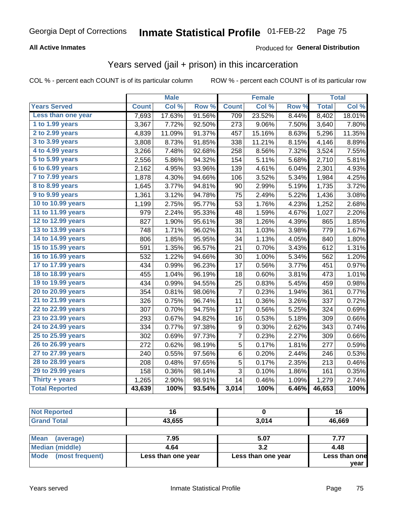### **All Active Inmates**

### Produced for **General Distribution**

## Years served (jail + prison) in this incarceration

|                        |              | <b>Male</b> |                  |                  | <b>Female</b> |       |              | <b>Total</b>        |
|------------------------|--------------|-------------|------------------|------------------|---------------|-------|--------------|---------------------|
| <b>Years Served</b>    | <b>Count</b> | Col %       | Row <sup>%</sup> | <b>Count</b>     | Col %         | Row % | <b>Total</b> | Col%                |
| Less than one year     | 7,693        | 17.63%      | 91.56%           | 709              | 23.52%        | 8.44% | 8,402        | 18.01%              |
| 1 to 1.99 years        | 3,367        | 7.72%       | 92.50%           | 273              | 9.06%         | 7.50% | 3,640        | 7.80%               |
| 2 to 2.99 years        | 4,839        | 11.09%      | 91.37%           | 457              | 15.16%        | 8.63% | 5,296        | 11.35%              |
| 3 to 3.99 years        | 3,808        | 8.73%       | 91.85%           | 338              | 11.21%        | 8.15% | 4,146        | 8.89%               |
| 4 to 4.99 years        | 3,266        | 7.48%       | 92.68%           | 258              | 8.56%         | 7.32% | 3,524        | 7.55%               |
| 5 to 5.99 years        | 2,556        | 5.86%       | 94.32%           | 154              | 5.11%         | 5.68% | 2,710        | 5.81%               |
| 6 to 6.99 years        | 2,162        | 4.95%       | 93.96%           | 139              | 4.61%         | 6.04% | 2,301        | 4.93%               |
| 7 to 7.99 years        | 1,878        | 4.30%       | 94.66%           | 106              | 3.52%         | 5.34% | 1,984        | 4.25%               |
| <b>8 to 8.99 years</b> | 1,645        | 3.77%       | 94.81%           | 90               | 2.99%         | 5.19% | 1,735        | 3.72%               |
| 9 to 9.99 years        | 1,361        | 3.12%       | 94.78%           | 75               | 2.49%         | 5.22% | 1,436        | 3.08%               |
| 10 to 10.99 years      | 1,199        | 2.75%       | 95.77%           | 53               | 1.76%         | 4.23% | 1,252        | 2.68%               |
| 11 to 11.99 years      | 979          | 2.24%       | 95.33%           | 48               | 1.59%         | 4.67% | 1,027        | 2.20%               |
| 12 to 12.99 years      | 827          | 1.90%       | 95.61%           | 38               | 1.26%         | 4.39% | 865          | 1.85%               |
| 13 to 13.99 years      | 748          | 1.71%       | 96.02%           | 31               | 1.03%         | 3.98% | 779          | 1.67%               |
| 14 to 14.99 years      | 806          | 1.85%       | 95.95%           | 34               | 1.13%         | 4.05% | 840          | 1.80%               |
| 15 to 15.99 years      | 591          | 1.35%       | 96.57%           | 21               | 0.70%         | 3.43% | 612          | 1.31%               |
| 16 to 16.99 years      | 532          | 1.22%       | 94.66%           | 30               | 1.00%         | 5.34% | 562          | $\overline{1.20\%}$ |
| 17 to 17.99 years      | 434          | 0.99%       | 96.23%           | 17               | 0.56%         | 3.77% | 451          | 0.97%               |
| 18 to 18.99 years      | 455          | 1.04%       | 96.19%           | 18               | 0.60%         | 3.81% | 473          | 1.01%               |
| 19 to 19.99 years      | 434          | 0.99%       | 94.55%           | 25               | 0.83%         | 5.45% | 459          | 0.98%               |
| 20 to 20.99 years      | 354          | 0.81%       | 98.06%           | $\overline{7}$   | 0.23%         | 1.94% | 361          | 0.77%               |
| 21 to 21.99 years      | 326          | 0.75%       | 96.74%           | 11               | 0.36%         | 3.26% | 337          | 0.72%               |
| 22 to 22.99 years      | 307          | 0.70%       | 94.75%           | 17               | 0.56%         | 5.25% | 324          | 0.69%               |
| 23 to 23.99 years      | 293          | 0.67%       | 94.82%           | 16               | 0.53%         | 5.18% | 309          | 0.66%               |
| 24 to 24.99 years      | 334          | 0.77%       | 97.38%           | $\boldsymbol{9}$ | 0.30%         | 2.62% | 343          | 0.74%               |
| 25 to 25.99 years      | 302          | 0.69%       | 97.73%           | $\overline{7}$   | 0.23%         | 2.27% | 309          | 0.66%               |
| 26 to 26.99 years      | 272          | 0.62%       | 98.19%           | $\overline{5}$   | 0.17%         | 1.81% | 277          | 0.59%               |
| 27 to 27.99 years      | 240          | 0.55%       | 97.56%           | 6                | 0.20%         | 2.44% | 246          | 0.53%               |
| 28 to 28.99 years      | 208          | 0.48%       | 97.65%           | 5                | 0.17%         | 2.35% | 213          | 0.46%               |
| 29 to 29.99 years      | 158          | 0.36%       | 98.14%           | 3                | 0.10%         | 1.86% | 161          | 0.35%               |
| Thirty + years         | 1,265        | 2.90%       | 98.91%           | 14               | 0.46%         | 1.09% | 1,279        | 2.74%               |
| <b>Total Reported</b>  | 43,639       | 100%        | 93.54%           | 3,014            | 100%          | 6.46% | 46,653       | 100%                |

| <b>Not Reported</b>                                   | $\overline{\phantom{a}}$ |             | 16     |
|-------------------------------------------------------|--------------------------|-------------|--------|
| <b>Grand Total</b>                                    | 43,655                   | 3,014       | 46,669 |
|                                                       |                          |             |        |
| $1.88 - 1.1$<br>$\lambda$ and $\lambda$ and $\lambda$ | 700                      | <b>F 67</b> | ---    |

| ∣Mean<br>(average)   | 7.95               | 5.07               |               |
|----------------------|--------------------|--------------------|---------------|
| Median (middle)      | 4.64               | J.Z                | 4.48          |
| Mode (most frequent) | Less than one year | Less than one year | Less than one |
|                      |                    |                    | vear          |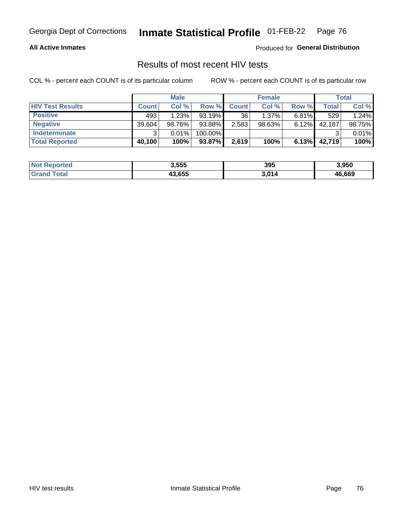#### **All Active Inmates**

Produced for **General Distribution**

## Results of most recent HIV tests

|                         |              | <b>Male</b> |         |              | <b>Female</b> |          |        | <b>Total</b> |
|-------------------------|--------------|-------------|---------|--------------|---------------|----------|--------|--------------|
| <b>HIV Test Results</b> | <b>Count</b> | Col %       | Row %I  | <b>Count</b> | Col %         | Row %    | Total  | Col %        |
| <b>Positive</b>         | 493          | 1.23%       | 93.19%  | 36           | $1.37\%$      | $6.81\%$ | 529    | 1.24%        |
| <b>Negative</b>         | 39,604       | 98.76%      | 93.88%  | 2,583        | $98.63\%$     | 6.12%    | 42,187 | 98.75%       |
| <b>Indeterminate</b>    | ว            | 0.01%       | 100.00% |              |               |          |        | 0.01%        |
| <b>Total Reported</b>   | 40,100       | 100%        | 93.87%  | 2,619        | 100%          | 6.13%    | 42,719 | 100%         |

| <b>Not Reported</b> | 3,555  | 395   | 3,950  |
|---------------------|--------|-------|--------|
| Total               | 43,655 | 3,014 | 46,669 |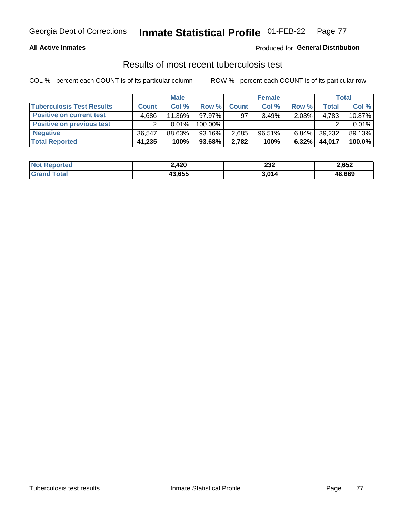### **All Active Inmates**

### Produced for **General Distribution**

### Results of most recent tuberculosis test

|                                  |              | <b>Male</b> |           |              | <b>Female</b> |          |        | Total  |
|----------------------------------|--------------|-------------|-----------|--------------|---------------|----------|--------|--------|
| <b>Tuberculosis Test Results</b> | <b>Count</b> | Col%        | Row %     | <b>Count</b> | Col %         | Row %    | Total  | Col %  |
| <b>Positive on current test</b>  | 4.686        | 11.36%      | $97.97\%$ | 97           | 3.49%         | 2.03%    | 4,783  | 10.87% |
| <b>Positive on previous test</b> | ົ            | $0.01\%$    | 100.00%   |              |               |          |        | 0.01%  |
| <b>Negative</b>                  | 36.547       | 88.63%      | $93.16\%$ | 2,685        | $96.51\%$     | $6.84\%$ | 39,232 | 89.13% |
| <b>Total Reported</b>            | 41,235       | 100%        | 93.68%    | 2,782        | 100%          | 6.32%    | 44,017 | 100.0% |

| <b>Not Reported</b> | 2,420  | 232   | 2,652  |
|---------------------|--------|-------|--------|
| Total<br>Gran       | 43,655 | 3,014 | 46,669 |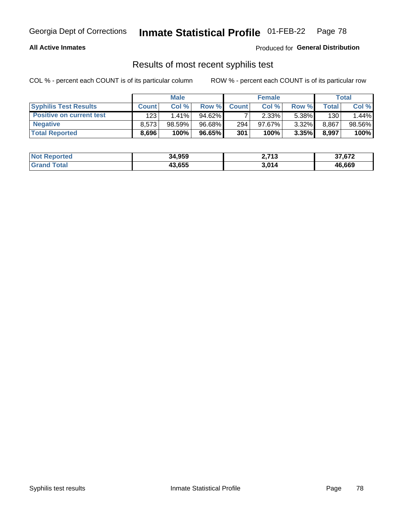#### **All Active Inmates**

Produced for **General Distribution**

### Results of most recent syphilis test

|                                 |              | <b>Male</b> |        |              | <b>Female</b> |        |       | Total  |
|---------------------------------|--------------|-------------|--------|--------------|---------------|--------|-------|--------|
| <b>Syphilis Test Results</b>    | <b>Count</b> | Col%        | Row %I | <b>Count</b> | Col %         | Row %I | Total | Col %  |
| <b>Positive on current test</b> | 123          | $1.41\%$    | 94.62% |              | 2.33%         | 5.38%  | 130   | 1.44%  |
| <b>Negative</b>                 | 8.573        | $98.59\%$   | 96.68% | 294          | $97.67\%$     | 3.32%  | 8,867 | 98.56% |
| <b>Total Reported</b>           | 8.696        | 100%        | 96.65% | 301          | 100%          | 3.35%  | 8,997 | 100%   |

| <b>Not Reported</b> | 34,959 | 2,713 | 37,672 |
|---------------------|--------|-------|--------|
| <b>Grand Total</b>  | 43,655 | 3,014 | 46,669 |